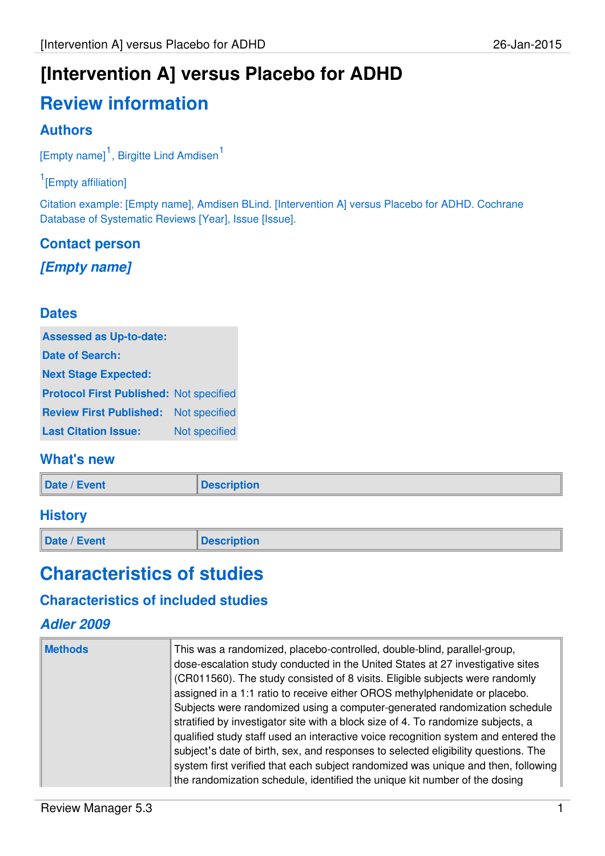# **Review information**

# **Authors**

[Empty name]<sup>1</sup>, Birgitte Lind Amdisen<sup>1</sup>

### <sup>1</sup>[Empty affiliation]

Citation example: [Empty name], Amdisen BLind. [Intervention A] versus Placebo for ADHD. Cochrane Database of Systematic Reviews [Year], Issue [Issue].

# **Contact person [Empty name]**

### **Dates**

| <b>Assessed as Up-to-date:</b>                 |               |
|------------------------------------------------|---------------|
| <b>Date of Search:</b>                         |               |
| <b>Next Stage Expected:</b>                    |               |
| <b>Protocol First Published: Not specified</b> |               |
| <b>Review First Published:</b>                 | Not specified |
| <b>Last Citation Issue:</b>                    | Not specified |

### **What's new**

| Date / Event | <b>Description</b> |
|--------------|--------------------|
|              |                    |

### **History**

**Date / Event Description** 

# **Characteristics of studies**

### **Characteristics of included studies**

### **Adler 2009**

| <b>Methods</b> | This was a randomized, placebo-controlled, double-blind, parallel-group,<br>dose-escalation study conducted in the United States at 27 investigative sites |
|----------------|------------------------------------------------------------------------------------------------------------------------------------------------------------|
|                |                                                                                                                                                            |
|                | (CR011560). The study consisted of 8 visits. Eligible subjects were randomly                                                                               |
|                | assigned in a 1:1 ratio to receive either OROS methylphenidate or placebo.                                                                                 |
|                | Subjects were randomized using a computer-generated randomization schedule                                                                                 |
|                | stratified by investigator site with a block size of 4. To randomize subjects, a                                                                           |
|                | qualified study staff used an interactive voice recognition system and entered the                                                                         |
|                | subject's date of birth, sex, and responses to selected eligibility questions. The                                                                         |
|                | system first verified that each subject randomized was unique and then, following                                                                          |
|                | the randomization schedule, identified the unique kit number of the dosing                                                                                 |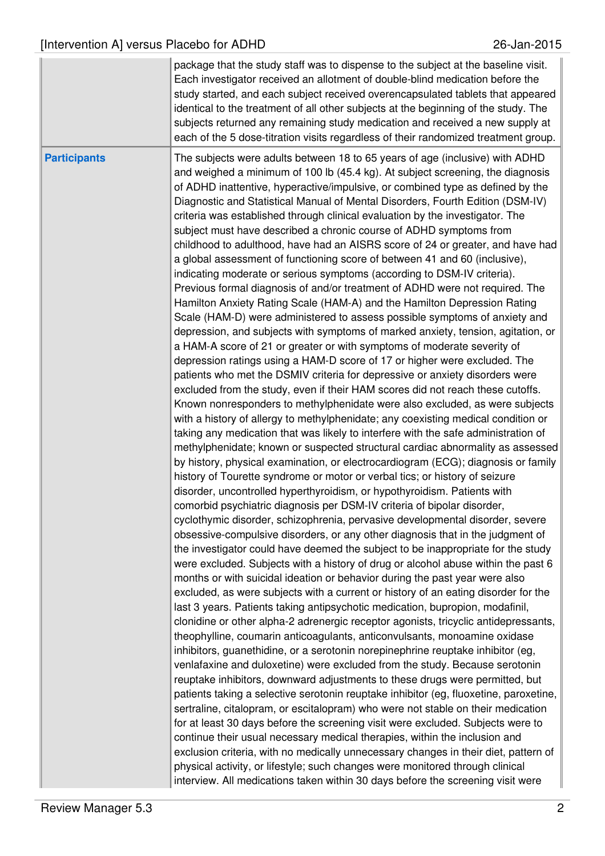|                     | package that the study staff was to dispense to the subject at the baseline visit.<br>Each investigator received an allotment of double-blind medication before the<br>study started, and each subject received overencapsulated tablets that appeared<br>identical to the treatment of all other subjects at the beginning of the study. The<br>subjects returned any remaining study medication and received a new supply at<br>each of the 5 dose-titration visits regardless of their randomized treatment group.                                                                                                                                                                                                                                                                                                                                                                                                                                                                                                                                                                                                                                                                                                                                                                                                                                                                                                                                                                                                                                                                                                                                                                                                                                                                                                                                                                                                                                                                                                                                                                                                                                                                                                                                                                                                                                                                                                                                                                                                                                                                                                                                                                                                                                                                                                                                                                                                                                                                                                                                                                                                                                                                                                                                                                                                                                                                                                                                                                                                                                                                                                                                                                                |
|---------------------|------------------------------------------------------------------------------------------------------------------------------------------------------------------------------------------------------------------------------------------------------------------------------------------------------------------------------------------------------------------------------------------------------------------------------------------------------------------------------------------------------------------------------------------------------------------------------------------------------------------------------------------------------------------------------------------------------------------------------------------------------------------------------------------------------------------------------------------------------------------------------------------------------------------------------------------------------------------------------------------------------------------------------------------------------------------------------------------------------------------------------------------------------------------------------------------------------------------------------------------------------------------------------------------------------------------------------------------------------------------------------------------------------------------------------------------------------------------------------------------------------------------------------------------------------------------------------------------------------------------------------------------------------------------------------------------------------------------------------------------------------------------------------------------------------------------------------------------------------------------------------------------------------------------------------------------------------------------------------------------------------------------------------------------------------------------------------------------------------------------------------------------------------------------------------------------------------------------------------------------------------------------------------------------------------------------------------------------------------------------------------------------------------------------------------------------------------------------------------------------------------------------------------------------------------------------------------------------------------------------------------------------------------------------------------------------------------------------------------------------------------------------------------------------------------------------------------------------------------------------------------------------------------------------------------------------------------------------------------------------------------------------------------------------------------------------------------------------------------------------------------------------------------------------------------------------------------------------------------------------------------------------------------------------------------------------------------------------------------------------------------------------------------------------------------------------------------------------------------------------------------------------------------------------------------------------------------------------------------------------------------------------------------------------------------------------------------|
| <b>Participants</b> | The subjects were adults between 18 to 65 years of age (inclusive) with ADHD<br>and weighed a minimum of 100 lb (45.4 kg). At subject screening, the diagnosis<br>of ADHD inattentive, hyperactive/impulsive, or combined type as defined by the<br>Diagnostic and Statistical Manual of Mental Disorders, Fourth Edition (DSM-IV)<br>criteria was established through clinical evaluation by the investigator. The<br>subject must have described a chronic course of ADHD symptoms from<br>childhood to adulthood, have had an AISRS score of 24 or greater, and have had<br>a global assessment of functioning score of between 41 and 60 (inclusive),<br>indicating moderate or serious symptoms (according to DSM-IV criteria).<br>Previous formal diagnosis of and/or treatment of ADHD were not required. The<br>Hamilton Anxiety Rating Scale (HAM-A) and the Hamilton Depression Rating<br>Scale (HAM-D) were administered to assess possible symptoms of anxiety and<br>depression, and subjects with symptoms of marked anxiety, tension, agitation, or<br>a HAM-A score of 21 or greater or with symptoms of moderate severity of<br>depression ratings using a HAM-D score of 17 or higher were excluded. The<br>patients who met the DSMIV criteria for depressive or anxiety disorders were<br>excluded from the study, even if their HAM scores did not reach these cutoffs.<br>Known nonresponders to methylphenidate were also excluded, as were subjects<br>with a history of allergy to methylphenidate; any coexisting medical condition or<br>taking any medication that was likely to interfere with the safe administration of<br>methylphenidate; known or suspected structural cardiac abnormality as assessed<br>by history, physical examination, or electrocardiogram (ECG); diagnosis or family<br>history of Tourette syndrome or motor or verbal tics; or history of seizure<br>disorder, uncontrolled hyperthyroidism, or hypothyroidism. Patients with<br>comorbid psychiatric diagnosis per DSM-IV criteria of bipolar disorder,<br>cyclothymic disorder, schizophrenia, pervasive developmental disorder, severe<br>obsessive-compulsive disorders, or any other diagnosis that in the judgment of<br>the investigator could have deemed the subject to be inappropriate for the study<br>were excluded. Subjects with a history of drug or alcohol abuse within the past 6<br>months or with suicidal ideation or behavior during the past year were also<br>excluded, as were subjects with a current or history of an eating disorder for the<br>last 3 years. Patients taking antipsychotic medication, bupropion, modafinil,<br>clonidine or other alpha-2 adrenergic receptor agonists, tricyclic antidepressants,<br>theophylline, coumarin anticoagulants, anticonvulsants, monoamine oxidase<br>inhibitors, guanethidine, or a serotonin norepinephrine reuptake inhibitor (eg,<br>venlafaxine and duloxetine) were excluded from the study. Because serotonin<br>reuptake inhibitors, downward adjustments to these drugs were permitted, but<br>patients taking a selective serotonin reuptake inhibitor (eg, fluoxetine, paroxetine,<br>sertraline, citalopram, or escitalopram) who were not stable on their medication<br>for at least 30 days before the screening visit were excluded. Subjects were to<br>continue their usual necessary medical therapies, within the inclusion and<br>exclusion criteria, with no medically unnecessary changes in their diet, pattern of<br>physical activity, or lifestyle; such changes were monitored through clinical<br>interview. All medications taken within 30 days before the screening visit were |
|                     |                                                                                                                                                                                                                                                                                                                                                                                                                                                                                                                                                                                                                                                                                                                                                                                                                                                                                                                                                                                                                                                                                                                                                                                                                                                                                                                                                                                                                                                                                                                                                                                                                                                                                                                                                                                                                                                                                                                                                                                                                                                                                                                                                                                                                                                                                                                                                                                                                                                                                                                                                                                                                                                                                                                                                                                                                                                                                                                                                                                                                                                                                                                                                                                                                                                                                                                                                                                                                                                                                                                                                                                                                                                                                                      |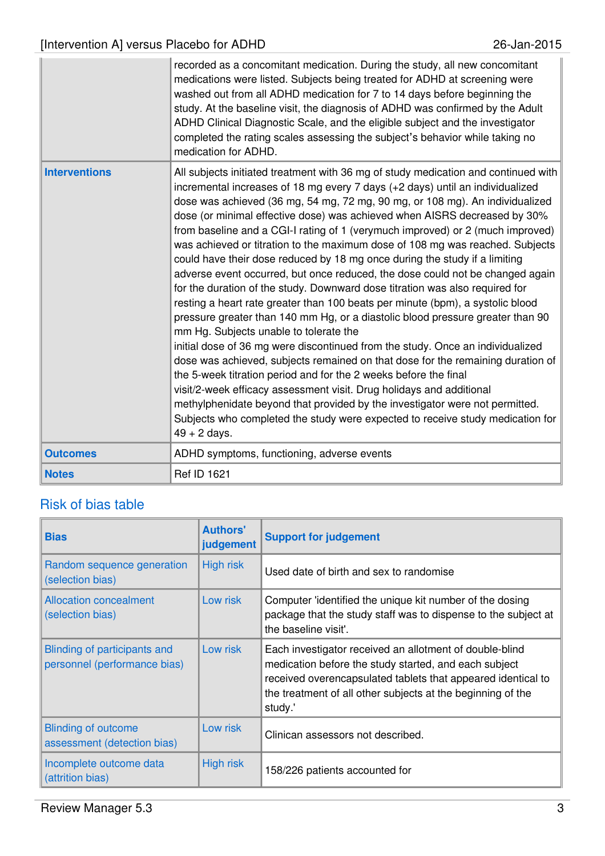|                      | recorded as a concomitant medication. During the study, all new concomitant<br>medications were listed. Subjects being treated for ADHD at screening were<br>washed out from all ADHD medication for 7 to 14 days before beginning the<br>study. At the baseline visit, the diagnosis of ADHD was confirmed by the Adult<br>ADHD Clinical Diagnostic Scale, and the eligible subject and the investigator<br>completed the rating scales assessing the subject's behavior while taking no<br>medication for ADHD.                                                                                                                                                                                                                                                                                                                                                                                                                                                                                                                                                                                                                                                                                                                                                                                                                                                                                                                                                     |
|----------------------|-----------------------------------------------------------------------------------------------------------------------------------------------------------------------------------------------------------------------------------------------------------------------------------------------------------------------------------------------------------------------------------------------------------------------------------------------------------------------------------------------------------------------------------------------------------------------------------------------------------------------------------------------------------------------------------------------------------------------------------------------------------------------------------------------------------------------------------------------------------------------------------------------------------------------------------------------------------------------------------------------------------------------------------------------------------------------------------------------------------------------------------------------------------------------------------------------------------------------------------------------------------------------------------------------------------------------------------------------------------------------------------------------------------------------------------------------------------------------|
| <b>Interventions</b> | All subjects initiated treatment with 36 mg of study medication and continued with<br>incremental increases of 18 mg every 7 days (+2 days) until an individualized<br>dose was achieved (36 mg, 54 mg, 72 mg, 90 mg, or 108 mg). An individualized<br>dose (or minimal effective dose) was achieved when AISRS decreased by 30%<br>from baseline and a CGI-I rating of 1 (verymuch improved) or 2 (much improved)<br>was achieved or titration to the maximum dose of 108 mg was reached. Subjects<br>could have their dose reduced by 18 mg once during the study if a limiting<br>adverse event occurred, but once reduced, the dose could not be changed again<br>for the duration of the study. Downward dose titration was also required for<br>resting a heart rate greater than 100 beats per minute (bpm), a systolic blood<br>pressure greater than 140 mm Hg, or a diastolic blood pressure greater than 90<br>mm Hg. Subjects unable to tolerate the<br>initial dose of 36 mg were discontinued from the study. Once an individualized<br>dose was achieved, subjects remained on that dose for the remaining duration of<br>the 5-week titration period and for the 2 weeks before the final<br>visit/2-week efficacy assessment visit. Drug holidays and additional<br>methylphenidate beyond that provided by the investigator were not permitted.<br>Subjects who completed the study were expected to receive study medication for<br>$49 + 2$ days. |
| <b>Outcomes</b>      | ADHD symptoms, functioning, adverse events                                                                                                                                                                                                                                                                                                                                                                                                                                                                                                                                                                                                                                                                                                                                                                                                                                                                                                                                                                                                                                                                                                                                                                                                                                                                                                                                                                                                                            |
| <b>Notes</b>         | <b>Ref ID 1621</b>                                                                                                                                                                                                                                                                                                                                                                                                                                                                                                                                                                                                                                                                                                                                                                                                                                                                                                                                                                                                                                                                                                                                                                                                                                                                                                                                                                                                                                                    |

| <b>Bias</b>                                                  | <b>Authors'</b><br>judgement | <b>Support for judgement</b>                                                                                                                                                                                                                               |
|--------------------------------------------------------------|------------------------------|------------------------------------------------------------------------------------------------------------------------------------------------------------------------------------------------------------------------------------------------------------|
| Random sequence generation<br>(selection bias)               | <b>High risk</b>             | Used date of birth and sex to randomise                                                                                                                                                                                                                    |
| <b>Allocation concealment</b><br>(selection bias)            | Low risk                     | Computer 'identified the unique kit number of the dosing<br>package that the study staff was to dispense to the subject at<br>the baseline visit'.                                                                                                         |
| Blinding of participants and<br>personnel (performance bias) | Low risk                     | Each investigator received an allotment of double-blind<br>medication before the study started, and each subject<br>received overencapsulated tablets that appeared identical to<br>the treatment of all other subjects at the beginning of the<br>study.' |
| <b>Blinding of outcome</b><br>assessment (detection bias)    | Low risk                     | Clinican assessors not described.                                                                                                                                                                                                                          |
| Incomplete outcome data<br>(attrition bias)                  | <b>High risk</b>             | 158/226 patients accounted for                                                                                                                                                                                                                             |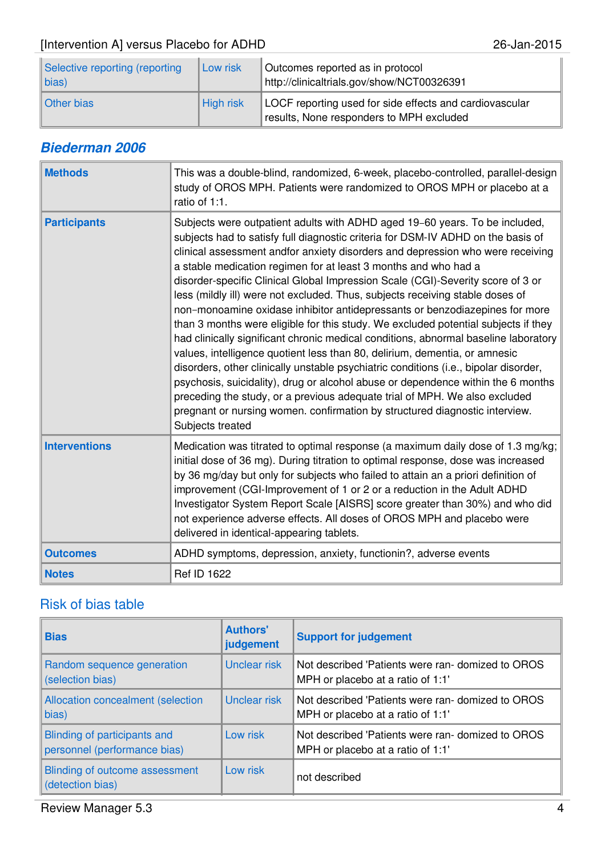| Selective reporting (reporting<br>$\ $ bias) | Low risk         | Outcomes reported as in protocol<br>http://clinicaltrials.gov/show/NCT00326391                      |
|----------------------------------------------|------------------|-----------------------------------------------------------------------------------------------------|
| Other bias                                   | <b>High risk</b> | LOCF reporting used for side effects and cardiovascular<br>results, None responders to MPH excluded |

# **Biederman 2006**

| <b>Methods</b>       | This was a double-blind, randomized, 6-week, placebo-controlled, parallel-design<br>study of OROS MPH. Patients were randomized to OROS MPH or placebo at a<br>ratio of 1:1.                                                                                                                                                                                                                                                                                                                                                                                                                                                                                                                                                                                                                                                                                                                                                                                                                                                                                                                                                                                                                    |
|----------------------|-------------------------------------------------------------------------------------------------------------------------------------------------------------------------------------------------------------------------------------------------------------------------------------------------------------------------------------------------------------------------------------------------------------------------------------------------------------------------------------------------------------------------------------------------------------------------------------------------------------------------------------------------------------------------------------------------------------------------------------------------------------------------------------------------------------------------------------------------------------------------------------------------------------------------------------------------------------------------------------------------------------------------------------------------------------------------------------------------------------------------------------------------------------------------------------------------|
| <b>Participants</b>  | Subjects were outpatient adults with ADHD aged 19-60 years. To be included,<br>subjects had to satisfy full diagnostic criteria for DSM-IV ADHD on the basis of<br>clinical assessment andfor anxiety disorders and depression who were receiving<br>a stable medication regimen for at least 3 months and who had a<br>disorder-specific Clinical Global Impression Scale (CGI)-Severity score of 3 or<br>less (mildly ill) were not excluded. Thus, subjects receiving stable doses of<br>non-monoamine oxidase inhibitor antidepressants or benzodiazepines for more<br>than 3 months were eligible for this study. We excluded potential subjects if they<br>had clinically significant chronic medical conditions, abnormal baseline laboratory<br>values, intelligence quotient less than 80, delirium, dementia, or amnesic<br>disorders, other clinically unstable psychiatric conditions (i.e., bipolar disorder,<br>psychosis, suicidality), drug or alcohol abuse or dependence within the 6 months<br>preceding the study, or a previous adequate trial of MPH. We also excluded<br>pregnant or nursing women. confirmation by structured diagnostic interview.<br>Subjects treated |
| <b>Interventions</b> | Medication was titrated to optimal response (a maximum daily dose of 1.3 mg/kg;<br>initial dose of 36 mg). During titration to optimal response, dose was increased<br>by 36 mg/day but only for subjects who failed to attain an a priori definition of<br>improvement (CGI-Improvement of 1 or 2 or a reduction in the Adult ADHD<br>Investigator System Report Scale [AISRS] score greater than 30%) and who did<br>not experience adverse effects. All doses of OROS MPH and placebo were<br>delivered in identical-appearing tablets.                                                                                                                                                                                                                                                                                                                                                                                                                                                                                                                                                                                                                                                      |
| <b>Outcomes</b>      | ADHD symptoms, depression, anxiety, functionin?, adverse events                                                                                                                                                                                                                                                                                                                                                                                                                                                                                                                                                                                                                                                                                                                                                                                                                                                                                                                                                                                                                                                                                                                                 |
| <b>Notes</b>         | Ref ID 1622                                                                                                                                                                                                                                                                                                                                                                                                                                                                                                                                                                                                                                                                                                                                                                                                                                                                                                                                                                                                                                                                                                                                                                                     |

| <b>Bias</b>                                                  | <b>Authors'</b><br>judgement | <b>Support for judgement</b>                                                          |
|--------------------------------------------------------------|------------------------------|---------------------------------------------------------------------------------------|
| Random sequence generation<br>(selection bias)               | Unclear risk                 | Not described 'Patients were ran-domized to OROS<br>MPH or placebo at a ratio of 1:1' |
| <b>Allocation concealment (selection</b><br>bias)            | Unclear risk                 | Not described 'Patients were ran-domized to OROS<br>MPH or placebo at a ratio of 1:1' |
| Blinding of participants and<br>personnel (performance bias) | Low risk                     | Not described 'Patients were ran-domized to OROS<br>MPH or placebo at a ratio of 1:1' |
| Blinding of outcome assessment<br>(detection bias)           | Low risk                     | not described                                                                         |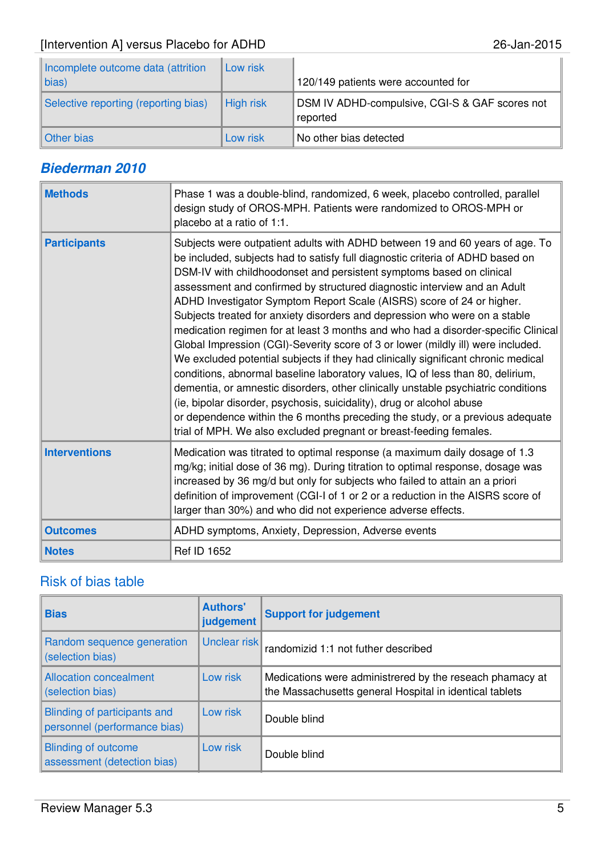| Incomplete outcome data (attrition   | Low risk  |                                                            |
|--------------------------------------|-----------|------------------------------------------------------------|
| $\ $ bias)                           |           | 120/149 patients were accounted for                        |
| Selective reporting (reporting bias) | High risk | DSM IV ADHD-compulsive, CGI-S & GAF scores not<br>reported |
| Other bias                           | Low risk  | No other bias detected                                     |

### **Biederman 2010**

| <b>Methods</b>       | Phase 1 was a double-blind, randomized, 6 week, placebo controlled, parallel<br>design study of OROS-MPH. Patients were randomized to OROS-MPH or<br>placebo at a ratio of 1:1.                                                                                                                                                                                                                                                                                                                                                                                                                                                                                                                                                                                                                                                                                                                                                                                                                                                                                                                                                                |
|----------------------|------------------------------------------------------------------------------------------------------------------------------------------------------------------------------------------------------------------------------------------------------------------------------------------------------------------------------------------------------------------------------------------------------------------------------------------------------------------------------------------------------------------------------------------------------------------------------------------------------------------------------------------------------------------------------------------------------------------------------------------------------------------------------------------------------------------------------------------------------------------------------------------------------------------------------------------------------------------------------------------------------------------------------------------------------------------------------------------------------------------------------------------------|
| <b>Participants</b>  | Subjects were outpatient adults with ADHD between 19 and 60 years of age. To<br>be included, subjects had to satisfy full diagnostic criteria of ADHD based on<br>DSM-IV with childhoodonset and persistent symptoms based on clinical<br>assessment and confirmed by structured diagnostic interview and an Adult<br>ADHD Investigator Symptom Report Scale (AISRS) score of 24 or higher.<br>Subjects treated for anxiety disorders and depression who were on a stable<br>medication regimen for at least 3 months and who had a disorder-specific Clinical<br>Global Impression (CGI)-Severity score of 3 or lower (mildly ill) were included.<br>We excluded potential subjects if they had clinically significant chronic medical<br>conditions, abnormal baseline laboratory values, IQ of less than 80, delirium,<br>dementia, or amnestic disorders, other clinically unstable psychiatric conditions<br>(ie, bipolar disorder, psychosis, suicidality), drug or alcohol abuse<br>or dependence within the 6 months preceding the study, or a previous adequate<br>trial of MPH. We also excluded pregnant or breast-feeding females. |
| <b>Interventions</b> | Medication was titrated to optimal response (a maximum daily dosage of 1.3<br>mg/kg; initial dose of 36 mg). During titration to optimal response, dosage was<br>increased by 36 mg/d but only for subjects who failed to attain an a priori<br>definition of improvement (CGI-I of 1 or 2 or a reduction in the AISRS score of<br>larger than 30%) and who did not experience adverse effects.                                                                                                                                                                                                                                                                                                                                                                                                                                                                                                                                                                                                                                                                                                                                                |
| <b>Outcomes</b>      | ADHD symptoms, Anxiety, Depression, Adverse events                                                                                                                                                                                                                                                                                                                                                                                                                                                                                                                                                                                                                                                                                                                                                                                                                                                                                                                                                                                                                                                                                             |
| <b>Notes</b>         | Ref ID 1652                                                                                                                                                                                                                                                                                                                                                                                                                                                                                                                                                                                                                                                                                                                                                                                                                                                                                                                                                                                                                                                                                                                                    |

| <b>Bias</b>                                                  | <b>Authors'</b><br>judgement | <b>Support for judgement</b>                                                                                        |
|--------------------------------------------------------------|------------------------------|---------------------------------------------------------------------------------------------------------------------|
| Random sequence generation<br>(selection bias)               | Unclear risk                 | randomizid 1:1 not futher described                                                                                 |
| <b>Allocation concealment</b><br>(selection bias)            | Low risk                     | Medications were administrered by the reseach phamacy at<br>the Massachusetts general Hospital in identical tablets |
| Blinding of participants and<br>personnel (performance bias) | Low risk                     | Double blind                                                                                                        |
| <b>Blinding of outcome</b><br>assessment (detection bias)    | Low risk                     | Double blind                                                                                                        |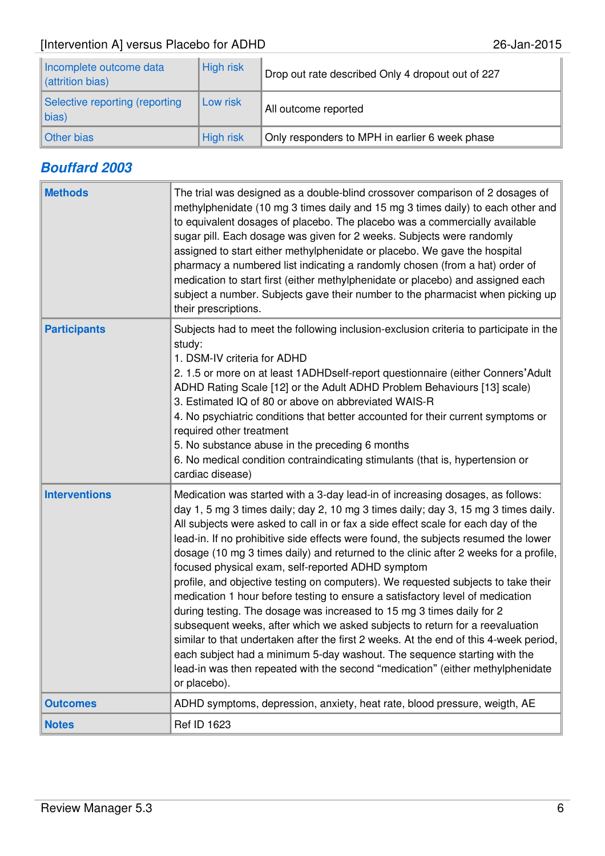| Incomplete outcome data<br>cattrition bias)  | <b>High risk</b> | Drop out rate described Only 4 dropout out of 227 |
|----------------------------------------------|------------------|---------------------------------------------------|
| Selective reporting (reporting<br>$\ $ bias) | Low risk         | All outcome reported                              |
| Other bias                                   | <b>High risk</b> | Only responders to MPH in earlier 6 week phase    |

# **Bouffard 2003**

| <b>Methods</b>       | The trial was designed as a double-blind crossover comparison of 2 dosages of<br>methylphenidate (10 mg 3 times daily and 15 mg 3 times daily) to each other and<br>to equivalent dosages of placebo. The placebo was a commercially available<br>sugar pill. Each dosage was given for 2 weeks. Subjects were randomly<br>assigned to start either methylphenidate or placebo. We gave the hospital<br>pharmacy a numbered list indicating a randomly chosen (from a hat) order of<br>medication to start first (either methylphenidate or placebo) and assigned each<br>subject a number. Subjects gave their number to the pharmacist when picking up<br>their prescriptions.                                                                                                                                                                                                                                                                                                                                                                                                                   |
|----------------------|----------------------------------------------------------------------------------------------------------------------------------------------------------------------------------------------------------------------------------------------------------------------------------------------------------------------------------------------------------------------------------------------------------------------------------------------------------------------------------------------------------------------------------------------------------------------------------------------------------------------------------------------------------------------------------------------------------------------------------------------------------------------------------------------------------------------------------------------------------------------------------------------------------------------------------------------------------------------------------------------------------------------------------------------------------------------------------------------------|
| <b>Participants</b>  | Subjects had to meet the following inclusion-exclusion criteria to participate in the<br>study:<br>1. DSM-IV criteria for ADHD<br>2. 1.5 or more on at least 1ADHDself-report questionnaire (either Conners' Adult<br>ADHD Rating Scale [12] or the Adult ADHD Problem Behaviours [13] scale)<br>3. Estimated IQ of 80 or above on abbreviated WAIS-R<br>4. No psychiatric conditions that better accounted for their current symptoms or<br>required other treatment<br>5. No substance abuse in the preceding 6 months<br>6. No medical condition contraindicating stimulants (that is, hypertension or<br>cardiac disease)                                                                                                                                                                                                                                                                                                                                                                                                                                                                      |
| <b>Interventions</b> | Medication was started with a 3-day lead-in of increasing dosages, as follows:<br>day 1, 5 mg 3 times daily; day 2, 10 mg 3 times daily; day 3, 15 mg 3 times daily.<br>All subjects were asked to call in or fax a side effect scale for each day of the<br>lead-in. If no prohibitive side effects were found, the subjects resumed the lower<br>dosage (10 mg 3 times daily) and returned to the clinic after 2 weeks for a profile,<br>focused physical exam, self-reported ADHD symptom<br>profile, and objective testing on computers). We requested subjects to take their<br>medication 1 hour before testing to ensure a satisfactory level of medication<br>during testing. The dosage was increased to 15 mg 3 times daily for 2<br>subsequent weeks, after which we asked subjects to return for a reevaluation<br>similar to that undertaken after the first 2 weeks. At the end of this 4-week period,<br>each subject had a minimum 5-day washout. The sequence starting with the<br>lead-in was then repeated with the second "medication" (either methylphenidate<br>or placebo). |
| <b>Outcomes</b>      | ADHD symptoms, depression, anxiety, heat rate, blood pressure, weigth, AE                                                                                                                                                                                                                                                                                                                                                                                                                                                                                                                                                                                                                                                                                                                                                                                                                                                                                                                                                                                                                          |
| <b>Notes</b>         | Ref ID 1623                                                                                                                                                                                                                                                                                                                                                                                                                                                                                                                                                                                                                                                                                                                                                                                                                                                                                                                                                                                                                                                                                        |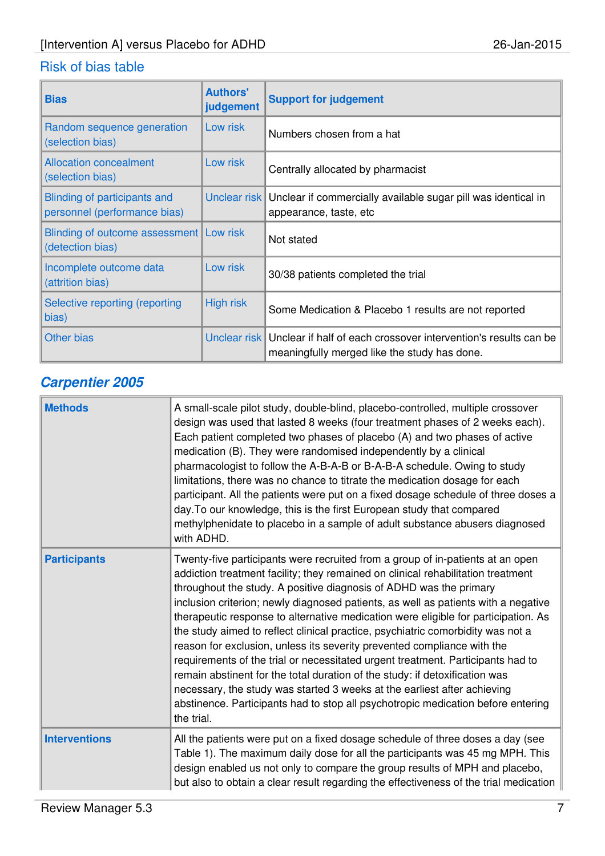| <b>Bias</b>                                                   | <b>Authors'</b><br>judgement | <b>Support for judgement</b>                                                                                                 |
|---------------------------------------------------------------|------------------------------|------------------------------------------------------------------------------------------------------------------------------|
| Random sequence generation<br>(selection bias)                | Low risk                     | Numbers chosen from a hat                                                                                                    |
| <b>Allocation concealment</b><br>(selection bias)             | Low risk                     | Centrally allocated by pharmacist                                                                                            |
| Blinding of participants and<br>personnel (performance bias)  | Unclear risk                 | Unclear if commercially available sugar pill was identical in<br>appearance, taste, etc                                      |
| Blinding of outcome assessment   Low risk<br>(detection bias) |                              | Not stated                                                                                                                   |
| Incomplete outcome data<br>(attrition bias)                   | Low risk                     | 30/38 patients completed the trial                                                                                           |
| Selective reporting (reporting<br>bias)                       | <b>High risk</b>             | Some Medication & Placebo 1 results are not reported                                                                         |
| <b>Other bias</b>                                             |                              | Unclear risk Unclear if half of each crossover intervention's results can be<br>meaningfully merged like the study has done. |

# **Carpentier 2005**

| <b>Methods</b>       | A small-scale pilot study, double-blind, placebo-controlled, multiple crossover<br>design was used that lasted 8 weeks (four treatment phases of 2 weeks each).<br>Each patient completed two phases of placebo (A) and two phases of active<br>medication (B). They were randomised independently by a clinical<br>pharmacologist to follow the A-B-A-B or B-A-B-A schedule. Owing to study<br>limitations, there was no chance to titrate the medication dosage for each<br>participant. All the patients were put on a fixed dosage schedule of three doses a<br>day. To our knowledge, this is the first European study that compared<br>methylphenidate to placebo in a sample of adult substance abusers diagnosed<br>with ADHD.                                                                                                                                                                                             |
|----------------------|------------------------------------------------------------------------------------------------------------------------------------------------------------------------------------------------------------------------------------------------------------------------------------------------------------------------------------------------------------------------------------------------------------------------------------------------------------------------------------------------------------------------------------------------------------------------------------------------------------------------------------------------------------------------------------------------------------------------------------------------------------------------------------------------------------------------------------------------------------------------------------------------------------------------------------|
| <b>Participants</b>  | Twenty-five participants were recruited from a group of in-patients at an open<br>addiction treatment facility; they remained on clinical rehabilitation treatment<br>throughout the study. A positive diagnosis of ADHD was the primary<br>inclusion criterion; newly diagnosed patients, as well as patients with a negative<br>therapeutic response to alternative medication were eligible for participation. As<br>the study aimed to reflect clinical practice, psychiatric comorbidity was not a<br>reason for exclusion, unless its severity prevented compliance with the<br>requirements of the trial or necessitated urgent treatment. Participants had to<br>remain abstinent for the total duration of the study: if detoxification was<br>necessary, the study was started 3 weeks at the earliest after achieving<br>abstinence. Participants had to stop all psychotropic medication before entering<br>the trial. |
| <b>Interventions</b> | All the patients were put on a fixed dosage schedule of three doses a day (see<br>Table 1). The maximum daily dose for all the participants was 45 mg MPH. This<br>design enabled us not only to compare the group results of MPH and placebo,<br>but also to obtain a clear result regarding the effectiveness of the trial medication                                                                                                                                                                                                                                                                                                                                                                                                                                                                                                                                                                                            |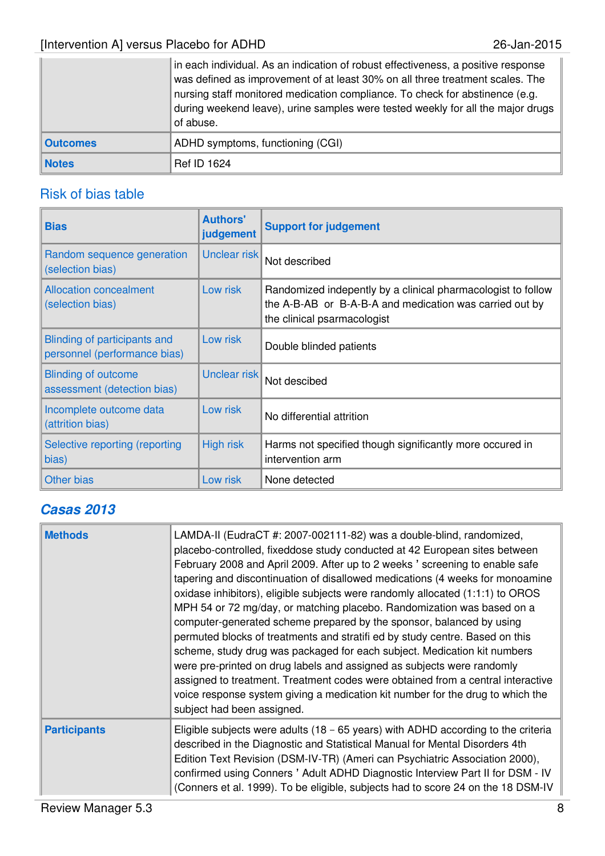|                 | in each individual. As an indication of robust effectiveness, a positive response<br>was defined as improvement of at least 30% on all three treatment scales. The<br>nursing staff monitored medication compliance. To check for abstinence (e.g.<br>during weekend leave), urine samples were tested weekly for all the major drugs<br>of abuse. |
|-----------------|----------------------------------------------------------------------------------------------------------------------------------------------------------------------------------------------------------------------------------------------------------------------------------------------------------------------------------------------------|
| <b>Outcomes</b> | ADHD symptoms, functioning (CGI)                                                                                                                                                                                                                                                                                                                   |
| <b>Notes</b>    | <b>Ref ID 1624</b>                                                                                                                                                                                                                                                                                                                                 |

# Risk of bias table

| <b>Bias</b>                                                  | <b>Authors'</b><br>judgement | <b>Support for judgement</b>                                                                                                                           |
|--------------------------------------------------------------|------------------------------|--------------------------------------------------------------------------------------------------------------------------------------------------------|
| Random sequence generation<br>(selection bias)               | Unclear risk                 | Not described                                                                                                                                          |
| <b>Allocation concealment</b><br>(selection bias)            | Low risk                     | Randomized indepently by a clinical pharmacologist to follow<br>the A-B-AB or B-A-B-A and medication was carried out by<br>the clinical psarmacologist |
| Blinding of participants and<br>personnel (performance bias) | Low risk                     | Double blinded patients                                                                                                                                |
| <b>Blinding of outcome</b><br>assessment (detection bias)    | Unclear risk                 | Not descibed                                                                                                                                           |
| Incomplete outcome data<br>(attrition bias)                  | Low risk                     | No differential attrition                                                                                                                              |
| Selective reporting (reporting<br>bias)                      | <b>High risk</b>             | Harms not specified though significantly more occured in<br>intervention arm                                                                           |
| <b>Other bias</b>                                            | Low risk                     | None detected                                                                                                                                          |

# **Casas 2013**

| <b>Methods</b>      | LAMDA-II (EudraCT #: 2007-002111-82) was a double-blind, randomized,<br>placebo-controlled, fixeddose study conducted at 42 European sites between<br>February 2008 and April 2009. After up to 2 weeks ' screening to enable safe<br>tapering and discontinuation of disallowed medications (4 weeks for monoamine<br>oxidase inhibitors), eligible subjects were randomly allocated (1:1:1) to OROS<br>MPH 54 or 72 mg/day, or matching placebo. Randomization was based on a<br>computer-generated scheme prepared by the sponsor, balanced by using<br>permuted blocks of treatments and stratifi ed by study centre. Based on this<br>scheme, study drug was packaged for each subject. Medication kit numbers<br>were pre-printed on drug labels and assigned as subjects were randomly<br>assigned to treatment. Treatment codes were obtained from a central interactive<br>voice response system giving a medication kit number for the drug to which the<br>subject had been assigned. |
|---------------------|--------------------------------------------------------------------------------------------------------------------------------------------------------------------------------------------------------------------------------------------------------------------------------------------------------------------------------------------------------------------------------------------------------------------------------------------------------------------------------------------------------------------------------------------------------------------------------------------------------------------------------------------------------------------------------------------------------------------------------------------------------------------------------------------------------------------------------------------------------------------------------------------------------------------------------------------------------------------------------------------------|
| <b>Participants</b> | Eligible subjects were adults $(18 - 65$ years) with ADHD according to the criteria<br>described in the Diagnostic and Statistical Manual for Mental Disorders 4th<br>Edition Text Revision (DSM-IV-TR) (Ameri can Psychiatric Association 2000),<br>confirmed using Conners' Adult ADHD Diagnostic Interview Part II for DSM - IV<br>(Conners et al. 1999). To be eligible, subjects had to score 24 on the 18 DSM-IV                                                                                                                                                                                                                                                                                                                                                                                                                                                                                                                                                                           |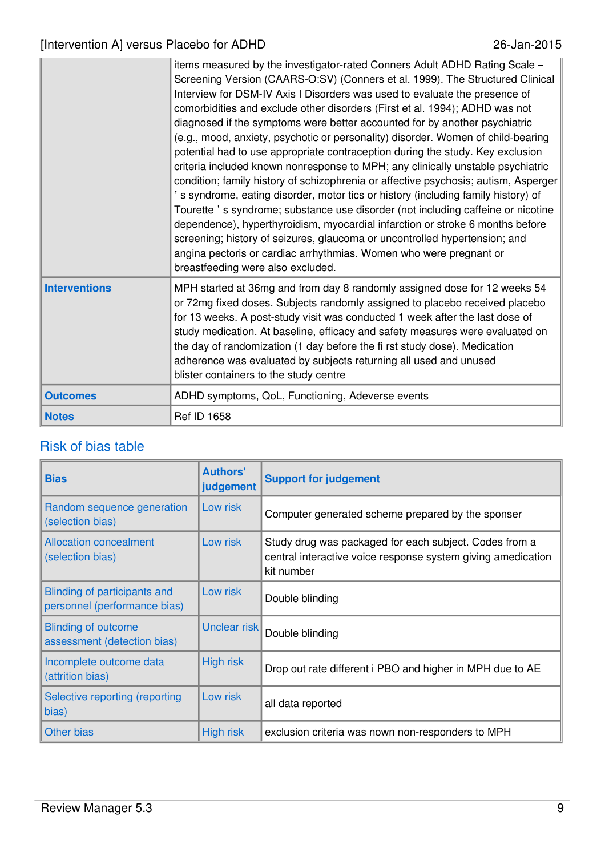|                      | items measured by the investigator-rated Conners Adult ADHD Rating Scale -<br>Screening Version (CAARS-O:SV) (Conners et al. 1999). The Structured Clinical<br>Interview for DSM-IV Axis I Disorders was used to evaluate the presence of<br>comorbidities and exclude other disorders (First et al. 1994); ADHD was not<br>diagnosed if the symptoms were better accounted for by another psychiatric<br>(e.g., mood, anxiety, psychotic or personality) disorder. Women of child-bearing<br>potential had to use appropriate contraception during the study. Key exclusion<br>criteria included known nonresponse to MPH; any clinically unstable psychiatric<br>condition; family history of schizophrenia or affective psychosis; autism, Asperger<br>'s syndrome, eating disorder, motor tics or history (including family history) of<br>Tourette's syndrome; substance use disorder (not including caffeine or nicotine<br>dependence), hyperthyroidism, myocardial infarction or stroke 6 months before<br>screening; history of seizures, glaucoma or uncontrolled hypertension; and<br>angina pectoris or cardiac arrhythmias. Women who were pregnant or<br>breastfeeding were also excluded. |
|----------------------|----------------------------------------------------------------------------------------------------------------------------------------------------------------------------------------------------------------------------------------------------------------------------------------------------------------------------------------------------------------------------------------------------------------------------------------------------------------------------------------------------------------------------------------------------------------------------------------------------------------------------------------------------------------------------------------------------------------------------------------------------------------------------------------------------------------------------------------------------------------------------------------------------------------------------------------------------------------------------------------------------------------------------------------------------------------------------------------------------------------------------------------------------------------------------------------------------------|
| <b>Interventions</b> | MPH started at 36mg and from day 8 randomly assigned dose for 12 weeks 54<br>or 72mg fixed doses. Subjects randomly assigned to placebo received placebo<br>for 13 weeks. A post-study visit was conducted 1 week after the last dose of<br>study medication. At baseline, efficacy and safety measures were evaluated on<br>the day of randomization (1 day before the fi rst study dose). Medication<br>adherence was evaluated by subjects returning all used and unused<br>blister containers to the study centre                                                                                                                                                                                                                                                                                                                                                                                                                                                                                                                                                                                                                                                                                    |
| <b>Outcomes</b>      | ADHD symptoms, QoL, Functioning, Adeverse events                                                                                                                                                                                                                                                                                                                                                                                                                                                                                                                                                                                                                                                                                                                                                                                                                                                                                                                                                                                                                                                                                                                                                         |
| <b>Notes</b>         | <b>Ref ID 1658</b>                                                                                                                                                                                                                                                                                                                                                                                                                                                                                                                                                                                                                                                                                                                                                                                                                                                                                                                                                                                                                                                                                                                                                                                       |

| <b>Bias</b>                                                  | <b>Authors'</b><br>judgement | <b>Support for judgement</b>                                                                                                         |
|--------------------------------------------------------------|------------------------------|--------------------------------------------------------------------------------------------------------------------------------------|
| Random sequence generation<br>(selection bias)               | Low risk                     | Computer generated scheme prepared by the sponser                                                                                    |
| <b>Allocation concealment</b><br>(selection bias)            | Low risk                     | Study drug was packaged for each subject. Codes from a<br>central interactive voice response system giving amedication<br>kit number |
| Blinding of participants and<br>personnel (performance bias) | Low risk                     | Double blinding                                                                                                                      |
| <b>Blinding of outcome</b><br>assessment (detection bias)    | Unclear risk                 | Double blinding                                                                                                                      |
| Incomplete outcome data<br>(attrition bias)                  | <b>High risk</b>             | Drop out rate different i PBO and higher in MPH due to AE                                                                            |
| Selective reporting (reporting<br>bias)                      | Low risk                     | all data reported                                                                                                                    |
| <b>Other bias</b>                                            | <b>High risk</b>             | exclusion criteria was nown non-responders to MPH                                                                                    |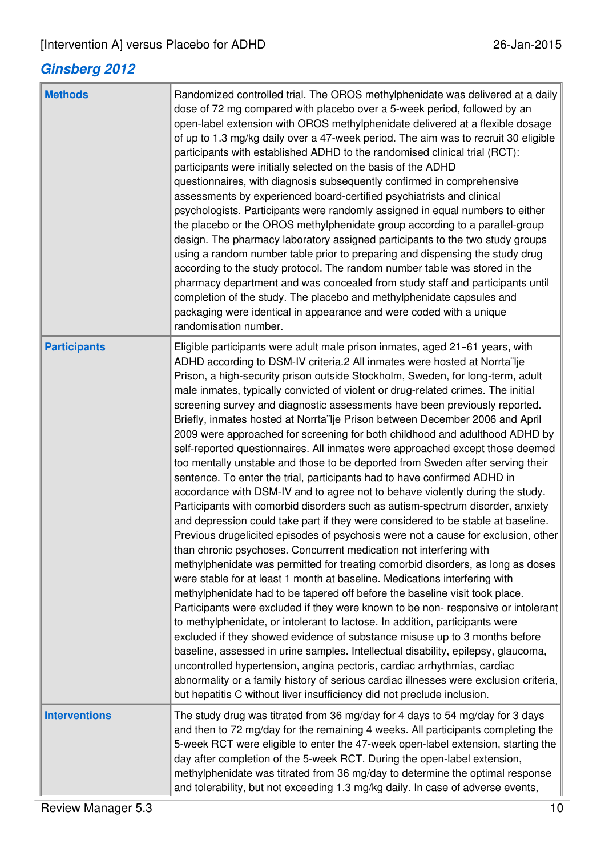# **Ginsberg 2012**

| <b>Methods</b>       | Randomized controlled trial. The OROS methylphenidate was delivered at a daily<br>dose of 72 mg compared with placebo over a 5-week period, followed by an<br>open-label extension with OROS methylphenidate delivered at a flexible dosage<br>of up to 1.3 mg/kg daily over a 47-week period. The aim was to recruit 30 eligible<br>participants with established ADHD to the randomised clinical trial (RCT):<br>participants were initially selected on the basis of the ADHD<br>questionnaires, with diagnosis subsequently confirmed in comprehensive<br>assessments by experienced board-certified psychiatrists and clinical<br>psychologists. Participants were randomly assigned in equal numbers to either<br>the placebo or the OROS methylphenidate group according to a parallel-group<br>design. The pharmacy laboratory assigned participants to the two study groups<br>using a random number table prior to preparing and dispensing the study drug<br>according to the study protocol. The random number table was stored in the<br>pharmacy department and was concealed from study staff and participants until<br>completion of the study. The placebo and methylphenidate capsules and<br>packaging were identical in appearance and were coded with a unique<br>randomisation number.                                                                                                                                                                                                                                                                                                                                                                                                                                                                                                                                                                                                                                                                                                                                                                         |
|----------------------|--------------------------------------------------------------------------------------------------------------------------------------------------------------------------------------------------------------------------------------------------------------------------------------------------------------------------------------------------------------------------------------------------------------------------------------------------------------------------------------------------------------------------------------------------------------------------------------------------------------------------------------------------------------------------------------------------------------------------------------------------------------------------------------------------------------------------------------------------------------------------------------------------------------------------------------------------------------------------------------------------------------------------------------------------------------------------------------------------------------------------------------------------------------------------------------------------------------------------------------------------------------------------------------------------------------------------------------------------------------------------------------------------------------------------------------------------------------------------------------------------------------------------------------------------------------------------------------------------------------------------------------------------------------------------------------------------------------------------------------------------------------------------------------------------------------------------------------------------------------------------------------------------------------------------------------------------------------------------------------------------------------------------------------------------------------------------------------|
| <b>Participants</b>  | Eligible participants were adult male prison inmates, aged 21-61 years, with<br>ADHD according to DSM-IV criteria.2 All inmates were hosted at Norrta lje<br>Prison, a high-security prison outside Stockholm, Sweden, for long-term, adult<br>male inmates, typically convicted of violent or drug-related crimes. The initial<br>screening survey and diagnostic assessments have been previously reported.<br>Briefly, inmates hosted at Norrta lje Prison between December 2006 and April<br>2009 were approached for screening for both childhood and adulthood ADHD by<br>self-reported questionnaires. All inmates were approached except those deemed<br>too mentally unstable and those to be deported from Sweden after serving their<br>sentence. To enter the trial, participants had to have confirmed ADHD in<br>accordance with DSM-IV and to agree not to behave violently during the study.<br>Participants with comorbid disorders such as autism-spectrum disorder, anxiety<br>and depression could take part if they were considered to be stable at baseline.<br>Previous drugelicited episodes of psychosis were not a cause for exclusion, other<br>than chronic psychoses. Concurrent medication not interfering with<br>methylphenidate was permitted for treating comorbid disorders, as long as doses<br>were stable for at least 1 month at baseline. Medications interfering with<br>methylphenidate had to be tapered off before the baseline visit took place.<br>Participants were excluded if they were known to be non-responsive or intolerant<br>to methylphenidate, or intolerant to lactose. In addition, participants were<br>excluded if they showed evidence of substance misuse up to 3 months before<br>baseline, assessed in urine samples. Intellectual disability, epilepsy, glaucoma,<br>uncontrolled hypertension, angina pectoris, cardiac arrhythmias, cardiac<br>abnormality or a family history of serious cardiac illnesses were exclusion criteria,<br>but hepatitis C without liver insufficiency did not preclude inclusion. |
| <b>Interventions</b> | The study drug was titrated from 36 mg/day for 4 days to 54 mg/day for 3 days<br>and then to 72 mg/day for the remaining 4 weeks. All participants completing the<br>5-week RCT were eligible to enter the 47-week open-label extension, starting the<br>day after completion of the 5-week RCT. During the open-label extension,<br>methylphenidate was titrated from 36 mg/day to determine the optimal response<br>and tolerability, but not exceeding 1.3 mg/kg daily. In case of adverse events,                                                                                                                                                                                                                                                                                                                                                                                                                                                                                                                                                                                                                                                                                                                                                                                                                                                                                                                                                                                                                                                                                                                                                                                                                                                                                                                                                                                                                                                                                                                                                                                |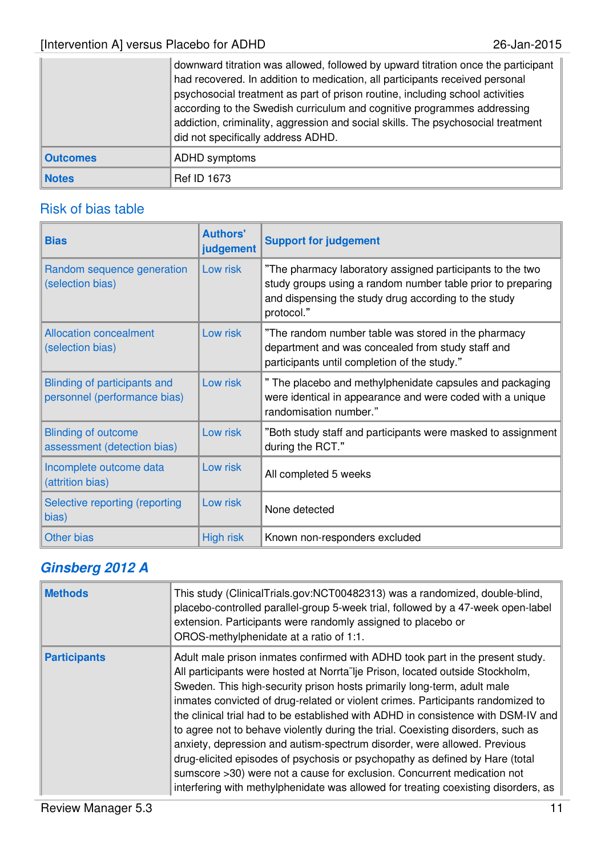|                 | downward titration was allowed, followed by upward titration once the participant<br>had recovered. In addition to medication, all participants received personal<br>psychosocial treatment as part of prison routine, including school activities<br>according to the Swedish curriculum and cognitive programmes addressing<br>addiction, criminality, aggression and social skills. The psychosocial treatment<br>did not specifically address ADHD. |
|-----------------|---------------------------------------------------------------------------------------------------------------------------------------------------------------------------------------------------------------------------------------------------------------------------------------------------------------------------------------------------------------------------------------------------------------------------------------------------------|
| <b>Outcomes</b> | ADHD symptoms                                                                                                                                                                                                                                                                                                                                                                                                                                           |
| <b>Notes</b>    | <b>Ref ID 1673</b>                                                                                                                                                                                                                                                                                                                                                                                                                                      |

# Risk of bias table

| <b>Bias</b>                                                  | <b>Authors'</b><br>judgement | <b>Support for judgement</b>                                                                                                                                                                   |
|--------------------------------------------------------------|------------------------------|------------------------------------------------------------------------------------------------------------------------------------------------------------------------------------------------|
| Random sequence generation<br>(selection bias)               | Low risk                     | "The pharmacy laboratory assigned participants to the two<br>study groups using a random number table prior to preparing<br>and dispensing the study drug according to the study<br>protocol." |
| <b>Allocation concealment</b><br>(selection bias)            | Low risk                     | "The random number table was stored in the pharmacy<br>department and was concealed from study staff and<br>participants until completion of the study."                                       |
| Blinding of participants and<br>personnel (performance bias) | Low risk                     | " The placebo and methylphenidate capsules and packaging<br>were identical in appearance and were coded with a unique<br>randomisation number."                                                |
| <b>Blinding of outcome</b><br>assessment (detection bias)    | Low risk                     | "Both study staff and participants were masked to assignment<br>during the RCT."                                                                                                               |
| Incomplete outcome data<br>(attrition bias)                  | Low risk                     | All completed 5 weeks                                                                                                                                                                          |
| Selective reporting (reporting<br>bias)                      | Low risk                     | None detected                                                                                                                                                                                  |
| <b>Other bias</b>                                            | <b>High risk</b>             | Known non-responders excluded                                                                                                                                                                  |

# **Ginsberg 2012 A**

| <b>Methods</b>      | This study (ClinicalTrials.gov:NCT00482313) was a randomized, double-blind,<br>placebo-controlled parallel-group 5-week trial, followed by a 47-week open-label<br>extension. Participants were randomly assigned to placebo or<br>OROS-methylphenidate at a ratio of 1:1.                                                                                                                                                                                                                                                                                                                                                                                                                                                                                                                                                         |
|---------------------|------------------------------------------------------------------------------------------------------------------------------------------------------------------------------------------------------------------------------------------------------------------------------------------------------------------------------------------------------------------------------------------------------------------------------------------------------------------------------------------------------------------------------------------------------------------------------------------------------------------------------------------------------------------------------------------------------------------------------------------------------------------------------------------------------------------------------------|
| <b>Participants</b> | Adult male prison inmates confirmed with ADHD took part in the present study.<br>All participants were hosted at Norrta lje Prison, located outside Stockholm,<br>Sweden. This high-security prison hosts primarily long-term, adult male<br>inmates convicted of drug-related or violent crimes. Participants randomized to<br>the clinical trial had to be established with ADHD in consistence with DSM-IV and<br>to agree not to behave violently during the trial. Coexisting disorders, such as<br>anxiety, depression and autism-spectrum disorder, were allowed. Previous<br>drug-elicited episodes of psychosis or psychopathy as defined by Hare (total<br>sumscore >30) were not a cause for exclusion. Concurrent medication not<br>interfering with methylphenidate was allowed for treating coexisting disorders, as |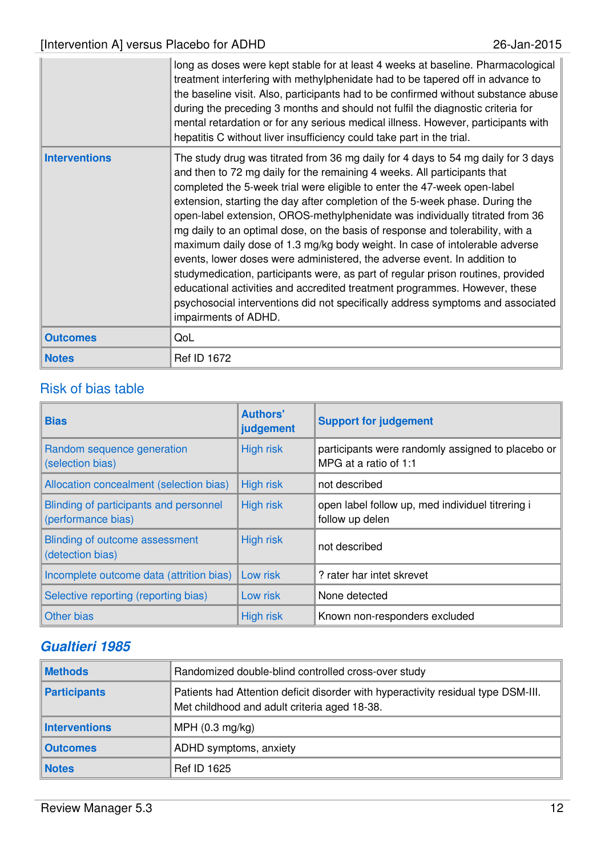|                      | long as doses were kept stable for at least 4 weeks at baseline. Pharmacological<br>treatment interfering with methylphenidate had to be tapered off in advance to<br>the baseline visit. Also, participants had to be confirmed without substance abuse<br>during the preceding 3 months and should not fulfil the diagnostic criteria for<br>mental retardation or for any serious medical illness. However, participants with<br>hepatitis C without liver insufficiency could take part in the trial.                                                                                                                                                                                                                                                                                                                                                                                                                           |
|----------------------|-------------------------------------------------------------------------------------------------------------------------------------------------------------------------------------------------------------------------------------------------------------------------------------------------------------------------------------------------------------------------------------------------------------------------------------------------------------------------------------------------------------------------------------------------------------------------------------------------------------------------------------------------------------------------------------------------------------------------------------------------------------------------------------------------------------------------------------------------------------------------------------------------------------------------------------|
| <b>Interventions</b> | The study drug was titrated from 36 mg daily for 4 days to 54 mg daily for 3 days<br>and then to 72 mg daily for the remaining 4 weeks. All participants that<br>completed the 5-week trial were eligible to enter the 47-week open-label<br>extension, starting the day after completion of the 5-week phase. During the<br>open-label extension, OROS-methylphenidate was individually titrated from 36<br>mg daily to an optimal dose, on the basis of response and tolerability, with a<br>maximum daily dose of 1.3 mg/kg body weight. In case of intolerable adverse<br>events, lower doses were administered, the adverse event. In addition to<br>studymedication, participants were, as part of regular prison routines, provided<br>educational activities and accredited treatment programmes. However, these<br>psychosocial interventions did not specifically address symptoms and associated<br>impairments of ADHD. |
| <b>Outcomes</b>      | QoL                                                                                                                                                                                                                                                                                                                                                                                                                                                                                                                                                                                                                                                                                                                                                                                                                                                                                                                                 |
| <b>Notes</b>         | <b>Ref ID 1672</b>                                                                                                                                                                                                                                                                                                                                                                                                                                                                                                                                                                                                                                                                                                                                                                                                                                                                                                                  |

| <b>Bias</b>                                                  | <b>Authors'</b><br>judgement | <b>Support for judgement</b>                                               |
|--------------------------------------------------------------|------------------------------|----------------------------------------------------------------------------|
| Random sequence generation<br>(selection bias)               | <b>High risk</b>             | participants were randomly assigned to placebo or<br>MPG at a ratio of 1:1 |
| Allocation concealment (selection bias)                      | <b>High risk</b>             | not described                                                              |
| Blinding of participants and personnel<br>(performance bias) | <b>High risk</b>             | open label follow up, med individuel titrering i<br>follow up delen        |
| Blinding of outcome assessment<br>(detection bias)           | <b>High risk</b>             | not described                                                              |
| Incomplete outcome data (attrition bias)                     | Low risk                     | ? rater har intet skrevet                                                  |
| Selective reporting (reporting bias)                         | Low risk                     | None detected                                                              |
| Other bias                                                   | <b>High risk</b>             | Known non-responders excluded                                              |

### **Gualtieri 1985**

| <b>Methods</b>      | Randomized double-blind controlled cross-over study                                                                               |
|---------------------|-----------------------------------------------------------------------------------------------------------------------------------|
| <b>Participants</b> | Patients had Attention deficit disorder with hyperactivity residual type DSM-III.<br>Met childhood and adult criteria aged 18-38. |
| Interventions       | MPH $(0.3 \text{ mg/kg})$                                                                                                         |
| <b>Outcomes</b>     | ADHD symptoms, anxiety                                                                                                            |
| <b>Notes</b>        | <b>Ref ID 1625</b>                                                                                                                |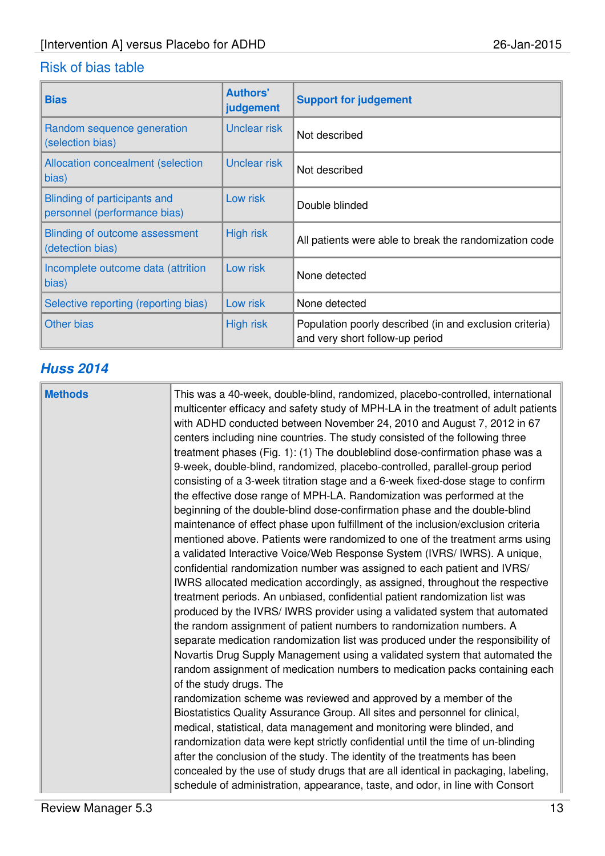| <b>Bias</b>                                                  | <b>Authors'</b><br>judgement | <b>Support for judgement</b>                                                               |
|--------------------------------------------------------------|------------------------------|--------------------------------------------------------------------------------------------|
| Random sequence generation<br>(selection bias)               | <b>Unclear risk</b>          | Not described                                                                              |
| <b>Allocation concealment (selection</b><br>bias)            | Unclear risk                 | Not described                                                                              |
| Blinding of participants and<br>personnel (performance bias) | Low risk                     | Double blinded                                                                             |
| Blinding of outcome assessment<br>(detection bias)           | <b>High risk</b>             | All patients were able to break the randomization code                                     |
| Incomplete outcome data (attrition<br>bias)                  | Low risk                     | None detected                                                                              |
| Selective reporting (reporting bias)                         | Low risk                     | None detected                                                                              |
| <b>Other bias</b>                                            | High risk                    | Population poorly described (in and exclusion criteria)<br>and very short follow-up period |

# **Huss 2014**

| <b>Methods</b> | This was a 40-week, double-blind, randomized, placebo-controlled, international<br>multicenter efficacy and safety study of MPH-LA in the treatment of adult patients<br>with ADHD conducted between November 24, 2010 and August 7, 2012 in 67<br>centers including nine countries. The study consisted of the following three<br>treatment phases (Fig. 1): (1) The doubleblind dose-confirmation phase was a<br>9-week, double-blind, randomized, placebo-controlled, parallel-group period<br>consisting of a 3-week titration stage and a 6-week fixed-dose stage to confirm<br>the effective dose range of MPH-LA. Randomization was performed at the<br>beginning of the double-blind dose-confirmation phase and the double-blind<br>maintenance of effect phase upon fulfillment of the inclusion/exclusion criteria<br>mentioned above. Patients were randomized to one of the treatment arms using<br>a validated Interactive Voice/Web Response System (IVRS/ IWRS). A unique,<br>confidential randomization number was assigned to each patient and IVRS/<br>IWRS allocated medication accordingly, as assigned, throughout the respective<br>treatment periods. An unbiased, confidential patient randomization list was<br>produced by the IVRS/IWRS provider using a validated system that automated<br>the random assignment of patient numbers to randomization numbers. A<br>separate medication randomization list was produced under the responsibility of<br>Novartis Drug Supply Management using a validated system that automated the<br>random assignment of medication numbers to medication packs containing each<br>of the study drugs. The<br>randomization scheme was reviewed and approved by a member of the<br>Biostatistics Quality Assurance Group. All sites and personnel for clinical,<br>medical, statistical, data management and monitoring were blinded, and<br>randomization data were kept strictly confidential until the time of un-blinding |
|----------------|---------------------------------------------------------------------------------------------------------------------------------------------------------------------------------------------------------------------------------------------------------------------------------------------------------------------------------------------------------------------------------------------------------------------------------------------------------------------------------------------------------------------------------------------------------------------------------------------------------------------------------------------------------------------------------------------------------------------------------------------------------------------------------------------------------------------------------------------------------------------------------------------------------------------------------------------------------------------------------------------------------------------------------------------------------------------------------------------------------------------------------------------------------------------------------------------------------------------------------------------------------------------------------------------------------------------------------------------------------------------------------------------------------------------------------------------------------------------------------------------------------------------------------------------------------------------------------------------------------------------------------------------------------------------------------------------------------------------------------------------------------------------------------------------------------------------------------------------------------------------------------------------------------------------------------------------------------------------------------------------|
|                | after the conclusion of the study. The identity of the treatments has been<br>concealed by the use of study drugs that are all identical in packaging, labeling,<br>schedule of administration, appearance, taste, and odor, in line with Consort                                                                                                                                                                                                                                                                                                                                                                                                                                                                                                                                                                                                                                                                                                                                                                                                                                                                                                                                                                                                                                                                                                                                                                                                                                                                                                                                                                                                                                                                                                                                                                                                                                                                                                                                           |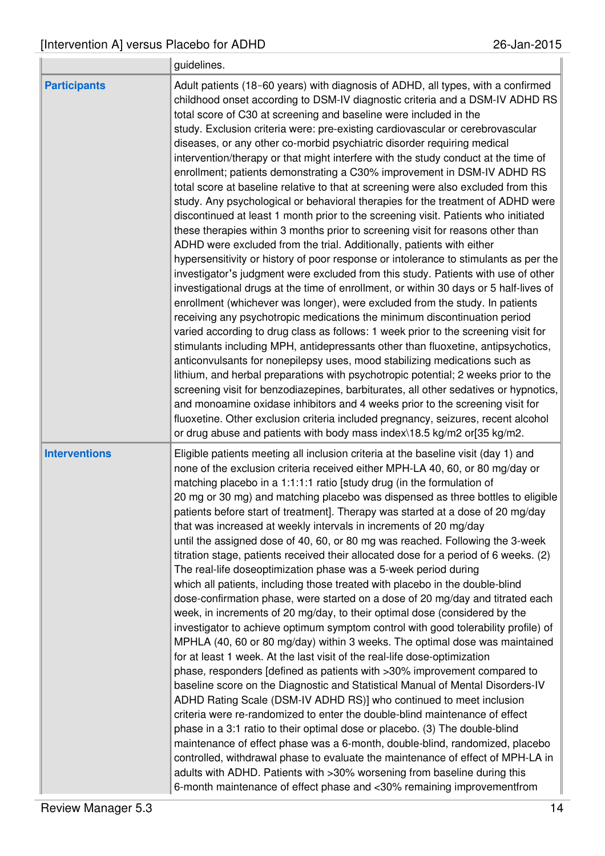$\alpha$ 

|                      | guidelines.                                                                                                                                                                                                                                                                                                                                                                                                                                                                                                                                                                                                                                                                                                                                                                                                                                                                                                                                                                                                                                                                                                                                                                                                                                                                                                                                                                                                                                                                                                                                                                                                                                                                                                                                                                                                                                                                                                                                                                                                                                                                                                              |
|----------------------|--------------------------------------------------------------------------------------------------------------------------------------------------------------------------------------------------------------------------------------------------------------------------------------------------------------------------------------------------------------------------------------------------------------------------------------------------------------------------------------------------------------------------------------------------------------------------------------------------------------------------------------------------------------------------------------------------------------------------------------------------------------------------------------------------------------------------------------------------------------------------------------------------------------------------------------------------------------------------------------------------------------------------------------------------------------------------------------------------------------------------------------------------------------------------------------------------------------------------------------------------------------------------------------------------------------------------------------------------------------------------------------------------------------------------------------------------------------------------------------------------------------------------------------------------------------------------------------------------------------------------------------------------------------------------------------------------------------------------------------------------------------------------------------------------------------------------------------------------------------------------------------------------------------------------------------------------------------------------------------------------------------------------------------------------------------------------------------------------------------------------|
| <b>Participants</b>  | Adult patients (18-60 years) with diagnosis of ADHD, all types, with a confirmed<br>childhood onset according to DSM-IV diagnostic criteria and a DSM-IV ADHD RS<br>total score of C30 at screening and baseline were included in the<br>study. Exclusion criteria were: pre-existing cardiovascular or cerebrovascular<br>diseases, or any other co-morbid psychiatric disorder requiring medical<br>intervention/therapy or that might interfere with the study conduct at the time of<br>enrollment; patients demonstrating a C30% improvement in DSM-IV ADHD RS<br>total score at baseline relative to that at screening were also excluded from this<br>study. Any psychological or behavioral therapies for the treatment of ADHD were<br>discontinued at least 1 month prior to the screening visit. Patients who initiated<br>these therapies within 3 months prior to screening visit for reasons other than<br>ADHD were excluded from the trial. Additionally, patients with either<br>hypersensitivity or history of poor response or intolerance to stimulants as per the<br>investigator's judgment were excluded from this study. Patients with use of other<br>investigational drugs at the time of enrollment, or within 30 days or 5 half-lives of<br>enrollment (whichever was longer), were excluded from the study. In patients<br>receiving any psychotropic medications the minimum discontinuation period<br>varied according to drug class as follows: 1 week prior to the screening visit for<br>stimulants including MPH, antidepressants other than fluoxetine, antipsychotics,<br>anticonvulsants for nonepilepsy uses, mood stabilizing medications such as<br>lithium, and herbal preparations with psychotropic potential; 2 weeks prior to the<br>screening visit for benzodiazepines, barbiturates, all other sedatives or hypnotics,<br>and monoamine oxidase inhibitors and 4 weeks prior to the screening visit for<br>fluoxetine. Other exclusion criteria included pregnancy, seizures, recent alcohol<br>or drug abuse and patients with body mass index\18.5 kg/m2 or[35 kg/m2. |
| <b>Interventions</b> | Eligible patients meeting all inclusion criteria at the baseline visit (day 1) and<br>none of the exclusion criteria received either MPH-LA 40, 60, or 80 mg/day or<br>matching placebo in a 1:1:1:1 ratio [study drug (in the formulation of<br>20 mg or 30 mg) and matching placebo was dispensed as three bottles to eligible<br>patients before start of treatment]. Therapy was started at a dose of 20 mg/day<br>that was increased at weekly intervals in increments of 20 mg/day<br>until the assigned dose of 40, 60, or 80 mg was reached. Following the 3-week<br>titration stage, patients received their allocated dose for a period of 6 weeks. (2)<br>The real-life doseoptimization phase was a 5-week period during<br>which all patients, including those treated with placebo in the double-blind<br>dose-confirmation phase, were started on a dose of 20 mg/day and titrated each<br>week, in increments of 20 mg/day, to their optimal dose (considered by the<br>investigator to achieve optimum symptom control with good tolerability profile) of<br>MPHLA (40, 60 or 80 mg/day) within 3 weeks. The optimal dose was maintained<br>for at least 1 week. At the last visit of the real-life dose-optimization<br>phase, responders [defined as patients with >30% improvement compared to<br>baseline score on the Diagnostic and Statistical Manual of Mental Disorders-IV<br>ADHD Rating Scale (DSM-IV ADHD RS)] who continued to meet inclusion<br>criteria were re-randomized to enter the double-blind maintenance of effect<br>phase in a 3:1 ratio to their optimal dose or placebo. (3) The double-blind<br>maintenance of effect phase was a 6-month, double-blind, randomized, placebo<br>controlled, withdrawal phase to evaluate the maintenance of effect of MPH-LA in<br>adults with ADHD. Patients with >30% worsening from baseline during this<br>6-month maintenance of effect phase and <30% remaining improvement from                                                                                                                                                      |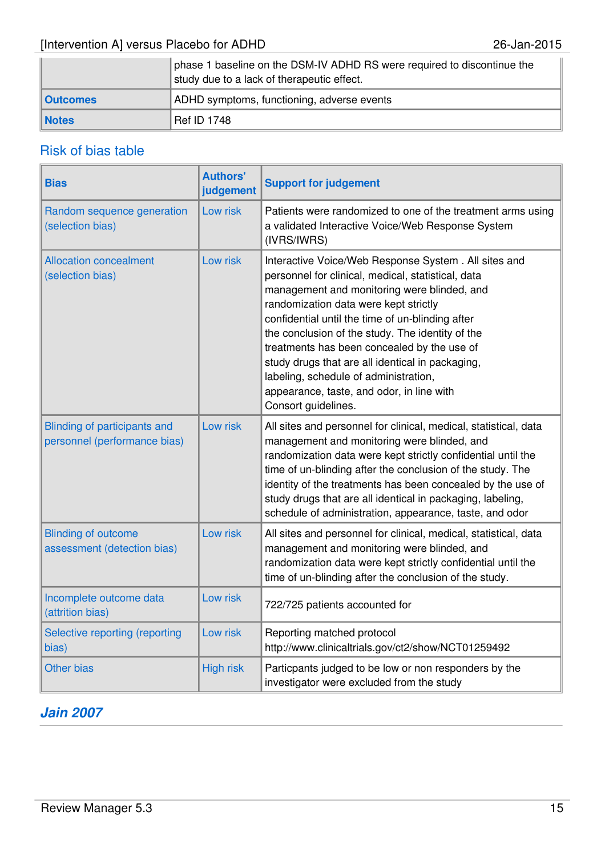|                 | phase 1 baseline on the DSM-IV ADHD RS were required to discontinue the<br>study due to a lack of therapeutic effect. |
|-----------------|-----------------------------------------------------------------------------------------------------------------------|
| <b>Outcomes</b> | ADHD symptoms, functioning, adverse events                                                                            |
| <b>Notes</b>    | <b>Ref ID 1748</b>                                                                                                    |

### Risk of bias table

| <b>Bias</b>                                                  | <b>Authors'</b><br>judgement | <b>Support for judgement</b>                                                                                                                                                                                                                                                                                                                                                                                                                                                                                                |
|--------------------------------------------------------------|------------------------------|-----------------------------------------------------------------------------------------------------------------------------------------------------------------------------------------------------------------------------------------------------------------------------------------------------------------------------------------------------------------------------------------------------------------------------------------------------------------------------------------------------------------------------|
| Random sequence generation<br>(selection bias)               | Low risk                     | Patients were randomized to one of the treatment arms using<br>a validated Interactive Voice/Web Response System<br>(IVRS/IWRS)                                                                                                                                                                                                                                                                                                                                                                                             |
| <b>Allocation concealment</b><br>(selection bias)            | Low risk                     | Interactive Voice/Web Response System . All sites and<br>personnel for clinical, medical, statistical, data<br>management and monitoring were blinded, and<br>randomization data were kept strictly<br>confidential until the time of un-blinding after<br>the conclusion of the study. The identity of the<br>treatments has been concealed by the use of<br>study drugs that are all identical in packaging,<br>labeling, schedule of administration,<br>appearance, taste, and odor, in line with<br>Consort guidelines. |
| Blinding of participants and<br>personnel (performance bias) | Low risk                     | All sites and personnel for clinical, medical, statistical, data<br>management and monitoring were blinded, and<br>randomization data were kept strictly confidential until the<br>time of un-blinding after the conclusion of the study. The<br>identity of the treatments has been concealed by the use of<br>study drugs that are all identical in packaging, labeling,<br>schedule of administration, appearance, taste, and odor                                                                                       |
| <b>Blinding of outcome</b><br>assessment (detection bias)    | Low risk                     | All sites and personnel for clinical, medical, statistical, data<br>management and monitoring were blinded, and<br>randomization data were kept strictly confidential until the<br>time of un-blinding after the conclusion of the study.                                                                                                                                                                                                                                                                                   |
| Incomplete outcome data<br>(attrition bias)                  | Low risk                     | 722/725 patients accounted for                                                                                                                                                                                                                                                                                                                                                                                                                                                                                              |
| Selective reporting (reporting<br>bias)                      | Low risk                     | Reporting matched protocol<br>http://www.clinicaltrials.gov/ct2/show/NCT01259492                                                                                                                                                                                                                                                                                                                                                                                                                                            |
| <b>Other bias</b>                                            | <b>High risk</b>             | Particpants judged to be low or non responders by the<br>investigator were excluded from the study                                                                                                                                                                                                                                                                                                                                                                                                                          |

### **Jain 2007**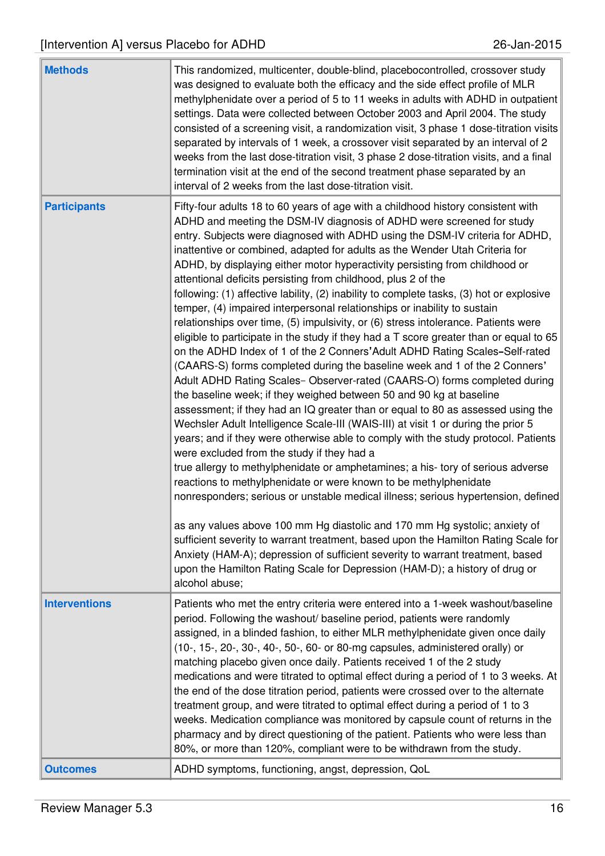| <b>Methods</b>       | This randomized, multicenter, double-blind, placebocontrolled, crossover study<br>was designed to evaluate both the efficacy and the side effect profile of MLR<br>methylphenidate over a period of 5 to 11 weeks in adults with ADHD in outpatient<br>settings. Data were collected between October 2003 and April 2004. The study<br>consisted of a screening visit, a randomization visit, 3 phase 1 dose-titration visits<br>separated by intervals of 1 week, a crossover visit separated by an interval of 2<br>weeks from the last dose-titration visit, 3 phase 2 dose-titration visits, and a final<br>termination visit at the end of the second treatment phase separated by an<br>interval of 2 weeks from the last dose-titration visit.                                                                                                                                                                                                                                                                                                                                                                                                                                                                                                                                                                                                                                                                                                                                                                                                                                                                                                                                                                                                                                                                                                                                                                                                                                                                                                               |
|----------------------|---------------------------------------------------------------------------------------------------------------------------------------------------------------------------------------------------------------------------------------------------------------------------------------------------------------------------------------------------------------------------------------------------------------------------------------------------------------------------------------------------------------------------------------------------------------------------------------------------------------------------------------------------------------------------------------------------------------------------------------------------------------------------------------------------------------------------------------------------------------------------------------------------------------------------------------------------------------------------------------------------------------------------------------------------------------------------------------------------------------------------------------------------------------------------------------------------------------------------------------------------------------------------------------------------------------------------------------------------------------------------------------------------------------------------------------------------------------------------------------------------------------------------------------------------------------------------------------------------------------------------------------------------------------------------------------------------------------------------------------------------------------------------------------------------------------------------------------------------------------------------------------------------------------------------------------------------------------------------------------------------------------------------------------------------------------------|
| <b>Participants</b>  | Fifty-four adults 18 to 60 years of age with a childhood history consistent with<br>ADHD and meeting the DSM-IV diagnosis of ADHD were screened for study<br>entry. Subjects were diagnosed with ADHD using the DSM-IV criteria for ADHD,<br>inattentive or combined, adapted for adults as the Wender Utah Criteria for<br>ADHD, by displaying either motor hyperactivity persisting from childhood or<br>attentional deficits persisting from childhood, plus 2 of the<br>following: (1) affective lability, (2) inability to complete tasks, (3) hot or explosive<br>temper, (4) impaired interpersonal relationships or inability to sustain<br>relationships over time, (5) impulsivity, or (6) stress intolerance. Patients were<br>eligible to participate in the study if they had a $T$ score greater than or equal to 65<br>on the ADHD Index of 1 of the 2 Conners' Adult ADHD Rating Scales-Self-rated<br>(CAARS-S) forms completed during the baseline week and 1 of the 2 Conners'<br>Adult ADHD Rating Scales- Observer-rated (CAARS-O) forms completed during<br>the baseline week; if they weighed between 50 and 90 kg at baseline<br>assessment; if they had an IQ greater than or equal to 80 as assessed using the<br>Wechsler Adult Intelligence Scale-III (WAIS-III) at visit 1 or during the prior 5<br>years; and if they were otherwise able to comply with the study protocol. Patients<br>were excluded from the study if they had a<br>true allergy to methylphenidate or amphetamines; a his- tory of serious adverse<br>reactions to methylphenidate or were known to be methylphenidate<br>nonresponders; serious or unstable medical illness; serious hypertension, defined<br>as any values above 100 mm Hg diastolic and 170 mm Hg systolic; anxiety of<br>sufficient severity to warrant treatment, based upon the Hamilton Rating Scale for<br>Anxiety (HAM-A); depression of sufficient severity to warrant treatment, based<br>upon the Hamilton Rating Scale for Depression (HAM-D); a history of drug or<br>alcohol abuse; |
| <b>Interventions</b> | Patients who met the entry criteria were entered into a 1-week washout/baseline<br>period. Following the washout/ baseline period, patients were randomly<br>assigned, in a blinded fashion, to either MLR methylphenidate given once daily<br>(10-, 15-, 20-, 30-, 40-, 50-, 60- or 80-mg capsules, administered orally) or<br>matching placebo given once daily. Patients received 1 of the 2 study<br>medications and were titrated to optimal effect during a period of 1 to 3 weeks. At<br>the end of the dose titration period, patients were crossed over to the alternate<br>treatment group, and were titrated to optimal effect during a period of 1 to 3<br>weeks. Medication compliance was monitored by capsule count of returns in the<br>pharmacy and by direct questioning of the patient. Patients who were less than<br>80%, or more than 120%, compliant were to be withdrawn from the study.                                                                                                                                                                                                                                                                                                                                                                                                                                                                                                                                                                                                                                                                                                                                                                                                                                                                                                                                                                                                                                                                                                                                                    |
| <b>Outcomes</b>      | ADHD symptoms, functioning, angst, depression, QoL                                                                                                                                                                                                                                                                                                                                                                                                                                                                                                                                                                                                                                                                                                                                                                                                                                                                                                                                                                                                                                                                                                                                                                                                                                                                                                                                                                                                                                                                                                                                                                                                                                                                                                                                                                                                                                                                                                                                                                                                                  |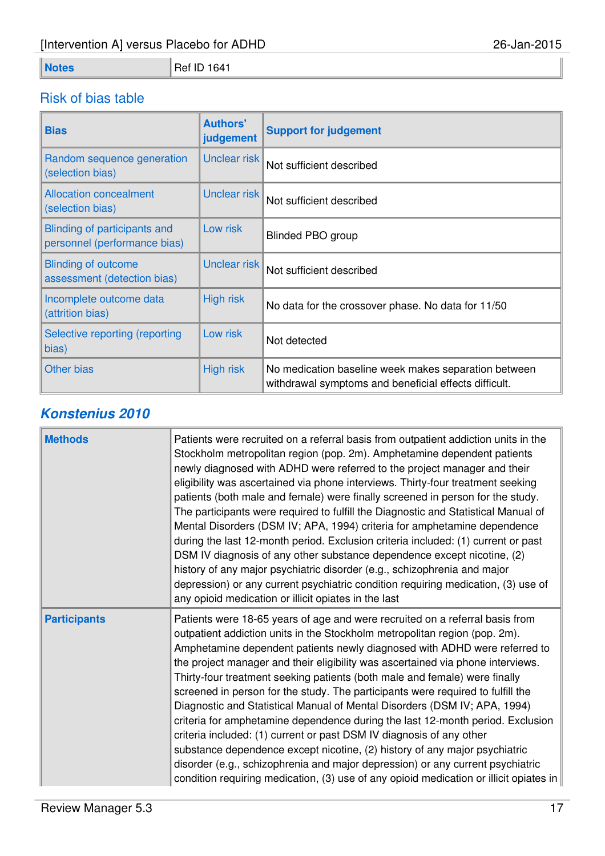**Notes** Ref ID 1641

# Risk of bias table

| <b>Bias</b>                                                  | <b>Authors'</b><br>judgement | <b>Support for judgement</b>                                                                                  |
|--------------------------------------------------------------|------------------------------|---------------------------------------------------------------------------------------------------------------|
| Random sequence generation<br>(selection bias)               | Unclear risk                 | Not sufficient described                                                                                      |
| <b>Allocation concealment</b><br>(selection bias)            | Unclear risk                 | Not sufficient described                                                                                      |
| Blinding of participants and<br>personnel (performance bias) | Low risk                     | <b>Blinded PBO group</b>                                                                                      |
| <b>Blinding of outcome</b><br>assessment (detection bias)    | Unclear risk                 | Not sufficient described                                                                                      |
| Incomplete outcome data<br>(attrition bias)                  | <b>High risk</b>             | No data for the crossover phase. No data for 11/50                                                            |
| Selective reporting (reporting<br>bias)                      | Low risk                     | Not detected                                                                                                  |
| <b>Other bias</b>                                            | <b>High risk</b>             | No medication baseline week makes separation between<br>withdrawal symptoms and beneficial effects difficult. |

# **Konstenius 2010**

| <b>Methods</b>      | Patients were recruited on a referral basis from outpatient addiction units in the<br>Stockholm metropolitan region (pop. 2m). Amphetamine dependent patients<br>newly diagnosed with ADHD were referred to the project manager and their<br>eligibility was ascertained via phone interviews. Thirty-four treatment seeking<br>patients (both male and female) were finally screened in person for the study.<br>The participants were required to fulfill the Diagnostic and Statistical Manual of<br>Mental Disorders (DSM IV; APA, 1994) criteria for amphetamine dependence<br>during the last 12-month period. Exclusion criteria included: (1) current or past<br>DSM IV diagnosis of any other substance dependence except nicotine, (2)<br>history of any major psychiatric disorder (e.g., schizophrenia and major<br>depression) or any current psychiatric condition requiring medication, (3) use of<br>any opioid medication or illicit opiates in the last                    |
|---------------------|----------------------------------------------------------------------------------------------------------------------------------------------------------------------------------------------------------------------------------------------------------------------------------------------------------------------------------------------------------------------------------------------------------------------------------------------------------------------------------------------------------------------------------------------------------------------------------------------------------------------------------------------------------------------------------------------------------------------------------------------------------------------------------------------------------------------------------------------------------------------------------------------------------------------------------------------------------------------------------------------|
| <b>Participants</b> | Patients were 18-65 years of age and were recruited on a referral basis from<br>outpatient addiction units in the Stockholm metropolitan region (pop. 2m).<br>Amphetamine dependent patients newly diagnosed with ADHD were referred to<br>the project manager and their eligibility was ascertained via phone interviews.<br>Thirty-four treatment seeking patients (both male and female) were finally<br>screened in person for the study. The participants were required to fulfill the<br>Diagnostic and Statistical Manual of Mental Disorders (DSM IV; APA, 1994)<br>criteria for amphetamine dependence during the last 12-month period. Exclusion<br>criteria included: (1) current or past DSM IV diagnosis of any other<br>substance dependence except nicotine, (2) history of any major psychiatric<br>disorder (e.g., schizophrenia and major depression) or any current psychiatric<br>condition requiring medication, (3) use of any opioid medication or illicit opiates in |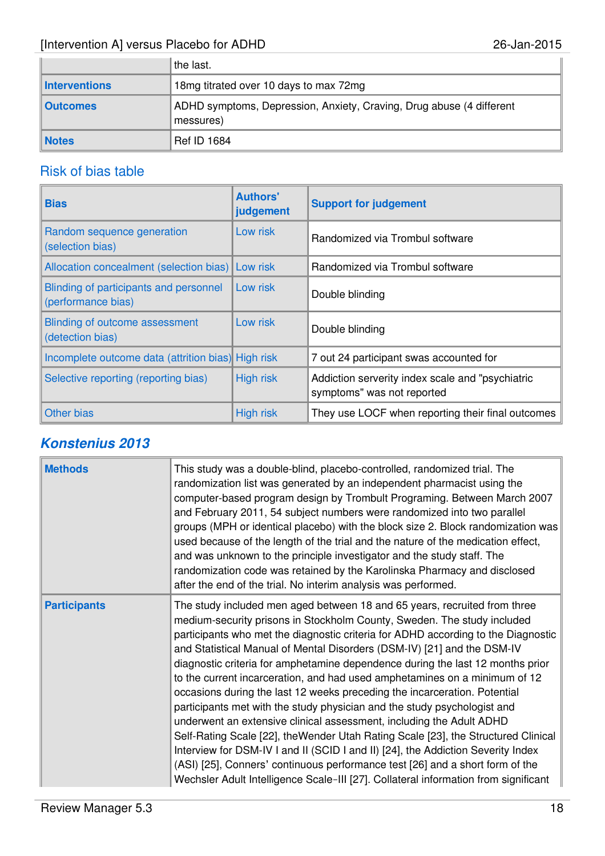|                 | the last.                                                                         |
|-----------------|-----------------------------------------------------------------------------------|
| Interventions   | 18mg titrated over 10 days to max 72mg                                            |
| <b>Outcomes</b> | ADHD symptoms, Depression, Anxiety, Craving, Drug abuse (4 different<br>messures) |
| <b>Notes</b>    | <b>Ref ID 1684</b>                                                                |

### Risk of bias table

| <b>Bias</b>                                                  | <b>Authors'</b><br>judgement | <b>Support for judgement</b>                                                   |
|--------------------------------------------------------------|------------------------------|--------------------------------------------------------------------------------|
| Random sequence generation<br>(selection bias)               | Low risk                     | Randomized via Trombul software                                                |
| Allocation concealment (selection bias)                      | Low risk                     | Randomized via Trombul software                                                |
| Blinding of participants and personnel<br>(performance bias) | Low risk                     | Double blinding                                                                |
| Blinding of outcome assessment<br>(detection bias)           | Low risk                     | Double blinding                                                                |
| Incomplete outcome data (attrition bias) High risk           |                              | 7 out 24 participant swas accounted for                                        |
| Selective reporting (reporting bias)                         | <b>High risk</b>             | Addiction serverity index scale and "psychiatric<br>symptoms" was not reported |
| <b>Other bias</b>                                            | <b>High risk</b>             | They use LOCF when reporting their final outcomes                              |

# **Konstenius 2013**

| <b>Methods</b>      | This study was a double-blind, placebo-controlled, randomized trial. The<br>randomization list was generated by an independent pharmacist using the<br>computer-based program design by Trombult Programing. Between March 2007<br>and February 2011, 54 subject numbers were randomized into two parallel<br>groups (MPH or identical placebo) with the block size 2. Block randomization was<br>used because of the length of the trial and the nature of the medication effect,<br>and was unknown to the principle investigator and the study staff. The<br>randomization code was retained by the Karolinska Pharmacy and disclosed<br>after the end of the trial. No interim analysis was performed.                                                                                                                                                                                                                                                                                                                                                             |
|---------------------|------------------------------------------------------------------------------------------------------------------------------------------------------------------------------------------------------------------------------------------------------------------------------------------------------------------------------------------------------------------------------------------------------------------------------------------------------------------------------------------------------------------------------------------------------------------------------------------------------------------------------------------------------------------------------------------------------------------------------------------------------------------------------------------------------------------------------------------------------------------------------------------------------------------------------------------------------------------------------------------------------------------------------------------------------------------------|
| <b>Participants</b> | The study included men aged between 18 and 65 years, recruited from three<br>medium-security prisons in Stockholm County, Sweden. The study included<br>participants who met the diagnostic criteria for ADHD according to the Diagnostic<br>and Statistical Manual of Mental Disorders (DSM-IV) [21] and the DSM-IV<br>diagnostic criteria for amphetamine dependence during the last 12 months prior<br>to the current incarceration, and had used amphetamines on a minimum of 12<br>occasions during the last 12 weeks preceding the incarceration. Potential<br>participants met with the study physician and the study psychologist and<br>underwent an extensive clinical assessment, including the Adult ADHD<br>Self-Rating Scale [22], theWender Utah Rating Scale [23], the Structured Clinical<br>Interview for DSM-IV I and II (SCID I and II) [24], the Addiction Severity Index<br>(ASI) [25], Conners' continuous performance test [26] and a short form of the<br>Wechsler Adult Intelligence Scale-III [27]. Collateral information from significant |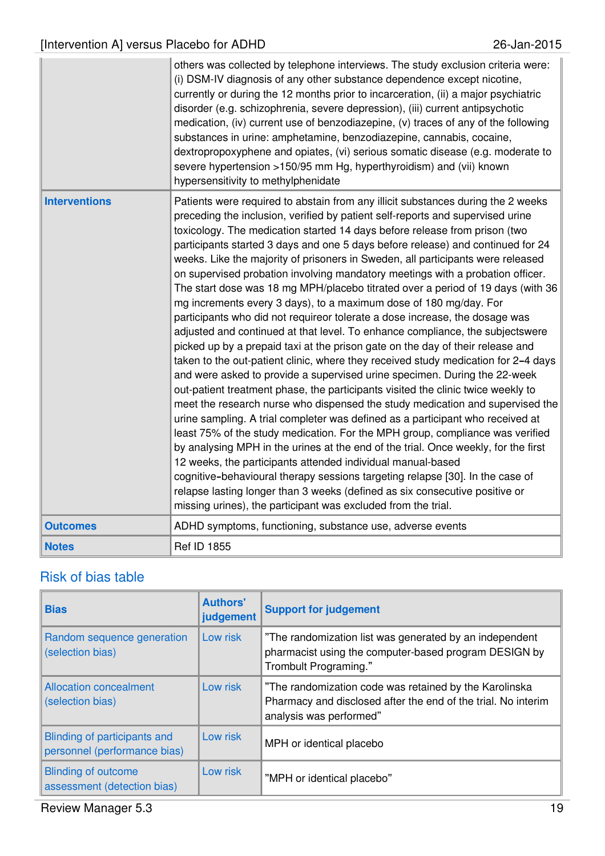|                      | others was collected by telephone interviews. The study exclusion criteria were:<br>(i) DSM-IV diagnosis of any other substance dependence except nicotine,<br>currently or during the 12 months prior to incarceration, (ii) a major psychiatric<br>disorder (e.g. schizophrenia, severe depression), (iii) current antipsychotic<br>medication, (iv) current use of benzodiazepine, (v) traces of any of the following<br>substances in urine: amphetamine, benzodiazepine, cannabis, cocaine,<br>dextropropoxyphene and opiates, (vi) serious somatic disease (e.g. moderate to<br>severe hypertension >150/95 mm Hg, hyperthyroidism) and (vii) known<br>hypersensitivity to methylphenidate                                                                                                                                                                                                                                                                                                                                                                                                                                                                                                                                                                                                                                                                                                                                                                                                                                                                                                                                                                                                                                                                                                                    |
|----------------------|---------------------------------------------------------------------------------------------------------------------------------------------------------------------------------------------------------------------------------------------------------------------------------------------------------------------------------------------------------------------------------------------------------------------------------------------------------------------------------------------------------------------------------------------------------------------------------------------------------------------------------------------------------------------------------------------------------------------------------------------------------------------------------------------------------------------------------------------------------------------------------------------------------------------------------------------------------------------------------------------------------------------------------------------------------------------------------------------------------------------------------------------------------------------------------------------------------------------------------------------------------------------------------------------------------------------------------------------------------------------------------------------------------------------------------------------------------------------------------------------------------------------------------------------------------------------------------------------------------------------------------------------------------------------------------------------------------------------------------------------------------------------------------------------------------------------|
| <b>Interventions</b> | Patients were required to abstain from any illicit substances during the 2 weeks<br>preceding the inclusion, verified by patient self-reports and supervised urine<br>toxicology. The medication started 14 days before release from prison (two<br>participants started 3 days and one 5 days before release) and continued for 24<br>weeks. Like the majority of prisoners in Sweden, all participants were released<br>on supervised probation involving mandatory meetings with a probation officer.<br>The start dose was 18 mg MPH/placebo titrated over a period of 19 days (with 36<br>mg increments every 3 days), to a maximum dose of 180 mg/day. For<br>participants who did not requireor tolerate a dose increase, the dosage was<br>adjusted and continued at that level. To enhance compliance, the subjectswere<br>picked up by a prepaid taxi at the prison gate on the day of their release and<br>taken to the out-patient clinic, where they received study medication for 2-4 days<br>and were asked to provide a supervised urine specimen. During the 22-week<br>out-patient treatment phase, the participants visited the clinic twice weekly to<br>meet the research nurse who dispensed the study medication and supervised the<br>urine sampling. A trial completer was defined as a participant who received at<br>least 75% of the study medication. For the MPH group, compliance was verified<br>by analysing MPH in the urines at the end of the trial. Once weekly, for the first<br>12 weeks, the participants attended individual manual-based<br>cognitive-behavioural therapy sessions targeting relapse [30]. In the case of<br>relapse lasting longer than 3 weeks (defined as six consecutive positive or<br>missing urines), the participant was excluded from the trial. |
| <b>Outcomes</b>      | ADHD symptoms, functioning, substance use, adverse events                                                                                                                                                                                                                                                                                                                                                                                                                                                                                                                                                                                                                                                                                                                                                                                                                                                                                                                                                                                                                                                                                                                                                                                                                                                                                                                                                                                                                                                                                                                                                                                                                                                                                                                                                           |
| <b>Notes</b>         | <b>Ref ID 1855</b>                                                                                                                                                                                                                                                                                                                                                                                                                                                                                                                                                                                                                                                                                                                                                                                                                                                                                                                                                                                                                                                                                                                                                                                                                                                                                                                                                                                                                                                                                                                                                                                                                                                                                                                                                                                                  |

| <b>Bias</b>                                                  | <b>Authors'</b><br>judgement | <b>Support for judgement</b>                                                                                                                       |
|--------------------------------------------------------------|------------------------------|----------------------------------------------------------------------------------------------------------------------------------------------------|
| Random sequence generation<br>(selection bias)               | Low risk                     | "The randomization list was generated by an independent<br>pharmacist using the computer-based program DESIGN by<br>Trombult Programing."          |
| <b>Allocation concealment</b><br>(selection bias)            | Low risk                     | "The randomization code was retained by the Karolinska<br>Pharmacy and disclosed after the end of the trial. No interim<br>analysis was performed" |
| Blinding of participants and<br>personnel (performance bias) | Low risk                     | MPH or identical placebo                                                                                                                           |
| <b>Blinding of outcome</b><br>assessment (detection bias)    | Low risk                     | "MPH or identical placebo"                                                                                                                         |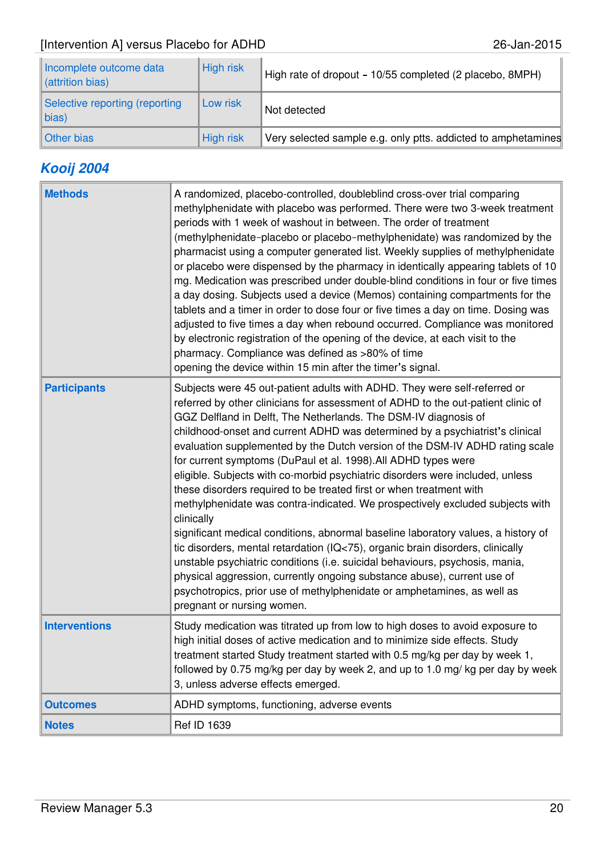| Incomplete outcome data<br>(attrition bias)  | <b>High risk</b> | High rate of dropout - 10/55 completed (2 placebo, 8MPH)      |
|----------------------------------------------|------------------|---------------------------------------------------------------|
| Selective reporting (reporting<br>$\ $ bias) | Low risk         | Not detected                                                  |
| Other bias                                   | <b>High risk</b> | Very selected sample e.g. only ptts. addicted to amphetamines |

# **Kooij 2004**

| <b>Methods</b>       | A randomized, placebo-controlled, doubleblind cross-over trial comparing<br>methylphenidate with placebo was performed. There were two 3-week treatment<br>periods with 1 week of washout in between. The order of treatment<br>(methylphenidate-placebo or placebo-methylphenidate) was randomized by the<br>pharmacist using a computer generated list. Weekly supplies of methylphenidate<br>or placebo were dispensed by the pharmacy in identically appearing tablets of 10<br>mg. Medication was prescribed under double-blind conditions in four or five times<br>a day dosing. Subjects used a device (Memos) containing compartments for the<br>tablets and a timer in order to dose four or five times a day on time. Dosing was<br>adjusted to five times a day when rebound occurred. Compliance was monitored<br>by electronic registration of the opening of the device, at each visit to the<br>pharmacy. Compliance was defined as >80% of time<br>opening the device within 15 min after the timer's signal.                                                                                                                                        |
|----------------------|----------------------------------------------------------------------------------------------------------------------------------------------------------------------------------------------------------------------------------------------------------------------------------------------------------------------------------------------------------------------------------------------------------------------------------------------------------------------------------------------------------------------------------------------------------------------------------------------------------------------------------------------------------------------------------------------------------------------------------------------------------------------------------------------------------------------------------------------------------------------------------------------------------------------------------------------------------------------------------------------------------------------------------------------------------------------------------------------------------------------------------------------------------------------|
| <b>Participants</b>  | Subjects were 45 out-patient adults with ADHD. They were self-referred or<br>referred by other clinicians for assessment of ADHD to the out-patient clinic of<br>GGZ Delfland in Delft, The Netherlands. The DSM-IV diagnosis of<br>childhood-onset and current ADHD was determined by a psychiatrist's clinical<br>evaluation supplemented by the Dutch version of the DSM-IV ADHD rating scale<br>for current symptoms (DuPaul et al. 1998). All ADHD types were<br>eligible. Subjects with co-morbid psychiatric disorders were included, unless<br>these disorders required to be treated first or when treatment with<br>methylphenidate was contra-indicated. We prospectively excluded subjects with<br>clinically<br>significant medical conditions, abnormal baseline laboratory values, a history of<br>tic disorders, mental retardation (IQ<75), organic brain disorders, clinically<br>unstable psychiatric conditions (i.e. suicidal behaviours, psychosis, mania,<br>physical aggression, currently ongoing substance abuse), current use of<br>psychotropics, prior use of methylphenidate or amphetamines, as well as<br>pregnant or nursing women. |
| <b>Interventions</b> | Study medication was titrated up from low to high doses to avoid exposure to<br>high initial doses of active medication and to minimize side effects. Study<br>treatment started Study treatment started with 0.5 mg/kg per day by week 1,<br>followed by 0.75 mg/kg per day by week 2, and up to 1.0 mg/kg per day by week<br>3, unless adverse effects emerged.                                                                                                                                                                                                                                                                                                                                                                                                                                                                                                                                                                                                                                                                                                                                                                                                    |
| <b>Outcomes</b>      | ADHD symptoms, functioning, adverse events                                                                                                                                                                                                                                                                                                                                                                                                                                                                                                                                                                                                                                                                                                                                                                                                                                                                                                                                                                                                                                                                                                                           |
| <b>Notes</b>         | Ref ID 1639                                                                                                                                                                                                                                                                                                                                                                                                                                                                                                                                                                                                                                                                                                                                                                                                                                                                                                                                                                                                                                                                                                                                                          |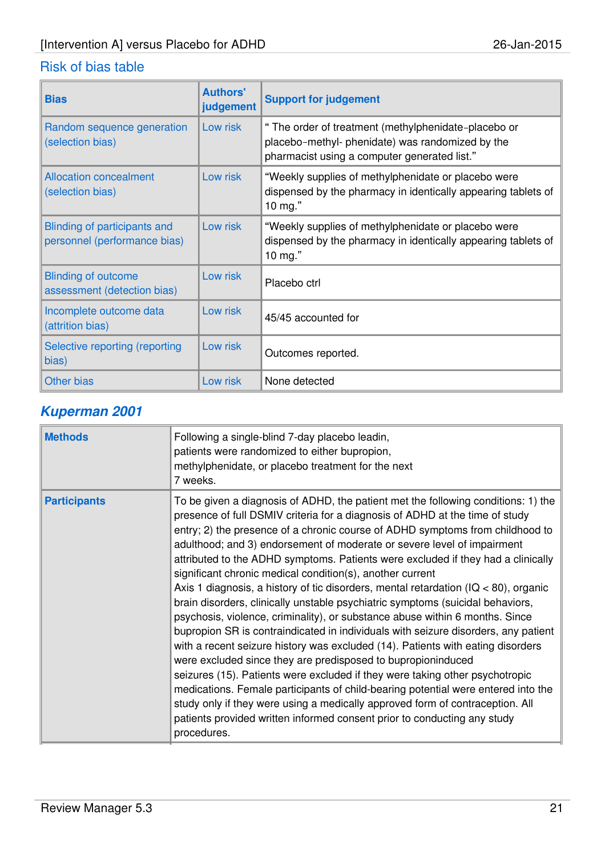| <b>Bias</b>                                                  | <b>Authors'</b><br>judgement | <b>Support for judgement</b>                                                                                                                             |
|--------------------------------------------------------------|------------------------------|----------------------------------------------------------------------------------------------------------------------------------------------------------|
| Random sequence generation<br>(selection bias)               | Low risk                     | " The order of treatment (methylphenidate-placebo or<br>placebo-methyl- phenidate) was randomized by the<br>pharmacist using a computer generated list." |
| <b>Allocation concealment</b><br>(selection bias)            | Low risk                     | "Weekly supplies of methylphenidate or placebo were<br>dispensed by the pharmacy in identically appearing tablets of<br>10 $mg$ ."                       |
| Blinding of participants and<br>personnel (performance bias) | Low risk                     | "Weekly supplies of methylphenidate or placebo were<br>dispensed by the pharmacy in identically appearing tablets of<br>10 mg."                          |
| <b>Blinding of outcome</b><br>assessment (detection bias)    | Low risk                     | Placebo ctrl                                                                                                                                             |
| Incomplete outcome data<br>(attrition bias)                  | Low risk                     | 45/45 accounted for                                                                                                                                      |
| Selective reporting (reporting<br>bias)                      | Low risk                     | Outcomes reported.                                                                                                                                       |
| <b>Other bias</b>                                            | Low risk                     | None detected                                                                                                                                            |

# **Kuperman 2001**

| <b>Methods</b>      | Following a single-blind 7-day placebo leadin,<br>patients were randomized to either bupropion,<br>methylphenidate, or placebo treatment for the next<br>7 weeks.                                                                                                                                                                                                                                                                                                                                                                                                                                                                                                                                                                                                                                                                                                                                                                                                                                                                                                                                                                                                                                                                                                                                                                     |
|---------------------|---------------------------------------------------------------------------------------------------------------------------------------------------------------------------------------------------------------------------------------------------------------------------------------------------------------------------------------------------------------------------------------------------------------------------------------------------------------------------------------------------------------------------------------------------------------------------------------------------------------------------------------------------------------------------------------------------------------------------------------------------------------------------------------------------------------------------------------------------------------------------------------------------------------------------------------------------------------------------------------------------------------------------------------------------------------------------------------------------------------------------------------------------------------------------------------------------------------------------------------------------------------------------------------------------------------------------------------|
| <b>Participants</b> | To be given a diagnosis of ADHD, the patient met the following conditions: 1) the<br>presence of full DSMIV criteria for a diagnosis of ADHD at the time of study<br>entry; 2) the presence of a chronic course of ADHD symptoms from childhood to<br>adulthood; and 3) endorsement of moderate or severe level of impairment<br>attributed to the ADHD symptoms. Patients were excluded if they had a clinically<br>significant chronic medical condition(s), another current<br>Axis 1 diagnosis, a history of tic disorders, mental retardation ( $IQ < 80$ ), organic<br>brain disorders, clinically unstable psychiatric symptoms (suicidal behaviors,<br>psychosis, violence, criminality), or substance abuse within 6 months. Since<br>bupropion SR is contraindicated in individuals with seizure disorders, any patient<br>with a recent seizure history was excluded (14). Patients with eating disorders<br>were excluded since they are predisposed to bupropioninduced<br>seizures (15). Patients were excluded if they were taking other psychotropic<br>medications. Female participants of child-bearing potential were entered into the<br>study only if they were using a medically approved form of contraception. All<br>patients provided written informed consent prior to conducting any study<br>procedures. |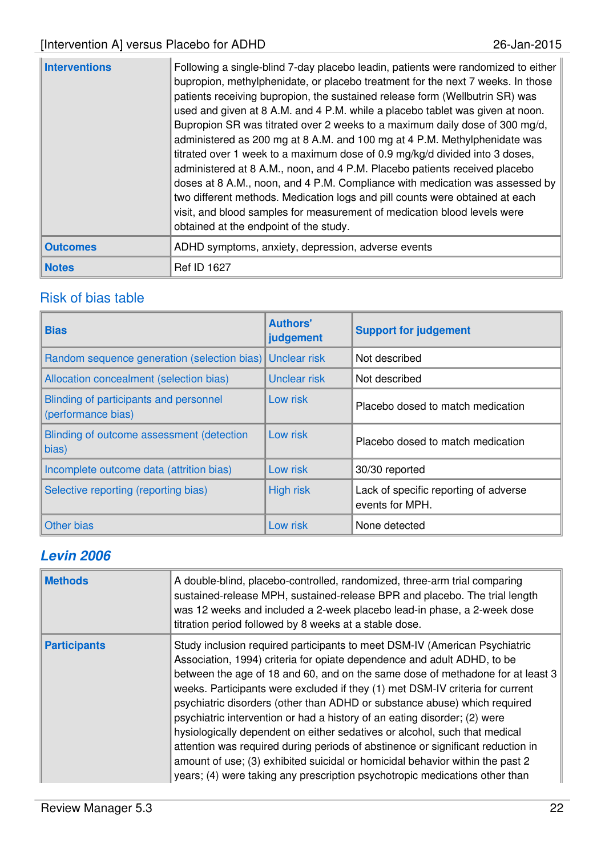| <b>Interventions</b> | Following a single-blind 7-day placebo leadin, patients were randomized to either<br>bupropion, methylphenidate, or placebo treatment for the next 7 weeks. In those<br>patients receiving bupropion, the sustained release form (Wellbutrin SR) was<br>used and given at 8 A.M. and 4 P.M. while a placebo tablet was given at noon.<br>Bupropion SR was titrated over 2 weeks to a maximum daily dose of 300 mg/d,<br>administered as 200 mg at 8 A.M. and 100 mg at 4 P.M. Methylphenidate was<br>titrated over 1 week to a maximum dose of 0.9 mg/kg/d divided into 3 doses,<br>administered at 8 A.M., noon, and 4 P.M. Placebo patients received placebo<br>doses at 8 A.M., noon, and 4 P.M. Compliance with medication was assessed by<br>two different methods. Medication logs and pill counts were obtained at each<br>visit, and blood samples for measurement of medication blood levels were<br>obtained at the endpoint of the study. |
|----------------------|------------------------------------------------------------------------------------------------------------------------------------------------------------------------------------------------------------------------------------------------------------------------------------------------------------------------------------------------------------------------------------------------------------------------------------------------------------------------------------------------------------------------------------------------------------------------------------------------------------------------------------------------------------------------------------------------------------------------------------------------------------------------------------------------------------------------------------------------------------------------------------------------------------------------------------------------------|
| <b>Outcomes</b>      | ADHD symptoms, anxiety, depression, adverse events                                                                                                                                                                                                                                                                                                                                                                                                                                                                                                                                                                                                                                                                                                                                                                                                                                                                                                   |
| <b>Notes</b>         | <b>Ref ID 1627</b>                                                                                                                                                                                                                                                                                                                                                                                                                                                                                                                                                                                                                                                                                                                                                                                                                                                                                                                                   |

| <b>Bias</b>                                                  | <b>Authors'</b><br>judgement | <b>Support for judgement</b>                             |
|--------------------------------------------------------------|------------------------------|----------------------------------------------------------|
| Random sequence generation (selection bias)                  | <b>Unclear risk</b>          | Not described                                            |
| Allocation concealment (selection bias)                      | Unclear risk                 | Not described                                            |
| Blinding of participants and personnel<br>(performance bias) | Low risk                     | Placebo dosed to match medication                        |
| Blinding of outcome assessment (detection<br>bias)           | Low risk                     | Placebo dosed to match medication                        |
| Incomplete outcome data (attrition bias)                     | Low risk                     | 30/30 reported                                           |
| Selective reporting (reporting bias)                         | <b>High risk</b>             | Lack of specific reporting of adverse<br>events for MPH. |
| Other bias                                                   | Low risk                     | None detected                                            |

# **Levin 2006**

| <b>Methods</b>      | A double-blind, placebo-controlled, randomized, three-arm trial comparing<br>sustained-release MPH, sustained-release BPR and placebo. The trial length<br>was 12 weeks and included a 2-week placebo lead-in phase, a 2-week dose<br>titration period followed by 8 weeks at a stable dose.                                                                                                                                                                                                                                                                                                                                                                                                                                                                                                                        |
|---------------------|---------------------------------------------------------------------------------------------------------------------------------------------------------------------------------------------------------------------------------------------------------------------------------------------------------------------------------------------------------------------------------------------------------------------------------------------------------------------------------------------------------------------------------------------------------------------------------------------------------------------------------------------------------------------------------------------------------------------------------------------------------------------------------------------------------------------|
| <b>Participants</b> | Study inclusion required participants to meet DSM-IV (American Psychiatric<br>Association, 1994) criteria for opiate dependence and adult ADHD, to be<br>between the age of 18 and 60, and on the same dose of methadone for at least 3<br>weeks. Participants were excluded if they (1) met DSM-IV criteria for current<br>psychiatric disorders (other than ADHD or substance abuse) which required<br>psychiatric intervention or had a history of an eating disorder; (2) were<br>hysiologically dependent on either sedatives or alcohol, such that medical<br>attention was required during periods of abstinence or significant reduction in<br>amount of use; (3) exhibited suicidal or homicidal behavior within the past 2<br>years; (4) were taking any prescription psychotropic medications other than |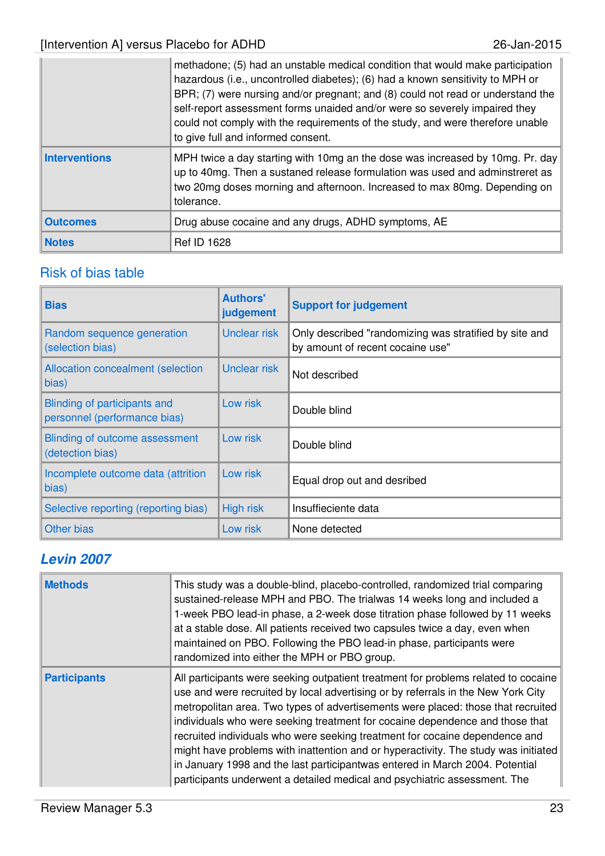|                      | methadone; (5) had an unstable medical condition that would make participation<br>hazardous (i.e., uncontrolled diabetes); (6) had a known sensitivity to MPH or<br>BPR; (7) were nursing and/or pregnant; and (8) could not read or understand the<br>self-report assessment forms unaided and/or were so severely impaired they<br>could not comply with the requirements of the study, and were therefore unable<br>to give full and informed consent. |
|----------------------|-----------------------------------------------------------------------------------------------------------------------------------------------------------------------------------------------------------------------------------------------------------------------------------------------------------------------------------------------------------------------------------------------------------------------------------------------------------|
| <b>Interventions</b> | MPH twice a day starting with 10mg an the dose was increased by 10mg. Pr. day<br>up to 40mg. Then a sustaned release formulation was used and adminstreret as<br>two 20mg doses morning and afternoon. Increased to max 80mg. Depending on<br>tolerance.                                                                                                                                                                                                  |
| <b>Outcomes</b>      | Drug abuse cocaine and any drugs, ADHD symptoms, AE                                                                                                                                                                                                                                                                                                                                                                                                       |
| <b>Notes</b>         | <b>Ref ID 1628</b>                                                                                                                                                                                                                                                                                                                                                                                                                                        |

| <b>Bias</b>                                                  | <b>Authors'</b><br>judgement | <b>Support for judgement</b>                                                               |
|--------------------------------------------------------------|------------------------------|--------------------------------------------------------------------------------------------|
| Random sequence generation<br>(selection bias)               | Unclear risk                 | Only described "randomizing was stratified by site and<br>by amount of recent cocaine use" |
| <b>Allocation concealment (selection</b><br>bias)            | Unclear risk                 | Not described                                                                              |
| Blinding of participants and<br>personnel (performance bias) | Low risk                     | Double blind                                                                               |
| Blinding of outcome assessment<br>(detection bias)           | Low risk                     | Double blind                                                                               |
| Incomplete outcome data (attrition<br>bias)                  | Low risk                     | Equal drop out and desribed                                                                |
| Selective reporting (reporting bias)                         | <b>High risk</b>             | Insuffieciente data                                                                        |
| Other bias                                                   | Low risk                     | None detected                                                                              |

# **Levin 2007**

| <b>Methods</b>      | This study was a double-blind, placebo-controlled, randomized trial comparing<br>sustained-release MPH and PBO. The trialwas 14 weeks long and included a<br>1-week PBO lead-in phase, a 2-week dose titration phase followed by 11 weeks<br>at a stable dose. All patients received two capsules twice a day, even when<br>maintained on PBO. Following the PBO lead-in phase, participants were<br>randomized into either the MPH or PBO group.                                                                                                                                                                                                                            |
|---------------------|------------------------------------------------------------------------------------------------------------------------------------------------------------------------------------------------------------------------------------------------------------------------------------------------------------------------------------------------------------------------------------------------------------------------------------------------------------------------------------------------------------------------------------------------------------------------------------------------------------------------------------------------------------------------------|
| <b>Participants</b> | All participants were seeking outpatient treatment for problems related to cocaine<br>use and were recruited by local advertising or by referrals in the New York City<br>metropolitan area. Two types of advertisements were placed: those that recruited<br>individuals who were seeking treatment for cocaine dependence and those that<br>recruited individuals who were seeking treatment for cocaine dependence and<br>might have problems with inattention and or hyperactivity. The study was initiated<br>in January 1998 and the last participantwas entered in March 2004. Potential<br>participants underwent a detailed medical and psychiatric assessment. The |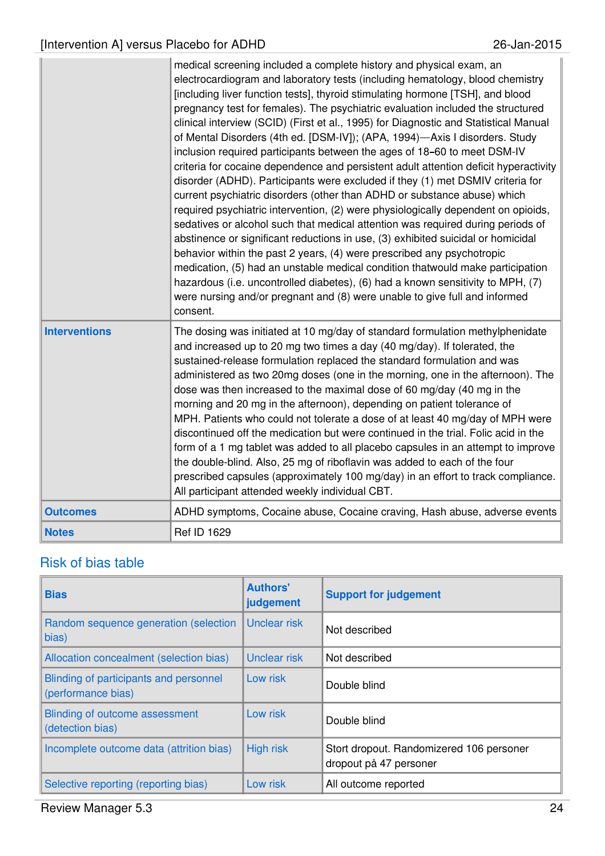|                      | medical screening included a complete history and physical exam, an<br>electrocardiogram and laboratory tests (including hematology, blood chemistry<br>[including liver function tests], thyroid stimulating hormone [TSH], and blood<br>pregnancy test for females). The psychiatric evaluation included the structured<br>clinical interview (SCID) (First et al., 1995) for Diagnostic and Statistical Manual<br>of Mental Disorders (4th ed. [DSM-IV]); (APA, 1994)-Axis I disorders. Study<br>inclusion required participants between the ages of 18-60 to meet DSM-IV<br>criteria for cocaine dependence and persistent adult attention deficit hyperactivity<br>disorder (ADHD). Participants were excluded if they (1) met DSMIV criteria for<br>current psychiatric disorders (other than ADHD or substance abuse) which<br>required psychiatric intervention, (2) were physiologically dependent on opioids,<br>sedatives or alcohol such that medical attention was required during periods of<br>abstinence or significant reductions in use, (3) exhibited suicidal or homicidal<br>behavior within the past 2 years, (4) were prescribed any psychotropic<br>medication, (5) had an unstable medical condition thatwould make participation<br>hazardous (i.e. uncontrolled diabetes), (6) had a known sensitivity to MPH, (7)<br>were nursing and/or pregnant and (8) were unable to give full and informed<br>consent. |
|----------------------|-----------------------------------------------------------------------------------------------------------------------------------------------------------------------------------------------------------------------------------------------------------------------------------------------------------------------------------------------------------------------------------------------------------------------------------------------------------------------------------------------------------------------------------------------------------------------------------------------------------------------------------------------------------------------------------------------------------------------------------------------------------------------------------------------------------------------------------------------------------------------------------------------------------------------------------------------------------------------------------------------------------------------------------------------------------------------------------------------------------------------------------------------------------------------------------------------------------------------------------------------------------------------------------------------------------------------------------------------------------------------------------------------------------------------------------------|
| <b>Interventions</b> | The dosing was initiated at 10 mg/day of standard formulation methylphenidate<br>and increased up to 20 mg two times a day (40 mg/day). If tolerated, the<br>sustained-release formulation replaced the standard formulation and was<br>administered as two 20mg doses (one in the morning, one in the afternoon). The<br>dose was then increased to the maximal dose of 60 mg/day (40 mg in the<br>morning and 20 mg in the afternoon), depending on patient tolerance of<br>MPH. Patients who could not tolerate a dose of at least 40 mg/day of MPH were<br>discontinued off the medication but were continued in the trial. Folic acid in the<br>form of a 1 mg tablet was added to all placebo capsules in an attempt to improve<br>the double-blind. Also, 25 mg of riboflavin was added to each of the four<br>prescribed capsules (approximately 100 mg/day) in an effort to track compliance.<br>All participant attended weekly individual CBT.                                                                                                                                                                                                                                                                                                                                                                                                                                                                               |
| <b>Outcomes</b>      | ADHD symptoms, Cocaine abuse, Cocaine craving, Hash abuse, adverse events                                                                                                                                                                                                                                                                                                                                                                                                                                                                                                                                                                                                                                                                                                                                                                                                                                                                                                                                                                                                                                                                                                                                                                                                                                                                                                                                                               |
| <b>Notes</b>         | <b>Ref ID 1629</b>                                                                                                                                                                                                                                                                                                                                                                                                                                                                                                                                                                                                                                                                                                                                                                                                                                                                                                                                                                                                                                                                                                                                                                                                                                                                                                                                                                                                                      |

| <b>Bias</b>                                                  | <b>Authors'</b><br>judgement | <b>Support for judgement</b>                                       |
|--------------------------------------------------------------|------------------------------|--------------------------------------------------------------------|
| Random sequence generation (selection<br>bias)               | Unclear risk                 | Not described                                                      |
| Allocation concealment (selection bias)                      | <b>Unclear risk</b>          | Not described                                                      |
| Blinding of participants and personnel<br>(performance bias) | Low risk                     | Double blind                                                       |
| Blinding of outcome assessment<br>(detection bias)           | Low risk                     | Double blind                                                       |
| Incomplete outcome data (attrition bias)                     | <b>High risk</b>             | Stort dropout. Randomizered 106 personer<br>dropout på 47 personer |
| Selective reporting (reporting bias)                         | Low risk                     | All outcome reported                                               |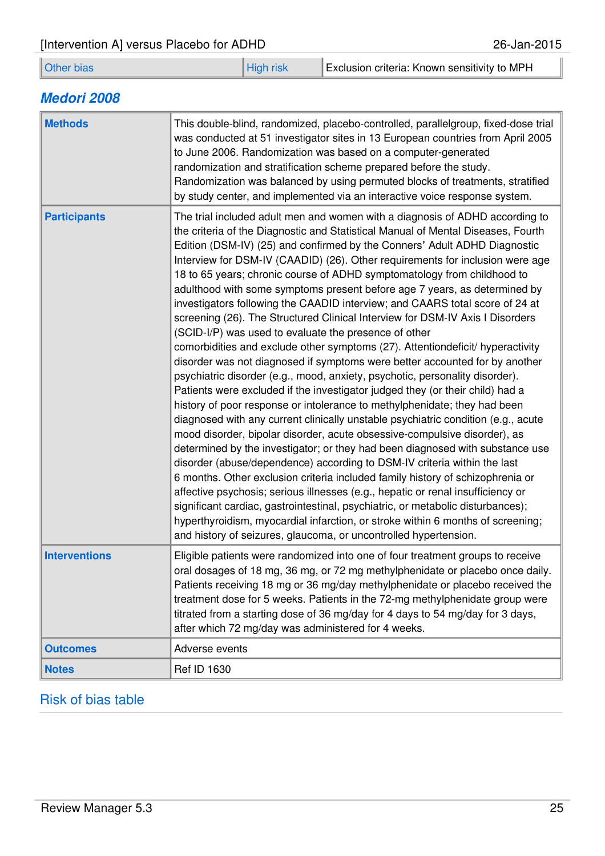### **Medori 2008**

| <b>Methods</b>       | This double-blind, randomized, placebo-controlled, parallelgroup, fixed-dose trial<br>was conducted at 51 investigator sites in 13 European countries from April 2005<br>to June 2006. Randomization was based on a computer-generated<br>randomization and stratification scheme prepared before the study.<br>Randomization was balanced by using permuted blocks of treatments, stratified<br>by study center, and implemented via an interactive voice response system.                                                                                                                                                                                                                                                                                                                                                                                                                                                                                                                                                                                                                                                                                                                                                                                                                                                                                                                                                                                                                                                                                                                                                                                                                                                                                                                                                                                                   |
|----------------------|-------------------------------------------------------------------------------------------------------------------------------------------------------------------------------------------------------------------------------------------------------------------------------------------------------------------------------------------------------------------------------------------------------------------------------------------------------------------------------------------------------------------------------------------------------------------------------------------------------------------------------------------------------------------------------------------------------------------------------------------------------------------------------------------------------------------------------------------------------------------------------------------------------------------------------------------------------------------------------------------------------------------------------------------------------------------------------------------------------------------------------------------------------------------------------------------------------------------------------------------------------------------------------------------------------------------------------------------------------------------------------------------------------------------------------------------------------------------------------------------------------------------------------------------------------------------------------------------------------------------------------------------------------------------------------------------------------------------------------------------------------------------------------------------------------------------------------------------------------------------------------|
| <b>Participants</b>  | The trial included adult men and women with a diagnosis of ADHD according to<br>the criteria of the Diagnostic and Statistical Manual of Mental Diseases, Fourth<br>Edition (DSM-IV) (25) and confirmed by the Conners' Adult ADHD Diagnostic<br>Interview for DSM-IV (CAADID) (26). Other requirements for inclusion were age<br>18 to 65 years; chronic course of ADHD symptomatology from childhood to<br>adulthood with some symptoms present before age 7 years, as determined by<br>investigators following the CAADID interview; and CAARS total score of 24 at<br>screening (26). The Structured Clinical Interview for DSM-IV Axis I Disorders<br>(SCID-I/P) was used to evaluate the presence of other<br>comorbidities and exclude other symptoms (27). Attentiondeficit/ hyperactivity<br>disorder was not diagnosed if symptoms were better accounted for by another<br>psychiatric disorder (e.g., mood, anxiety, psychotic, personality disorder).<br>Patients were excluded if the investigator judged they (or their child) had a<br>history of poor response or intolerance to methylphenidate; they had been<br>diagnosed with any current clinically unstable psychiatric condition (e.g., acute<br>mood disorder, bipolar disorder, acute obsessive-compulsive disorder), as<br>determined by the investigator; or they had been diagnosed with substance use<br>disorder (abuse/dependence) according to DSM-IV criteria within the last<br>6 months. Other exclusion criteria included family history of schizophrenia or<br>affective psychosis; serious illnesses (e.g., hepatic or renal insufficiency or<br>significant cardiac, gastrointestinal, psychiatric, or metabolic disturbances);<br>hyperthyroidism, myocardial infarction, or stroke within 6 months of screening;<br>and history of seizures, glaucoma, or uncontrolled hypertension. |
| <b>Interventions</b> | Eligible patients were randomized into one of four treatment groups to receive<br>oral dosages of 18 mg, 36 mg, or 72 mg methylphenidate or placebo once daily.<br>Patients receiving 18 mg or 36 mg/day methylphenidate or placebo received the<br>treatment dose for 5 weeks. Patients in the 72-mg methylphenidate group were<br>titrated from a starting dose of 36 mg/day for 4 days to 54 mg/day for 3 days,<br>after which 72 mg/day was administered for 4 weeks.                                                                                                                                                                                                                                                                                                                                                                                                                                                                                                                                                                                                                                                                                                                                                                                                                                                                                                                                                                                                                                                                                                                                                                                                                                                                                                                                                                                                     |
| <b>Outcomes</b>      | Adverse events                                                                                                                                                                                                                                                                                                                                                                                                                                                                                                                                                                                                                                                                                                                                                                                                                                                                                                                                                                                                                                                                                                                                                                                                                                                                                                                                                                                                                                                                                                                                                                                                                                                                                                                                                                                                                                                                |
| <b>Notes</b>         | Ref ID 1630                                                                                                                                                                                                                                                                                                                                                                                                                                                                                                                                                                                                                                                                                                                                                                                                                                                                                                                                                                                                                                                                                                                                                                                                                                                                                                                                                                                                                                                                                                                                                                                                                                                                                                                                                                                                                                                                   |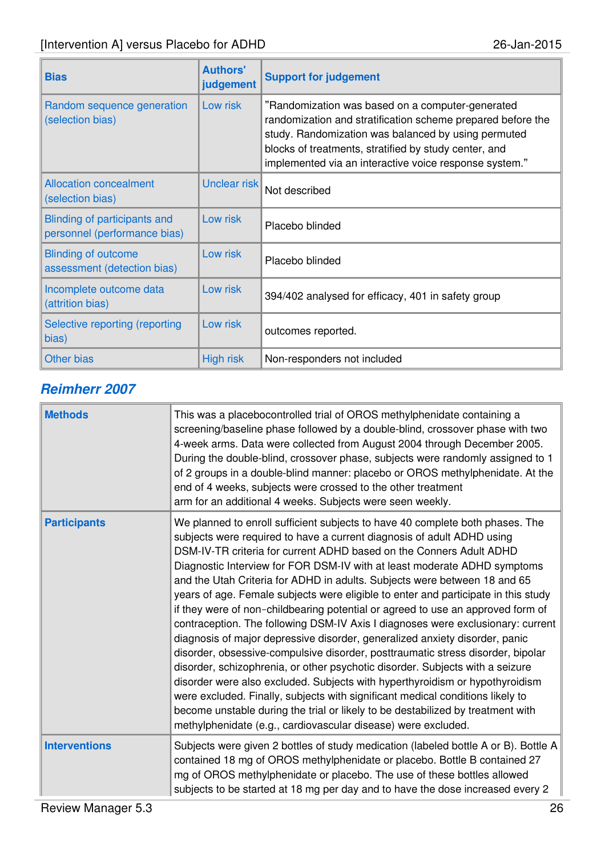| <b>Bias</b>                                                  | <b>Authors'</b><br>judgement | <b>Support for judgement</b>                                                                                                                                                                                                                                                              |
|--------------------------------------------------------------|------------------------------|-------------------------------------------------------------------------------------------------------------------------------------------------------------------------------------------------------------------------------------------------------------------------------------------|
| Random sequence generation<br>(selection bias)               | Low risk                     | "Randomization was based on a computer-generated<br>randomization and stratification scheme prepared before the<br>study. Randomization was balanced by using permuted<br>blocks of treatments, stratified by study center, and<br>implemented via an interactive voice response system." |
| <b>Allocation concealment</b><br>(selection bias)            | Unclear risk                 | Not described                                                                                                                                                                                                                                                                             |
| Blinding of participants and<br>personnel (performance bias) | Low risk                     | Placebo blinded                                                                                                                                                                                                                                                                           |
| <b>Blinding of outcome</b><br>assessment (detection bias)    | Low risk                     | Placebo blinded                                                                                                                                                                                                                                                                           |
| Incomplete outcome data<br>(attrition bias)                  | Low risk                     | 394/402 analysed for efficacy, 401 in safety group                                                                                                                                                                                                                                        |
| Selective reporting (reporting<br>bias)                      | Low risk                     | outcomes reported.                                                                                                                                                                                                                                                                        |
| <b>Other bias</b>                                            | <b>High risk</b>             | Non-responders not included                                                                                                                                                                                                                                                               |

### **Reimherr 2007**

| <b>Methods</b>       | This was a placebocontrolled trial of OROS methylphenidate containing a<br>screening/baseline phase followed by a double-blind, crossover phase with two<br>4-week arms. Data were collected from August 2004 through December 2005.<br>During the double-blind, crossover phase, subjects were randomly assigned to 1<br>of 2 groups in a double-blind manner: placebo or OROS methylphenidate. At the<br>end of 4 weeks, subjects were crossed to the other treatment<br>arm for an additional 4 weeks. Subjects were seen weekly.                                                                                                                                                                                                                                                                                                                                                                                                                                                                                                                                                                                                                                                                                         |
|----------------------|------------------------------------------------------------------------------------------------------------------------------------------------------------------------------------------------------------------------------------------------------------------------------------------------------------------------------------------------------------------------------------------------------------------------------------------------------------------------------------------------------------------------------------------------------------------------------------------------------------------------------------------------------------------------------------------------------------------------------------------------------------------------------------------------------------------------------------------------------------------------------------------------------------------------------------------------------------------------------------------------------------------------------------------------------------------------------------------------------------------------------------------------------------------------------------------------------------------------------|
| <b>Participants</b>  | We planned to enroll sufficient subjects to have 40 complete both phases. The<br>subjects were required to have a current diagnosis of adult ADHD using<br>DSM-IV-TR criteria for current ADHD based on the Conners Adult ADHD<br>Diagnostic Interview for FOR DSM-IV with at least moderate ADHD symptoms<br>and the Utah Criteria for ADHD in adults. Subjects were between 18 and 65<br>years of age. Female subjects were eligible to enter and participate in this study<br>if they were of non-childbearing potential or agreed to use an approved form of<br>contraception. The following DSM-IV Axis I diagnoses were exclusionary: current<br>diagnosis of major depressive disorder, generalized anxiety disorder, panic<br>disorder, obsessive-compulsive disorder, posttraumatic stress disorder, bipolar<br>disorder, schizophrenia, or other psychotic disorder. Subjects with a seizure<br>disorder were also excluded. Subjects with hyperthyroidism or hypothyroidism<br>were excluded. Finally, subjects with significant medical conditions likely to<br>become unstable during the trial or likely to be destabilized by treatment with<br>methylphenidate (e.g., cardiovascular disease) were excluded. |
| <b>Interventions</b> | Subjects were given 2 bottles of study medication (labeled bottle A or B). Bottle A<br>contained 18 mg of OROS methylphenidate or placebo. Bottle B contained 27<br>mg of OROS methylphenidate or placebo. The use of these bottles allowed<br>subjects to be started at 18 mg per day and to have the dose increased every 2                                                                                                                                                                                                                                                                                                                                                                                                                                                                                                                                                                                                                                                                                                                                                                                                                                                                                                |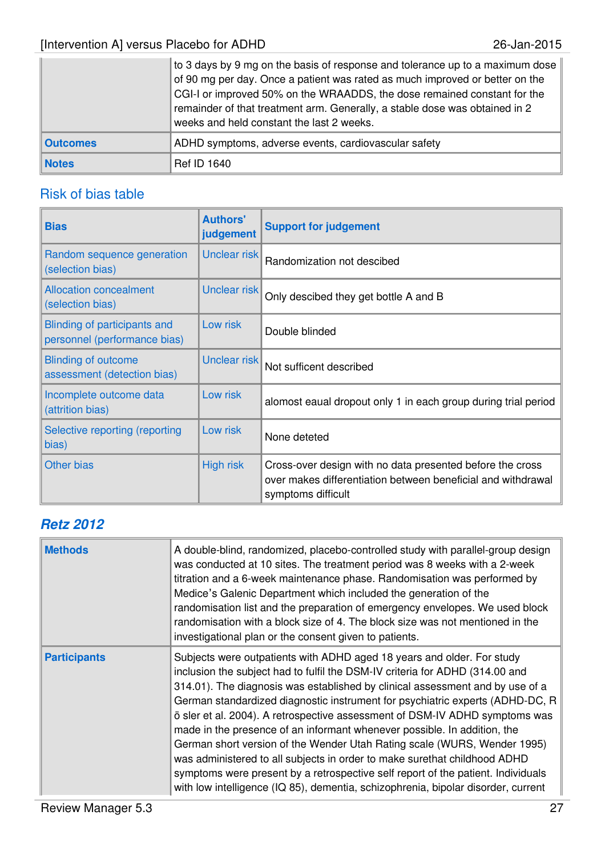|                 | to 3 days by 9 mg on the basis of response and tolerance up to a maximum dose<br>of 90 mg per day. Once a patient was rated as much improved or better on the<br>CGI-I or improved 50% on the WRAADDS, the dose remained constant for the<br>remainder of that treatment arm. Generally, a stable dose was obtained in 2<br>weeks and held constant the last 2 weeks. |
|-----------------|-----------------------------------------------------------------------------------------------------------------------------------------------------------------------------------------------------------------------------------------------------------------------------------------------------------------------------------------------------------------------|
| <b>Outcomes</b> | ADHD symptoms, adverse events, cardiovascular safety                                                                                                                                                                                                                                                                                                                  |
| <b>Notes</b>    | <b>Ref ID 1640</b>                                                                                                                                                                                                                                                                                                                                                    |

### Risk of bias table

| <b>Bias</b>                                                  | <b>Authors'</b><br>judgement | <b>Support for judgement</b>                                                                                                                    |
|--------------------------------------------------------------|------------------------------|-------------------------------------------------------------------------------------------------------------------------------------------------|
| Random sequence generation<br>(selection bias)               | Unclear risk                 | Randomization not descibed                                                                                                                      |
| <b>Allocation concealment</b><br>(selection bias)            | Unclear risk                 | Only descibed they get bottle A and B                                                                                                           |
| Blinding of participants and<br>personnel (performance bias) | Low risk                     | Double blinded                                                                                                                                  |
| <b>Blinding of outcome</b><br>assessment (detection bias)    | Unclear risk                 | Not sufficent described                                                                                                                         |
| Incomplete outcome data<br>(attrition bias)                  | Low risk                     | alomost eaual dropout only 1 in each group during trial period                                                                                  |
| Selective reporting (reporting<br>bias)                      | Low risk                     | None deteted                                                                                                                                    |
| <b>Other bias</b>                                            | <b>High risk</b>             | Cross-over design with no data presented before the cross<br>over makes differentiation between beneficial and withdrawal<br>symptoms difficult |

# **Retz 2012**

| <b>Methods</b>      | A double-blind, randomized, placebo-controlled study with parallel-group design<br>was conducted at 10 sites. The treatment period was 8 weeks with a 2-week<br>titration and a 6-week maintenance phase. Randomisation was performed by<br>Medice's Galenic Department which included the generation of the<br>randomisation list and the preparation of emergency envelopes. We used block<br>randomisation with a block size of 4. The block size was not mentioned in the<br>investigational plan or the consent given to patients.                                                                                                                                                                                                                                                                               |
|---------------------|-----------------------------------------------------------------------------------------------------------------------------------------------------------------------------------------------------------------------------------------------------------------------------------------------------------------------------------------------------------------------------------------------------------------------------------------------------------------------------------------------------------------------------------------------------------------------------------------------------------------------------------------------------------------------------------------------------------------------------------------------------------------------------------------------------------------------|
| <b>Participants</b> | Subjects were outpatients with ADHD aged 18 years and older. For study<br>inclusion the subject had to fulfil the DSM-IV criteria for ADHD (314.00 and<br>314.01). The diagnosis was established by clinical assessment and by use of a<br>German standardized diagnostic instrument for psychiatric experts (ADHD-DC, R<br>ö sler et al. 2004). A retrospective assessment of DSM-IV ADHD symptoms was<br>made in the presence of an informant whenever possible. In addition, the<br>German short version of the Wender Utah Rating scale (WURS, Wender 1995)<br>was administered to all subjects in order to make surethat childhood ADHD<br>symptoms were present by a retrospective self report of the patient. Individuals<br>with low intelligence (IQ 85), dementia, schizophrenia, bipolar disorder, current |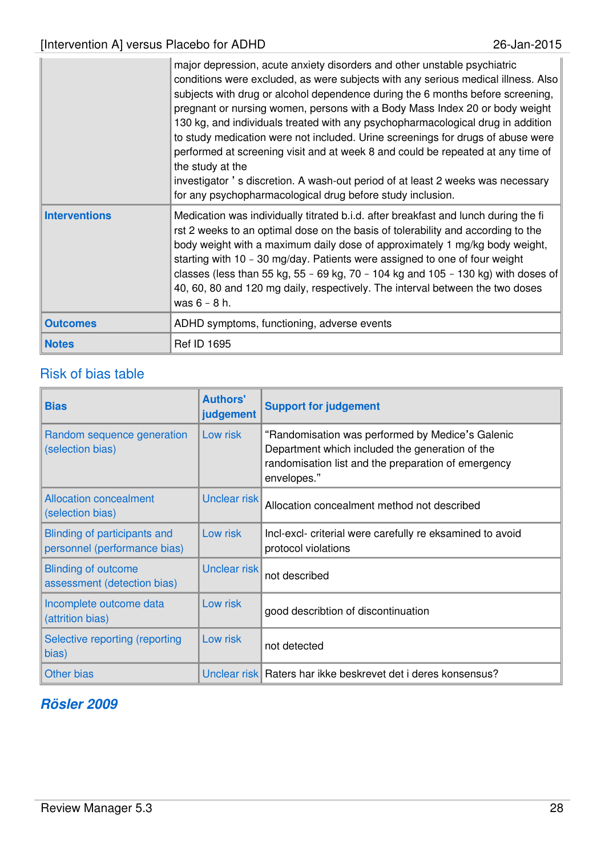|                      | major depression, acute anxiety disorders and other unstable psychiatric<br>conditions were excluded, as were subjects with any serious medical illness. Also<br>subjects with drug or alcohol dependence during the 6 months before screening,<br>pregnant or nursing women, persons with a Body Mass Index 20 or body weight<br>130 kg, and individuals treated with any psychopharmacological drug in addition<br>to study medication were not included. Urine screenings for drugs of abuse were<br>performed at screening visit and at week 8 and could be repeated at any time of<br>the study at the<br>investigator 's discretion. A wash-out period of at least 2 weeks was necessary<br>for any psychopharmacological drug before study inclusion. |
|----------------------|--------------------------------------------------------------------------------------------------------------------------------------------------------------------------------------------------------------------------------------------------------------------------------------------------------------------------------------------------------------------------------------------------------------------------------------------------------------------------------------------------------------------------------------------------------------------------------------------------------------------------------------------------------------------------------------------------------------------------------------------------------------|
| <b>Interventions</b> | Medication was individually titrated b.i.d. after breakfast and lunch during the fi<br>rst 2 weeks to an optimal dose on the basis of tolerability and according to the<br>body weight with a maximum daily dose of approximately 1 mg/kg body weight,<br>starting with 10 - 30 mg/day. Patients were assigned to one of four weight<br>classes (less than 55 kg, 55 - 69 kg, 70 - 104 kg and 105 - 130 kg) with doses of<br>40, 60, 80 and 120 mg daily, respectively. The interval between the two doses<br>was $6 - 8$ h.                                                                                                                                                                                                                                 |
| <b>Outcomes</b>      | ADHD symptoms, functioning, adverse events                                                                                                                                                                                                                                                                                                                                                                                                                                                                                                                                                                                                                                                                                                                   |
| <b>Notes</b>         | <b>Ref ID 1695</b>                                                                                                                                                                                                                                                                                                                                                                                                                                                                                                                                                                                                                                                                                                                                           |

| <b>Bias</b>                                                  | <b>Authors'</b><br>judgement | <b>Support for judgement</b>                                                                                                                                              |  |
|--------------------------------------------------------------|------------------------------|---------------------------------------------------------------------------------------------------------------------------------------------------------------------------|--|
| Random sequence generation<br>(selection bias)               | Low risk                     | "Randomisation was performed by Medice's Galenic<br>Department which included the generation of the<br>randomisation list and the preparation of emergency<br>envelopes." |  |
| <b>Allocation concealment</b><br>(selection bias)            | Unclear risk                 | Allocation concealment method not described                                                                                                                               |  |
| Blinding of participants and<br>personnel (performance bias) | Low risk                     | Incl-excl- criterial were carefully re eksamined to avoid<br>protocol violations                                                                                          |  |
| <b>Blinding of outcome</b><br>assessment (detection bias)    | Unclear risk                 | not described                                                                                                                                                             |  |
| Incomplete outcome data<br>(attrition bias)                  | Low risk                     | good describtion of discontinuation                                                                                                                                       |  |
| Selective reporting (reporting<br>bias)                      | Low risk                     | not detected                                                                                                                                                              |  |
| <b>Other bias</b>                                            |                              | Unclear risk Raters har ikke beskrevet det i deres konsensus?                                                                                                             |  |

### **Rösler 2009**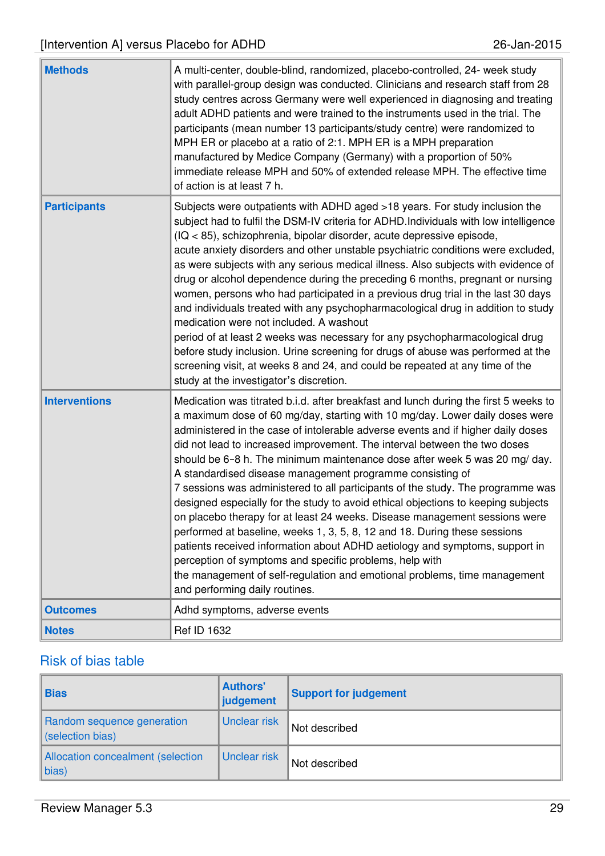| <b>Methods</b>       | A multi-center, double-blind, randomized, placebo-controlled, 24- week study<br>with parallel-group design was conducted. Clinicians and research staff from 28<br>study centres across Germany were well experienced in diagnosing and treating<br>adult ADHD patients and were trained to the instruments used in the trial. The<br>participants (mean number 13 participants/study centre) were randomized to<br>MPH ER or placebo at a ratio of 2:1. MPH ER is a MPH preparation<br>manufactured by Medice Company (Germany) with a proportion of 50%<br>immediate release MPH and 50% of extended release MPH. The effective time<br>of action is at least 7 h.                                                                                                                                                                                                                                                                                                                                                                                                        |
|----------------------|-----------------------------------------------------------------------------------------------------------------------------------------------------------------------------------------------------------------------------------------------------------------------------------------------------------------------------------------------------------------------------------------------------------------------------------------------------------------------------------------------------------------------------------------------------------------------------------------------------------------------------------------------------------------------------------------------------------------------------------------------------------------------------------------------------------------------------------------------------------------------------------------------------------------------------------------------------------------------------------------------------------------------------------------------------------------------------|
| <b>Participants</b>  | Subjects were outpatients with ADHD aged >18 years. For study inclusion the<br>subject had to fulfil the DSM-IV criteria for ADHD. Individuals with low intelligence<br>(IQ < 85), schizophrenia, bipolar disorder, acute depressive episode,<br>acute anxiety disorders and other unstable psychiatric conditions were excluded,<br>as were subjects with any serious medical illness. Also subjects with evidence of<br>drug or alcohol dependence during the preceding 6 months, pregnant or nursing<br>women, persons who had participated in a previous drug trial in the last 30 days<br>and individuals treated with any psychopharmacological drug in addition to study<br>medication were not included. A washout<br>period of at least 2 weeks was necessary for any psychopharmacological drug<br>before study inclusion. Urine screening for drugs of abuse was performed at the<br>screening visit, at weeks 8 and 24, and could be repeated at any time of the<br>study at the investigator's discretion.                                                     |
| <b>Interventions</b> | Medication was titrated b.i.d. after breakfast and lunch during the first 5 weeks to<br>a maximum dose of 60 mg/day, starting with 10 mg/day. Lower daily doses were<br>administered in the case of intolerable adverse events and if higher daily doses<br>did not lead to increased improvement. The interval between the two doses<br>should be 6-8 h. The minimum maintenance dose after week 5 was 20 mg/day.<br>A standardised disease management programme consisting of<br>7 sessions was administered to all participants of the study. The programme was<br>designed especially for the study to avoid ethical objections to keeping subjects<br>on placebo therapy for at least 24 weeks. Disease management sessions were<br>performed at baseline, weeks 1, 3, 5, 8, 12 and 18. During these sessions<br>patients received information about ADHD aetiology and symptoms, support in<br>perception of symptoms and specific problems, help with<br>the management of self-regulation and emotional problems, time management<br>and performing daily routines. |
| <b>Outcomes</b>      | Adhd symptoms, adverse events                                                                                                                                                                                                                                                                                                                                                                                                                                                                                                                                                                                                                                                                                                                                                                                                                                                                                                                                                                                                                                               |
| <b>Notes</b>         | Ref ID 1632                                                                                                                                                                                                                                                                                                                                                                                                                                                                                                                                                                                                                                                                                                                                                                                                                                                                                                                                                                                                                                                                 |

| <b>Bias</b>                                     | <b>Authors'</b><br>judgement | <b>Support for judgement</b> |
|-------------------------------------------------|------------------------------|------------------------------|
| Random sequence generation<br>(selection bias)  | Unclear risk                 | Not described                |
| Allocation concealment (selection<br>$\ $ bias) | Unclear risk                 | Not described                |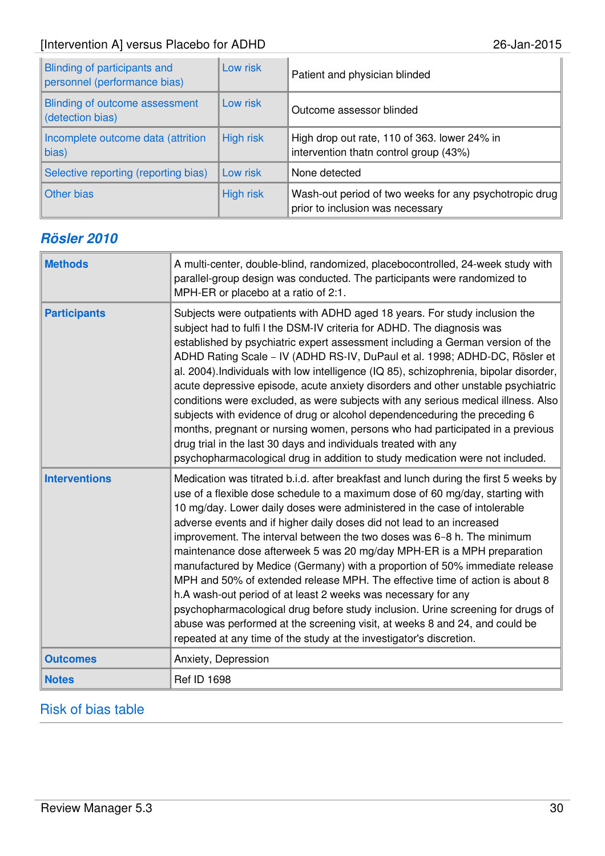| <b>Blinding of participants and</b><br>personnel (performance bias) | Low risk         | Patient and physician blinded                                                              |
|---------------------------------------------------------------------|------------------|--------------------------------------------------------------------------------------------|
| Blinding of outcome assessment<br>(detection bias)                  | Low risk         | Outcome assessor blinded                                                                   |
| Incomplete outcome data (attrition<br>bias)                         | <b>High risk</b> | High drop out rate, 110 of 363. lower 24% in<br>intervention thatn control group (43%)     |
| Selective reporting (reporting bias)                                | Low risk         | None detected                                                                              |
| <b>Other bias</b>                                                   | <b>High risk</b> | Wash-out period of two weeks for any psychotropic drug<br>prior to inclusion was necessary |

# **Rösler 2010**

| <b>Methods</b>       | A multi-center, double-blind, randomized, placebocontrolled, 24-week study with<br>parallel-group design was conducted. The participants were randomized to<br>MPH-ER or placebo at a ratio of 2:1.                                                                                                                                                                                                                                                                                                                                                                                                                                                                                                                                                                                                                                                                                                                                                      |
|----------------------|----------------------------------------------------------------------------------------------------------------------------------------------------------------------------------------------------------------------------------------------------------------------------------------------------------------------------------------------------------------------------------------------------------------------------------------------------------------------------------------------------------------------------------------------------------------------------------------------------------------------------------------------------------------------------------------------------------------------------------------------------------------------------------------------------------------------------------------------------------------------------------------------------------------------------------------------------------|
| <b>Participants</b>  | Subjects were outpatients with ADHD aged 18 years. For study inclusion the<br>subject had to fulfi I the DSM-IV criteria for ADHD. The diagnosis was<br>established by psychiatric expert assessment including a German version of the<br>ADHD Rating Scale - IV (ADHD RS-IV, DuPaul et al. 1998; ADHD-DC, Rösler et<br>al. 2004). Individuals with low intelligence (IQ 85), schizophrenia, bipolar disorder,<br>acute depressive episode, acute anxiety disorders and other unstable psychiatric<br>conditions were excluded, as were subjects with any serious medical illness. Also<br>subjects with evidence of drug or alcohol dependenceduring the preceding 6<br>months, pregnant or nursing women, persons who had participated in a previous<br>drug trial in the last 30 days and individuals treated with any<br>psychopharmacological drug in addition to study medication were not included.                                               |
| <b>Interventions</b> | Medication was titrated b.i.d. after breakfast and lunch during the first 5 weeks by<br>use of a flexible dose schedule to a maximum dose of 60 mg/day, starting with<br>10 mg/day. Lower daily doses were administered in the case of intolerable<br>adverse events and if higher daily doses did not lead to an increased<br>improvement. The interval between the two doses was 6-8 h. The minimum<br>maintenance dose afterweek 5 was 20 mg/day MPH-ER is a MPH preparation<br>manufactured by Medice (Germany) with a proportion of 50% immediate release<br>MPH and 50% of extended release MPH. The effective time of action is about 8<br>h.A wash-out period of at least 2 weeks was necessary for any<br>psychopharmacological drug before study inclusion. Urine screening for drugs of<br>abuse was performed at the screening visit, at weeks 8 and 24, and could be<br>repeated at any time of the study at the investigator's discretion. |
| <b>Outcomes</b>      | Anxiety, Depression                                                                                                                                                                                                                                                                                                                                                                                                                                                                                                                                                                                                                                                                                                                                                                                                                                                                                                                                      |
| <b>Notes</b>         | <b>Ref ID 1698</b>                                                                                                                                                                                                                                                                                                                                                                                                                                                                                                                                                                                                                                                                                                                                                                                                                                                                                                                                       |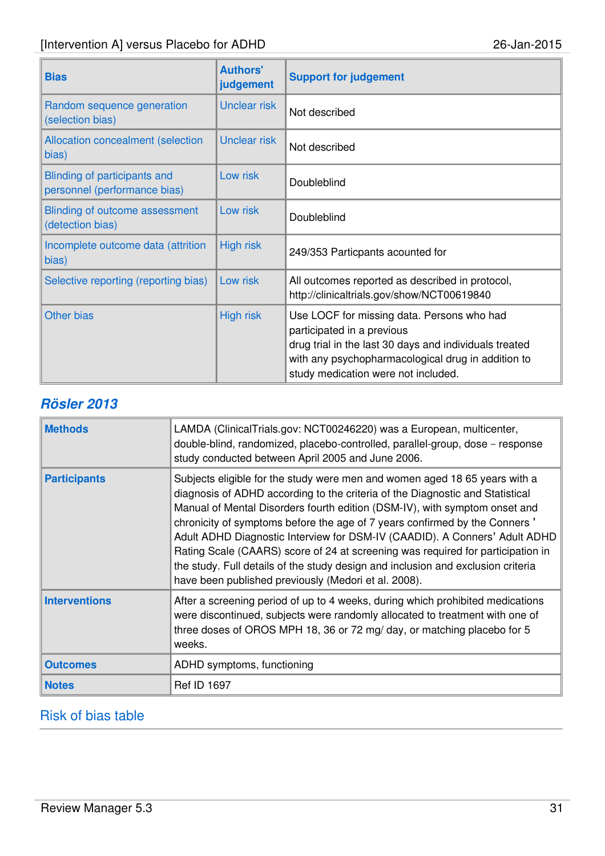| <b>Bias</b>                                                  | <b>Authors'</b><br>judgement | <b>Support for judgement</b>                                                                                                                                                                                                    |  |
|--------------------------------------------------------------|------------------------------|---------------------------------------------------------------------------------------------------------------------------------------------------------------------------------------------------------------------------------|--|
| Random sequence generation<br>(selection bias)               | <b>Unclear risk</b>          | Not described                                                                                                                                                                                                                   |  |
| Allocation concealment (selection<br>bias)                   | <b>Unclear risk</b>          | Not described                                                                                                                                                                                                                   |  |
| Blinding of participants and<br>personnel (performance bias) | Low risk                     | Doubleblind                                                                                                                                                                                                                     |  |
| Blinding of outcome assessment<br>(detection bias)           | Low risk                     | Doubleblind                                                                                                                                                                                                                     |  |
| Incomplete outcome data (attrition<br>bias)                  | <b>High risk</b>             | 249/353 Particpants acounted for                                                                                                                                                                                                |  |
| Low risk<br>Selective reporting (reporting bias)             |                              | All outcomes reported as described in protocol,<br>http://clinicaltrials.gov/show/NCT00619840                                                                                                                                   |  |
| <b>Other bias</b>                                            | <b>High risk</b>             | Use LOCF for missing data. Persons who had<br>participated in a previous<br>drug trial in the last 30 days and individuals treated<br>with any psychopharmacological drug in addition to<br>study medication were not included. |  |

### **Rösler 2013**

| <b>Methods</b>       | LAMDA (ClinicalTrials.gov: NCT00246220) was a European, multicenter,<br>double-blind, randomized, placebo-controlled, parallel-group, dose - response<br>study conducted between April 2005 and June 2006.                                                                                                                                                                                                                                                                                                                                                                                                                           |
|----------------------|--------------------------------------------------------------------------------------------------------------------------------------------------------------------------------------------------------------------------------------------------------------------------------------------------------------------------------------------------------------------------------------------------------------------------------------------------------------------------------------------------------------------------------------------------------------------------------------------------------------------------------------|
| <b>Participants</b>  | Subjects eligible for the study were men and women aged 18 65 years with a<br>diagnosis of ADHD according to the criteria of the Diagnostic and Statistical<br>Manual of Mental Disorders fourth edition (DSM-IV), with symptom onset and<br>chronicity of symptoms before the age of 7 years confirmed by the Conners'<br>Adult ADHD Diagnostic Interview for DSM-IV (CAADID). A Conners' Adult ADHD<br>Rating Scale (CAARS) score of 24 at screening was required for participation in<br>the study. Full details of the study design and inclusion and exclusion criteria<br>have been published previously (Medori et al. 2008). |
| <b>Interventions</b> | After a screening period of up to 4 weeks, during which prohibited medications<br>were discontinued, subjects were randomly allocated to treatment with one of<br>three doses of OROS MPH 18, 36 or 72 mg/ day, or matching placebo for 5<br>weeks.                                                                                                                                                                                                                                                                                                                                                                                  |
| <b>Outcomes</b>      | ADHD symptoms, functioning                                                                                                                                                                                                                                                                                                                                                                                                                                                                                                                                                                                                           |
| <b>Notes</b>         | <b>Ref ID 1697</b>                                                                                                                                                                                                                                                                                                                                                                                                                                                                                                                                                                                                                   |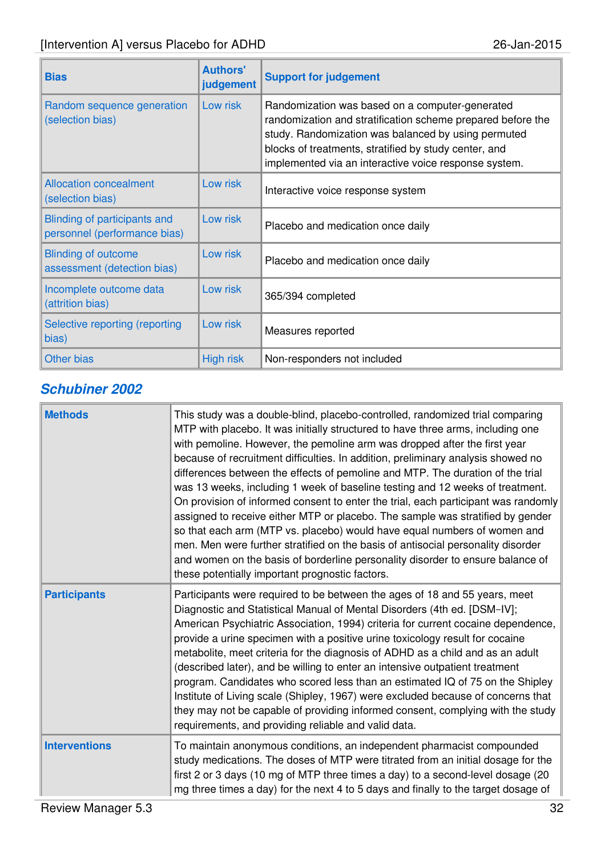| <b>Bias</b>                                                  | <b>Authors'</b><br>judgement | <b>Support for judgement</b>                                                                                                                                                                                                                                                            |  |
|--------------------------------------------------------------|------------------------------|-----------------------------------------------------------------------------------------------------------------------------------------------------------------------------------------------------------------------------------------------------------------------------------------|--|
| Random sequence generation<br>(selection bias)               | Low risk                     | Randomization was based on a computer-generated<br>randomization and stratification scheme prepared before the<br>study. Randomization was balanced by using permuted<br>blocks of treatments, stratified by study center, and<br>implemented via an interactive voice response system. |  |
| <b>Allocation concealment</b><br>(selection bias)            | Low risk                     | Interactive voice response system                                                                                                                                                                                                                                                       |  |
| Blinding of participants and<br>personnel (performance bias) | Low risk                     | Placebo and medication once daily                                                                                                                                                                                                                                                       |  |
| <b>Blinding of outcome</b><br>assessment (detection bias)    | Low risk                     | Placebo and medication once daily                                                                                                                                                                                                                                                       |  |
| Incomplete outcome data<br>(attrition bias)                  | Low risk                     | 365/394 completed                                                                                                                                                                                                                                                                       |  |
| Selective reporting (reporting<br>bias)                      | Low risk                     | Measures reported                                                                                                                                                                                                                                                                       |  |
| <b>Other bias</b>                                            | <b>High risk</b>             | Non-responders not included                                                                                                                                                                                                                                                             |  |

# **Schubiner 2002**

| <b>Methods</b>       | This study was a double-blind, placebo-controlled, randomized trial comparing<br>MTP with placebo. It was initially structured to have three arms, including one<br>with pemoline. However, the pemoline arm was dropped after the first year<br>because of recruitment difficulties. In addition, preliminary analysis showed no<br>differences between the effects of pemoline and MTP. The duration of the trial<br>was 13 weeks, including 1 week of baseline testing and 12 weeks of treatment.<br>On provision of informed consent to enter the trial, each participant was randomly<br>assigned to receive either MTP or placebo. The sample was stratified by gender<br>so that each arm (MTP vs. placebo) would have equal numbers of women and<br>men. Men were further stratified on the basis of antisocial personality disorder<br>and women on the basis of borderline personality disorder to ensure balance of<br>these potentially important prognostic factors. |
|----------------------|-----------------------------------------------------------------------------------------------------------------------------------------------------------------------------------------------------------------------------------------------------------------------------------------------------------------------------------------------------------------------------------------------------------------------------------------------------------------------------------------------------------------------------------------------------------------------------------------------------------------------------------------------------------------------------------------------------------------------------------------------------------------------------------------------------------------------------------------------------------------------------------------------------------------------------------------------------------------------------------|
| <b>Participants</b>  | Participants were required to be between the ages of 18 and 55 years, meet<br>Diagnostic and Statistical Manual of Mental Disorders (4th ed. [DSM-IV];<br>American Psychiatric Association, 1994) criteria for current cocaine dependence,<br>provide a urine specimen with a positive urine toxicology result for cocaine<br>metabolite, meet criteria for the diagnosis of ADHD as a child and as an adult<br>(described later), and be willing to enter an intensive outpatient treatment<br>program. Candidates who scored less than an estimated IQ of 75 on the Shipley<br>Institute of Living scale (Shipley, 1967) were excluded because of concerns that<br>they may not be capable of providing informed consent, complying with the study<br>requirements, and providing reliable and valid data.                                                                                                                                                                      |
| <b>Interventions</b> | To maintain anonymous conditions, an independent pharmacist compounded<br>study medications. The doses of MTP were titrated from an initial dosage for the<br>first 2 or 3 days (10 mg of MTP three times a day) to a second-level dosage (20<br>mg three times a day) for the next 4 to 5 days and finally to the target dosage of                                                                                                                                                                                                                                                                                                                                                                                                                                                                                                                                                                                                                                               |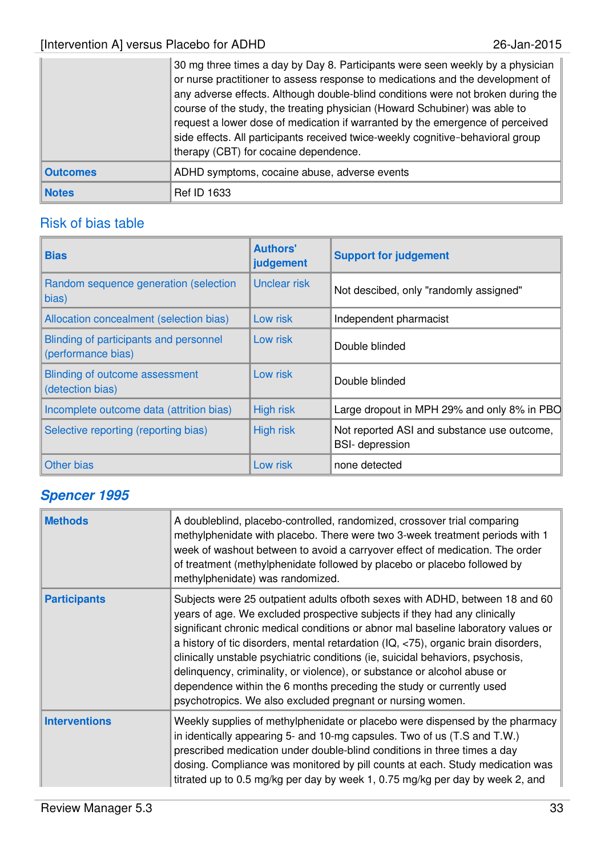|                 | 30 mg three times a day by Day 8. Participants were seen weekly by a physician<br>or nurse practitioner to assess response to medications and the development of<br>any adverse effects. Although double-blind conditions were not broken during the<br>course of the study, the treating physician (Howard Schubiner) was able to<br>request a lower dose of medication if warranted by the emergence of perceived<br>side effects. All participants received twice-weekly cognitive-behavioral group<br>therapy (CBT) for cocaine dependence. |
|-----------------|-------------------------------------------------------------------------------------------------------------------------------------------------------------------------------------------------------------------------------------------------------------------------------------------------------------------------------------------------------------------------------------------------------------------------------------------------------------------------------------------------------------------------------------------------|
| <b>Outcomes</b> | ADHD symptoms, cocaine abuse, adverse events                                                                                                                                                                                                                                                                                                                                                                                                                                                                                                    |
| <b>Notes</b>    | <b>Ref ID 1633</b>                                                                                                                                                                                                                                                                                                                                                                                                                                                                                                                              |

### Risk of bias table

| <b>Bias</b>                                                  | <b>Authors'</b><br>judgement | <b>Support for judgement</b>                                          |
|--------------------------------------------------------------|------------------------------|-----------------------------------------------------------------------|
| Random sequence generation (selection<br>bias)               | Unclear risk                 | Not descibed, only "randomly assigned"                                |
| Allocation concealment (selection bias)                      | Low risk                     | Independent pharmacist                                                |
| Blinding of participants and personnel<br>(performance bias) | Low risk                     | Double blinded                                                        |
| Blinding of outcome assessment<br>(detection bias)           | Low risk                     | Double blinded                                                        |
| Incomplete outcome data (attrition bias)                     | <b>High risk</b>             | Large dropout in MPH 29% and only 8% in PBO                           |
| Selective reporting (reporting bias)                         | <b>High risk</b>             | Not reported ASI and substance use outcome,<br><b>BSI-</b> depression |
| Other bias                                                   | Low risk                     | none detected                                                         |

# **Spencer 1995**

| <b>Methods</b>       | A doubleblind, placebo-controlled, randomized, crossover trial comparing<br>methylphenidate with placebo. There were two 3-week treatment periods with 1<br>week of washout between to avoid a carryover effect of medication. The order<br>of treatment (methylphenidate followed by placebo or placebo followed by<br>methylphenidate) was randomized.                                                                                                                                                                                                                                                                                 |
|----------------------|------------------------------------------------------------------------------------------------------------------------------------------------------------------------------------------------------------------------------------------------------------------------------------------------------------------------------------------------------------------------------------------------------------------------------------------------------------------------------------------------------------------------------------------------------------------------------------------------------------------------------------------|
| <b>Participants</b>  | Subjects were 25 outpatient adults ofboth sexes with ADHD, between 18 and 60<br>years of age. We excluded prospective subjects if they had any clinically<br>significant chronic medical conditions or abnor mal baseline laboratory values or<br>a history of tic disorders, mental retardation (IQ, <75), organic brain disorders,<br>clinically unstable psychiatric conditions (ie, suicidal behaviors, psychosis,<br>delinquency, criminality, or violence), or substance or alcohol abuse or<br>dependence within the 6 months preceding the study or currently used<br>psychotropics. We also excluded pregnant or nursing women. |
| <b>Interventions</b> | Weekly supplies of methylphenidate or placebo were dispensed by the pharmacy<br>in identically appearing 5- and 10-mg capsules. Two of us (T.S and T.W.)<br>prescribed medication under double-blind conditions in three times a day<br>dosing. Compliance was monitored by pill counts at each. Study medication was<br>titrated up to 0.5 mg/kg per day by week 1, 0.75 mg/kg per day by week 2, and                                                                                                                                                                                                                                   |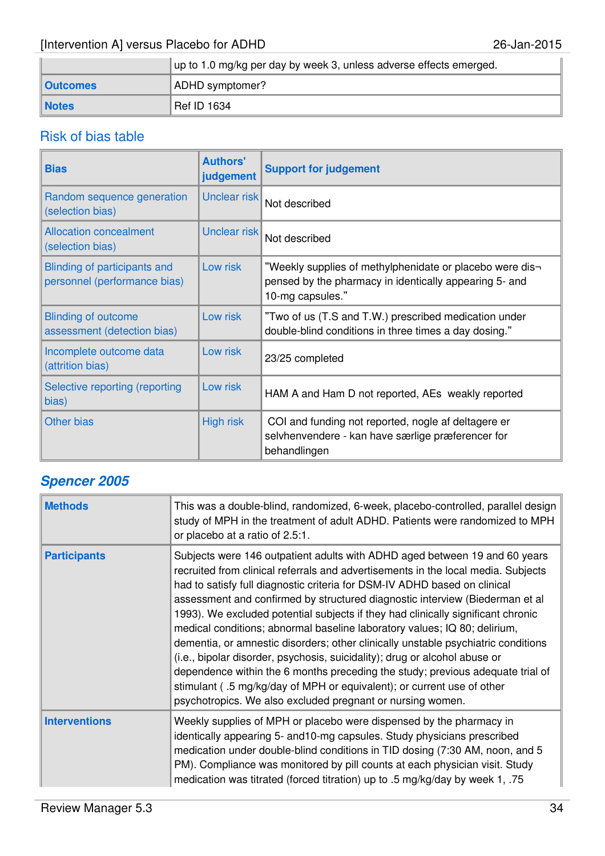|                 | up to 1.0 mg/kg per day by week 3, unless adverse effects emerged. |  |  |
|-----------------|--------------------------------------------------------------------|--|--|
| <b>Outcomes</b> | ADHD symptomer?                                                    |  |  |
| <b>Notes</b>    | Ref ID 1634                                                        |  |  |

# Risk of bias table

| <b>Bias</b>                                                  | <b>Authors'</b><br>judgement | <b>Support for judgement</b>                                                                                                           |
|--------------------------------------------------------------|------------------------------|----------------------------------------------------------------------------------------------------------------------------------------|
| Random sequence generation<br>(selection bias)               | Unclear risk                 | Not described                                                                                                                          |
| <b>Allocation concealment</b><br>(selection bias)            | Unclear risk                 | Not described                                                                                                                          |
| Blinding of participants and<br>personnel (performance bias) | Low risk                     | "Weekly supplies of methylphenidate or placebo were dis-<br>pensed by the pharmacy in identically appearing 5- and<br>10-mg capsules." |
| <b>Blinding of outcome</b><br>assessment (detection bias)    | Low risk                     | "Two of us (T.S and T.W.) prescribed medication under<br>double-blind conditions in three times a day dosing."                         |
| Incomplete outcome data<br>(attrition bias)                  | Low risk                     | 23/25 completed                                                                                                                        |
| Selective reporting (reporting<br>bias)                      | Low risk                     | HAM A and Ham D not reported, AEs weakly reported                                                                                      |
| Other bias                                                   | <b>High risk</b>             | COI and funding not reported, nogle af deltagere er<br>selvhenvendere - kan have særlige præferencer for<br>behandlingen               |

# **Spencer 2005**

| <b>Methods</b>       | This was a double-blind, randomized, 6-week, placebo-controlled, parallel design<br>study of MPH in the treatment of adult ADHD. Patients were randomized to MPH<br>or placebo at a ratio of 2.5:1.                                                                                                                                                                                                                                                                                                                                                                                                                                                                                                                                                                                                                                                                                        |
|----------------------|--------------------------------------------------------------------------------------------------------------------------------------------------------------------------------------------------------------------------------------------------------------------------------------------------------------------------------------------------------------------------------------------------------------------------------------------------------------------------------------------------------------------------------------------------------------------------------------------------------------------------------------------------------------------------------------------------------------------------------------------------------------------------------------------------------------------------------------------------------------------------------------------|
| <b>Participants</b>  | Subjects were 146 outpatient adults with ADHD aged between 19 and 60 years<br>recruited from clinical referrals and advertisements in the local media. Subjects<br>had to satisfy full diagnostic criteria for DSM-IV ADHD based on clinical<br>assessment and confirmed by structured diagnostic interview (Biederman et al<br>1993). We excluded potential subjects if they had clinically significant chronic<br>medical conditions; abnormal baseline laboratory values; IQ 80; delirium,<br>dementia, or amnestic disorders; other clinically unstable psychiatric conditions<br>(i.e., bipolar disorder, psychosis, suicidality); drug or alcohol abuse or<br>dependence within the 6 months preceding the study; previous adequate trial of<br>stimulant (.5 mg/kg/day of MPH or equivalent); or current use of other<br>psychotropics. We also excluded pregnant or nursing women. |
| <b>Interventions</b> | Weekly supplies of MPH or placebo were dispensed by the pharmacy in<br>identically appearing 5- and 10-mg capsules. Study physicians prescribed<br>medication under double-blind conditions in TID dosing (7:30 AM, noon, and 5<br>PM). Compliance was monitored by pill counts at each physician visit. Study<br>medication was titrated (forced titration) up to .5 mg/kg/day by week 1, .75                                                                                                                                                                                                                                                                                                                                                                                                                                                                                             |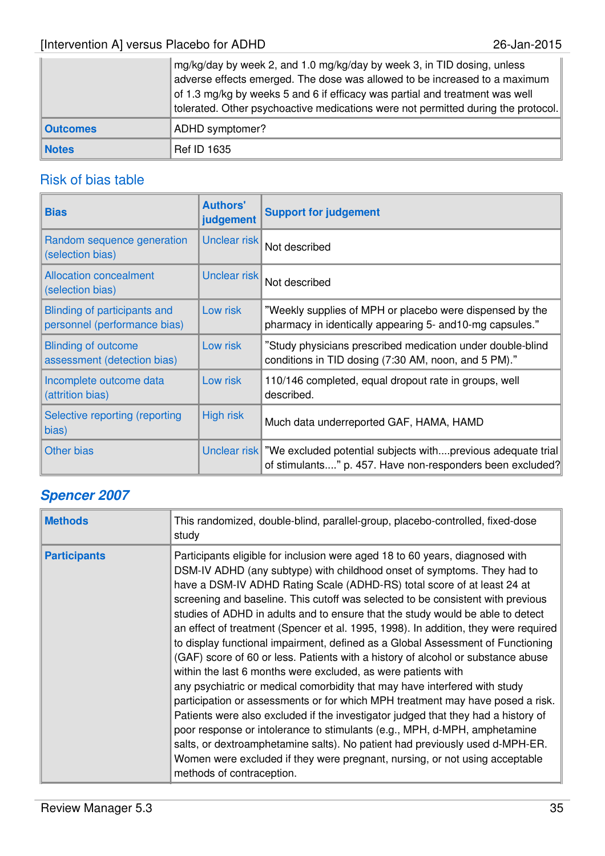|                 | mg/kg/day by week 2, and 1.0 mg/kg/day by week 3, in TID dosing, unless<br>adverse effects emerged. The dose was allowed to be increased to a maximum<br>of 1.3 mg/kg by weeks 5 and 6 if efficacy was partial and treatment was well<br>tolerated. Other psychoactive medications were not permitted during the protocol. |
|-----------------|----------------------------------------------------------------------------------------------------------------------------------------------------------------------------------------------------------------------------------------------------------------------------------------------------------------------------|
| <b>Outcomes</b> | ADHD symptomer?                                                                                                                                                                                                                                                                                                            |
| <b>Notes</b>    | <b>Ref ID 1635</b>                                                                                                                                                                                                                                                                                                         |

| <b>Bias</b>                                                  | <b>Authors'</b><br>judgement | <b>Support for judgement</b>                                                                                                            |
|--------------------------------------------------------------|------------------------------|-----------------------------------------------------------------------------------------------------------------------------------------|
| Random sequence generation<br>(selection bias)               | Unclear risk                 | Not described                                                                                                                           |
| <b>Allocation concealment</b><br>(selection bias)            | Unclear risk                 | Not described                                                                                                                           |
| Blinding of participants and<br>personnel (performance bias) | Low risk                     | "Weekly supplies of MPH or placebo were dispensed by the<br>pharmacy in identically appearing 5- and 10-mg capsules."                   |
| <b>Blinding of outcome</b><br>assessment (detection bias)    | Low risk                     | "Study physicians prescribed medication under double-blind<br>conditions in TID dosing (7:30 AM, noon, and 5 PM)."                      |
| Incomplete outcome data<br>(attrition bias)                  | Low risk                     | 110/146 completed, equal dropout rate in groups, well<br>described.                                                                     |
| Selective reporting (reporting<br>bias)                      | <b>High risk</b>             | Much data underreported GAF, HAMA, HAMD                                                                                                 |
| <b>Other bias</b>                                            |                              | Unclear risk   "We excluded potential subjects withprevious adequate trial<br>of stimulants" p. 457. Have non-responders been excluded? |

# **Spencer 2007**

| <b>Methods</b>      | This randomized, double-blind, parallel-group, placebo-controlled, fixed-dose<br>study                                                                                                                                                                                                                                                                                                                                                                                                                                                                                                                                                                                                                                                                                                                                                                                                                                                                                                                                                                                                                                                                                                                                                                               |
|---------------------|----------------------------------------------------------------------------------------------------------------------------------------------------------------------------------------------------------------------------------------------------------------------------------------------------------------------------------------------------------------------------------------------------------------------------------------------------------------------------------------------------------------------------------------------------------------------------------------------------------------------------------------------------------------------------------------------------------------------------------------------------------------------------------------------------------------------------------------------------------------------------------------------------------------------------------------------------------------------------------------------------------------------------------------------------------------------------------------------------------------------------------------------------------------------------------------------------------------------------------------------------------------------|
| <b>Participants</b> | Participants eligible for inclusion were aged 18 to 60 years, diagnosed with<br>DSM-IV ADHD (any subtype) with childhood onset of symptoms. They had to<br>have a DSM-IV ADHD Rating Scale (ADHD-RS) total score of at least 24 at<br>screening and baseline. This cutoff was selected to be consistent with previous<br>studies of ADHD in adults and to ensure that the study would be able to detect<br>an effect of treatment (Spencer et al. 1995, 1998). In addition, they were required<br>to display functional impairment, defined as a Global Assessment of Functioning<br>(GAF) score of 60 or less. Patients with a history of alcohol or substance abuse<br>within the last 6 months were excluded, as were patients with<br>any psychiatric or medical comorbidity that may have interfered with study<br>participation or assessments or for which MPH treatment may have posed a risk.<br>Patients were also excluded if the investigator judged that they had a history of<br>poor response or intolerance to stimulants (e.g., MPH, d-MPH, amphetamine<br>salts, or dextroamphetamine salts). No patient had previously used d-MPH-ER.<br>Women were excluded if they were pregnant, nursing, or not using acceptable<br>methods of contraception. |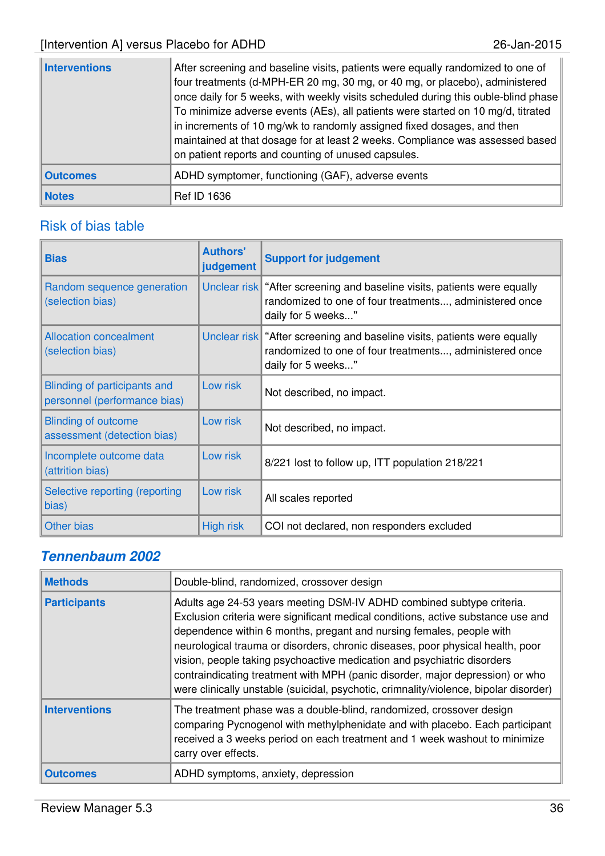| Interventions   | After screening and baseline visits, patients were equally randomized to one of<br>four treatments (d-MPH-ER 20 mg, 30 mg, or 40 mg, or placebo), administered<br>once daily for 5 weeks, with weekly visits scheduled during this ouble-blind phase<br>To minimize adverse events (AEs), all patients were started on 10 mg/d, titrated<br>in increments of 10 mg/wk to randomly assigned fixed dosages, and then<br>maintained at that dosage for at least 2 weeks. Compliance was assessed based<br>on patient reports and counting of unused capsules. |
|-----------------|------------------------------------------------------------------------------------------------------------------------------------------------------------------------------------------------------------------------------------------------------------------------------------------------------------------------------------------------------------------------------------------------------------------------------------------------------------------------------------------------------------------------------------------------------------|
| <b>Outcomes</b> | ADHD symptomer, functioning (GAF), adverse events                                                                                                                                                                                                                                                                                                                                                                                                                                                                                                          |
| <b>Notes</b>    | <b>Ref ID 1636</b>                                                                                                                                                                                                                                                                                                                                                                                                                                                                                                                                         |

| <b>Bias</b>                                                  | <b>Authors'</b><br>judgement | <b>Support for judgement</b>                                                                                                                                |
|--------------------------------------------------------------|------------------------------|-------------------------------------------------------------------------------------------------------------------------------------------------------------|
| Random sequence generation<br>(selection bias)               |                              | Unclear risk   "After screening and baseline visits, patients were equally<br>randomized to one of four treatments, administered once<br>daily for 5 weeks" |
| <b>Allocation concealment</b><br>(selection bias)            |                              | Unclear risk "After screening and baseline visits, patients were equally<br>randomized to one of four treatments, administered once<br>daily for 5 weeks"   |
| Blinding of participants and<br>personnel (performance bias) | Low risk                     | Not described, no impact.                                                                                                                                   |
| <b>Blinding of outcome</b><br>assessment (detection bias)    | Low risk                     | Not described, no impact.                                                                                                                                   |
| Incomplete outcome data<br>(attrition bias)                  | Low risk                     | 8/221 lost to follow up, ITT population 218/221                                                                                                             |
| Selective reporting (reporting<br>bias)                      | Low risk                     | All scales reported                                                                                                                                         |
| <b>Other bias</b>                                            | <b>High risk</b>             | COI not declared, non responders excluded                                                                                                                   |

# **Tennenbaum 2002**

| <b>Methods</b>       | Double-blind, randomized, crossover design                                                                                                                                                                                                                                                                                                                                                                                                                                                                                                                               |
|----------------------|--------------------------------------------------------------------------------------------------------------------------------------------------------------------------------------------------------------------------------------------------------------------------------------------------------------------------------------------------------------------------------------------------------------------------------------------------------------------------------------------------------------------------------------------------------------------------|
| <b>Participants</b>  | Adults age 24-53 years meeting DSM-IV ADHD combined subtype criteria.<br>Exclusion criteria were significant medical conditions, active substance use and<br>dependence within 6 months, pregant and nursing females, people with<br>neurological trauma or disorders, chronic diseases, poor physical health, poor<br>vision, people taking psychoactive medication and psychiatric disorders<br>contraindicating treatment with MPH (panic disorder, major depression) or who<br>were clinically unstable (suicidal, psychotic, crimnality/violence, bipolar disorder) |
| <b>Interventions</b> | The treatment phase was a double-blind, randomized, crossover design<br>comparing Pycnogenol with methylphenidate and with placebo. Each participant<br>received a 3 weeks period on each treatment and 1 week washout to minimize<br>carry over effects.                                                                                                                                                                                                                                                                                                                |
| <b>Outcomes</b>      | ADHD symptoms, anxiety, depression                                                                                                                                                                                                                                                                                                                                                                                                                                                                                                                                       |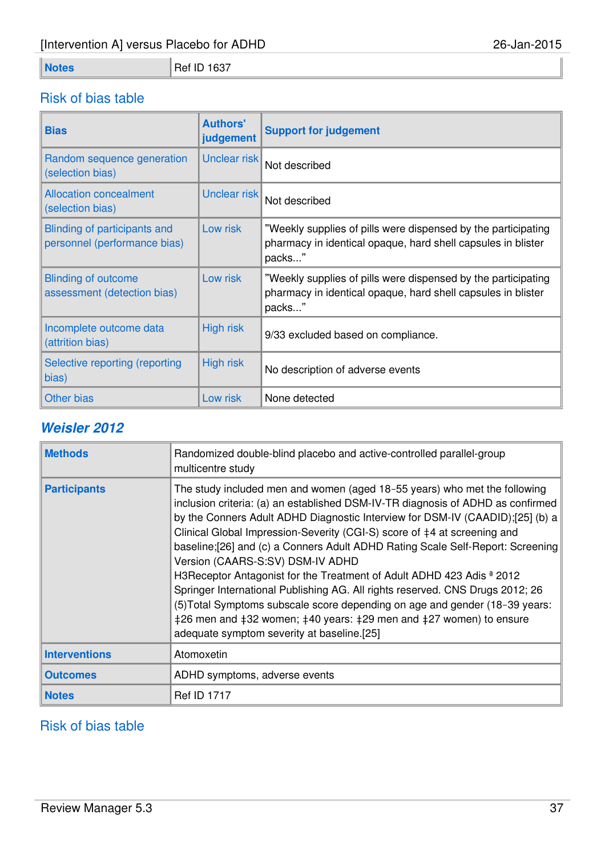# **Notes** Ref ID 1637

# Risk of bias table

| <b>Bias</b>                                                  | <b>Authors'</b><br>judgement | <b>Support for judgement</b>                                                                                                            |
|--------------------------------------------------------------|------------------------------|-----------------------------------------------------------------------------------------------------------------------------------------|
| Random sequence generation<br>(selection bias)               | Unclear risk                 | Not described                                                                                                                           |
| <b>Allocation concealment</b><br>(selection bias)            | Unclear risk                 | Not described                                                                                                                           |
| Blinding of participants and<br>personnel (performance bias) | Low risk                     | "Weekly supplies of pills were dispensed by the participating<br>pharmacy in identical opaque, hard shell capsules in blister<br>packs" |
| <b>Blinding of outcome</b><br>assessment (detection bias)    | Low risk                     | "Weekly supplies of pills were dispensed by the participating<br>pharmacy in identical opaque, hard shell capsules in blister<br>packs" |
| Incomplete outcome data<br>(attrition bias)                  | <b>High risk</b>             | 9/33 excluded based on compliance.                                                                                                      |
| Selective reporting (reporting<br>bias)                      | <b>High risk</b>             | No description of adverse events                                                                                                        |
| Other bias                                                   | Low risk                     | None detected                                                                                                                           |

### **Weisler 2012**

| <b>Methods</b>       | Randomized double-blind placebo and active-controlled parallel-group<br>multicentre study                                                                                                                                                                                                                                                                                                                                                                                                                                                                                                                                                                                                                                                                                                                                                                  |
|----------------------|------------------------------------------------------------------------------------------------------------------------------------------------------------------------------------------------------------------------------------------------------------------------------------------------------------------------------------------------------------------------------------------------------------------------------------------------------------------------------------------------------------------------------------------------------------------------------------------------------------------------------------------------------------------------------------------------------------------------------------------------------------------------------------------------------------------------------------------------------------|
| <b>Participants</b>  | The study included men and women (aged 18–55 years) who met the following<br>inclusion criteria: (a) an established DSM-IV-TR diagnosis of ADHD as confirmed<br>by the Conners Adult ADHD Diagnostic Interview for DSM-IV (CAADID);[25] (b) a<br>Clinical Global Impression-Severity (CGI-S) score of $\ddagger$ 4 at screening and<br>baseline;[26] and (c) a Conners Adult ADHD Rating Scale Self-Report: Screening<br>Version (CAARS-S:SV) DSM-IV ADHD<br>H3Receptor Antagonist for the Treatment of Adult ADHD 423 Adis <sup>a</sup> 2012<br>Springer International Publishing AG. All rights reserved. CNS Drugs 2012; 26<br>(5) Total Symptoms subscale score depending on age and gender (18-39 years:<br>$\pm 26$ men and $\pm 32$ women; $\pm 40$ years: $\pm 29$ men and $\pm 27$ women) to ensure<br>adequate symptom severity at baseline.[25] |
| <b>Interventions</b> | Atomoxetin                                                                                                                                                                                                                                                                                                                                                                                                                                                                                                                                                                                                                                                                                                                                                                                                                                                 |
| <b>Outcomes</b>      | ADHD symptoms, adverse events                                                                                                                                                                                                                                                                                                                                                                                                                                                                                                                                                                                                                                                                                                                                                                                                                              |
| <b>Notes</b>         | <b>Ref ID 1717</b>                                                                                                                                                                                                                                                                                                                                                                                                                                                                                                                                                                                                                                                                                                                                                                                                                                         |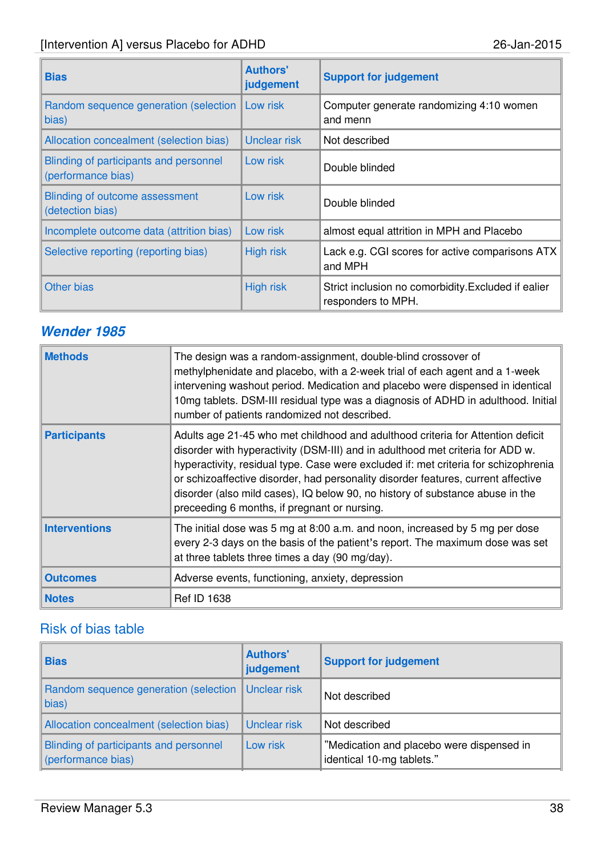| <b>Bias</b>                                                  | <b>Authors'</b><br>judgement | <b>Support for judgement</b>                                              |
|--------------------------------------------------------------|------------------------------|---------------------------------------------------------------------------|
| Random sequence generation (selection  <br>bias)             | Low risk                     | Computer generate randomizing 4:10 women<br>and menn                      |
| Allocation concealment (selection bias)                      | <b>Unclear risk</b>          | Not described                                                             |
| Blinding of participants and personnel<br>(performance bias) | Low risk                     | Double blinded                                                            |
| <b>Blinding of outcome assessment</b><br>(detection bias)    | Low risk                     | Double blinded                                                            |
| Incomplete outcome data (attrition bias)                     | Low risk                     | almost equal attrition in MPH and Placebo                                 |
| Selective reporting (reporting bias)                         | <b>High risk</b>             | Lack e.g. CGI scores for active comparisons ATX<br>and MPH                |
| Other bias                                                   | <b>High risk</b>             | Strict inclusion no comorbidity. Excluded if ealier<br>responders to MPH. |

# **Wender 1985**

| <b>Methods</b>       | The design was a random-assignment, double-blind crossover of<br>methylphenidate and placebo, with a 2-week trial of each agent and a 1-week<br>intervening washout period. Medication and placebo were dispensed in identical<br>10mg tablets. DSM-III residual type was a diagnosis of ADHD in adulthood. Initial<br>number of patients randomized not described.                                                                                                            |
|----------------------|--------------------------------------------------------------------------------------------------------------------------------------------------------------------------------------------------------------------------------------------------------------------------------------------------------------------------------------------------------------------------------------------------------------------------------------------------------------------------------|
| <b>Participants</b>  | Adults age 21-45 who met childhood and adulthood criteria for Attention deficit<br>disorder with hyperactivity (DSM-III) and in adulthood met criteria for ADD w.<br>hyperactivity, residual type. Case were excluded if: met criteria for schizophrenia<br>or schizoaffective disorder, had personality disorder features, current affective<br>disorder (also mild cases), IQ below 90, no history of substance abuse in the<br>preceeding 6 months, if pregnant or nursing. |
| <b>Interventions</b> | The initial dose was 5 mg at 8:00 a.m. and noon, increased by 5 mg per dose<br>every 2-3 days on the basis of the patient's report. The maximum dose was set<br>at three tablets three times a day (90 mg/day).                                                                                                                                                                                                                                                                |
| <b>Outcomes</b>      | Adverse events, functioning, anxiety, depression                                                                                                                                                                                                                                                                                                                                                                                                                               |
| <b>Notes</b>         | <b>Ref ID 1638</b>                                                                                                                                                                                                                                                                                                                                                                                                                                                             |

| <b>Bias</b>                                                   | <b>Authors'</b><br>judgement | <b>Support for judgement</b>                                           |
|---------------------------------------------------------------|------------------------------|------------------------------------------------------------------------|
| Random sequence generation (selection   Unclear risk<br>bias) |                              | Not described                                                          |
| Allocation concealment (selection bias)                       | Unclear risk                 | Not described                                                          |
| Blinding of participants and personnel<br>(performance bias)  | Low risk                     | "Medication and placebo were dispensed in<br>identical 10-mg tablets." |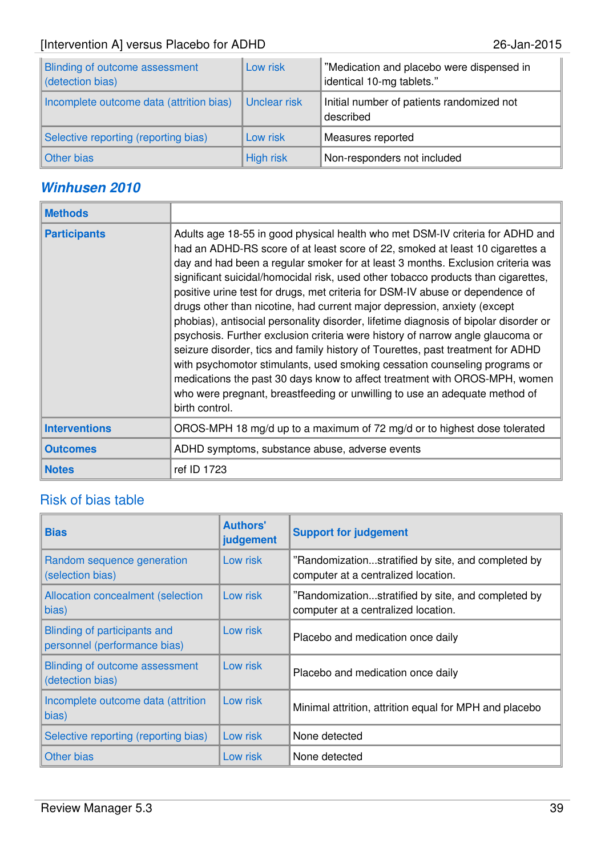| Blinding of outcome assessment<br>detection bias) | Low risk         | "Medication and placebo were dispensed in<br>identical 10-mg tablets." |
|---------------------------------------------------|------------------|------------------------------------------------------------------------|
| Incomplete outcome data (attrition bias)          | Unclear risk     | Initial number of patients randomized not<br>described                 |
| Selective reporting (reporting bias)              | Low risk         | Measures reported                                                      |
| Other bias                                        | <b>High risk</b> | Non-responders not included                                            |

## **Winhusen 2010**

| <b>Methods</b>       |                                                                                                                                                                                                                                                                                                                                                                                                                                                                                                                                                                                                                                                                                                                                                                                                                                                                                                                                                                                                                              |
|----------------------|------------------------------------------------------------------------------------------------------------------------------------------------------------------------------------------------------------------------------------------------------------------------------------------------------------------------------------------------------------------------------------------------------------------------------------------------------------------------------------------------------------------------------------------------------------------------------------------------------------------------------------------------------------------------------------------------------------------------------------------------------------------------------------------------------------------------------------------------------------------------------------------------------------------------------------------------------------------------------------------------------------------------------|
| <b>Participants</b>  | Adults age 18-55 in good physical health who met DSM-IV criteria for ADHD and<br>had an ADHD-RS score of at least score of 22, smoked at least 10 cigarettes a<br>day and had been a regular smoker for at least 3 months. Exclusion criteria was<br>significant suicidal/homocidal risk, used other tobacco products than cigarettes,<br>positive urine test for drugs, met criteria for DSM-IV abuse or dependence of<br>drugs other than nicotine, had current major depression, anxiety (except<br>phobias), antisocial personality disorder, lifetime diagnosis of bipolar disorder or<br>psychosis. Further exclusion criteria were history of narrow angle glaucoma or<br>seizure disorder, tics and family history of Tourettes, past treatment for ADHD<br>with psychomotor stimulants, used smoking cessation counseling programs or<br>medications the past 30 days know to affect treatment with OROS-MPH, women<br>who were pregnant, breastfeeding or unwilling to use an adequate method of<br>birth control. |
| <b>Interventions</b> | OROS-MPH 18 mg/d up to a maximum of 72 mg/d or to highest dose tolerated                                                                                                                                                                                                                                                                                                                                                                                                                                                                                                                                                                                                                                                                                                                                                                                                                                                                                                                                                     |
| <b>Outcomes</b>      | ADHD symptoms, substance abuse, adverse events                                                                                                                                                                                                                                                                                                                                                                                                                                                                                                                                                                                                                                                                                                                                                                                                                                                                                                                                                                               |
| <b>Notes</b>         | ref ID 1723                                                                                                                                                                                                                                                                                                                                                                                                                                                                                                                                                                                                                                                                                                                                                                                                                                                                                                                                                                                                                  |

| <b>Bias</b>                                                  | <b>Authors'</b><br>judgement | <b>Support for judgement</b>                                                              |
|--------------------------------------------------------------|------------------------------|-------------------------------------------------------------------------------------------|
| Random sequence generation<br>(selection bias)               | Low risk                     | "Randomizationstratified by site, and completed by<br>computer at a centralized location. |
| Allocation concealment (selection<br>bias)                   | Low risk                     | "Randomizationstratified by site, and completed by<br>computer at a centralized location. |
| Blinding of participants and<br>personnel (performance bias) | Low risk                     | Placebo and medication once daily                                                         |
| Blinding of outcome assessment<br>(detection bias)           | Low risk                     | Placebo and medication once daily                                                         |
| Incomplete outcome data (attrition<br>bias)                  | Low risk                     | Minimal attrition, attrition equal for MPH and placebo                                    |
| Selective reporting (reporting bias)                         | Low risk                     | None detected                                                                             |
| Other bias                                                   | Low risk                     | None detected                                                                             |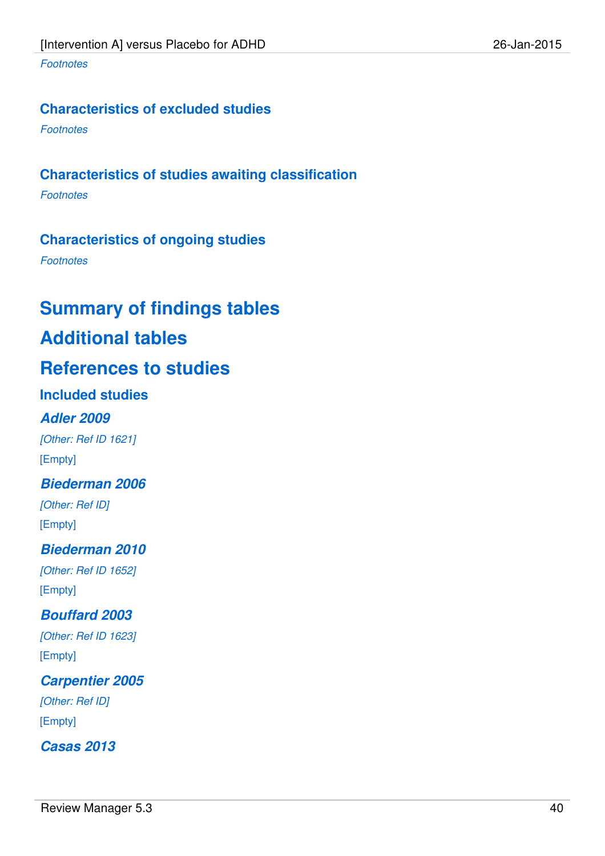### **Characteristics of excluded studies**

**Footnotes** 

## **Characteristics of studies awaiting classification**

**Footnotes** 

### **Characteristics of ongoing studies**

**Footnotes** 

# **Summary of findings tables**

# **Additional tables**

# **References to studies**

### **Included studies**

### **Adler 2009**

[Other: Ref ID 1621] [Empty]

### **Biederman 2006**

[Other: Ref ID] [Empty]

### **Biederman 2010**

[Other: Ref ID 1652] [Empty]

### **Bouffard 2003**

[Other: Ref ID 1623] [Empty]

### **Carpentier 2005**

[Other: Ref ID] [Empty]

**Casas 2013**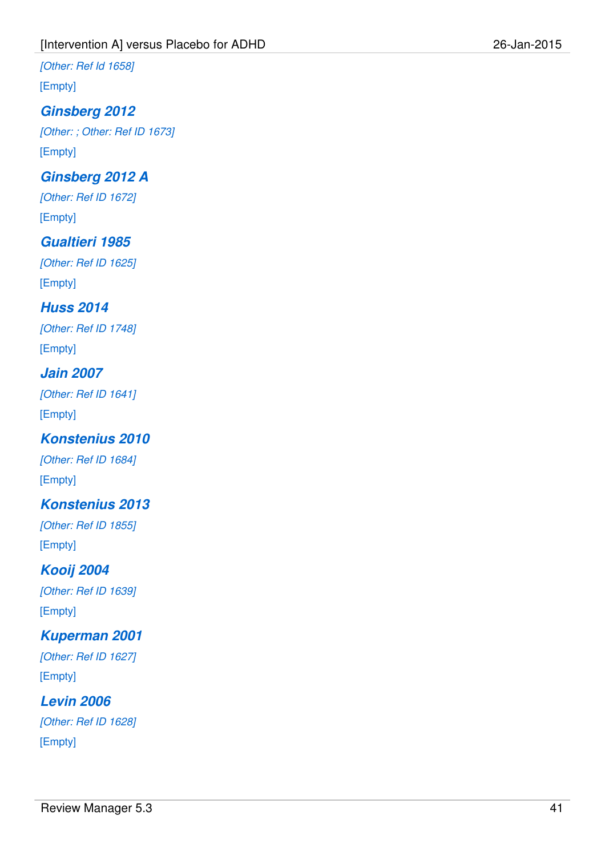[Other: Ref Id 1658]

[Empty]

# **Ginsberg 2012**

[Other: ; Other: Ref ID 1673] [Empty]

# **Ginsberg 2012 A**

[Other: Ref ID 1672] [Empty]

# **Gualtieri 1985**

[Other: Ref ID 1625] [Empty]

# **Huss 2014**

[Other: Ref ID 1748] [Empty]

### **Jain 2007**

[Other: Ref ID 1641] [Empty]

# **Konstenius 2010**

[Other: Ref ID 1684] [Empty]

# **Konstenius 2013**

[Other: Ref ID 1855] [Empty]

### **Kooij 2004** [Other: Ref ID 1639]

[Empty]

# **Kuperman 2001**

[Other: Ref ID 1627] [Empty]

# **Levin 2006**

[Other: Ref ID 1628] [Empty]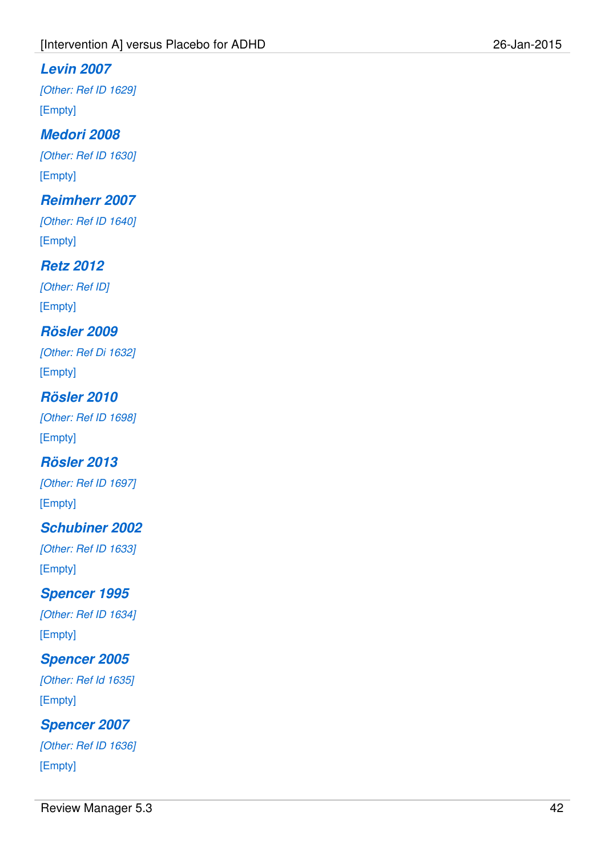### **Levin 2007**

[Other: Ref ID 1629] [Empty]

# **Medori 2008**

[Other: Ref ID 1630] [Empty]

### **Reimherr 2007**

[Other: Ref ID 1640] [Empty]

### **Retz 2012**

[Other: Ref ID] [Empty]

# **Rösler 2009**

[Other: Ref Di 1632] [Empty]

# **Rösler 2010**

[Other: Ref ID 1698] [Empty]

### **Rösler 2013**

[Other: Ref ID 1697] [Empty]

### **Schubiner 2002**

[Other: Ref ID 1633] [Empty]

### **Spencer 1995**

[Other: Ref ID 1634] [Empty]

### **Spencer 2005**

[Other: Ref Id 1635] [Empty]

**Spencer 2007** [Other: Ref ID 1636] [Empty]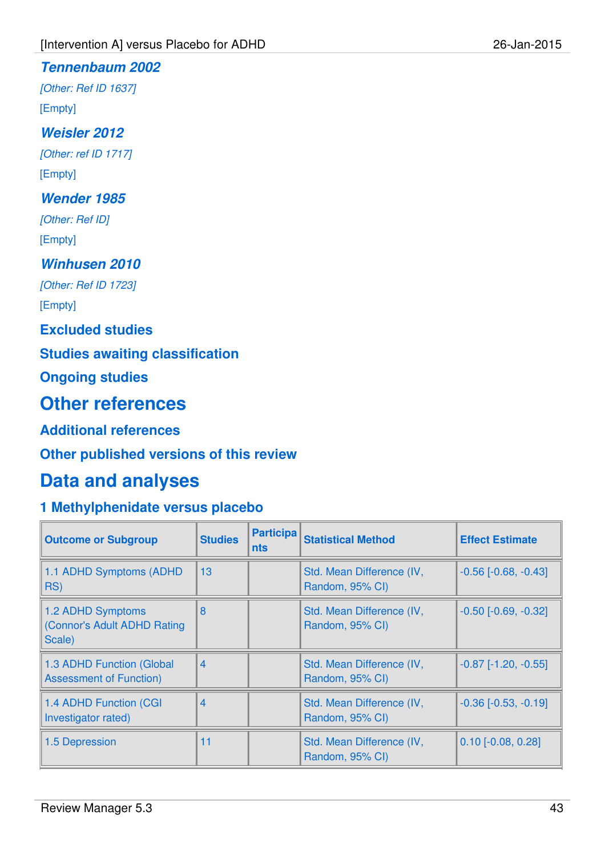### **Tennenbaum 2002**

[Other: Ref ID 1637] [Empty]

### **Weisler 2012**

[Other: ref ID 1717] [Empty]

### **Wender 1985**

[Other: Ref ID] [Empty]

### **Winhusen 2010**

[Other: Ref ID 1723]

[Empty]

### **Excluded studies**

### **Studies awaiting classification**

**Ongoing studies**

# **Other references**

### **Additional references**

### **Other published versions of this review**

# **Data and analyses**

# **1 Methylphenidate versus placebo**

| <b>Outcome or Subgroup</b>                                  | <b>Studies</b> | <b>Participa</b><br>nts | <b>Statistical Method</b>                    | <b>Effect Estimate</b>     |
|-------------------------------------------------------------|----------------|-------------------------|----------------------------------------------|----------------------------|
| 1.1 ADHD Symptoms (ADHD<br>RS)                              | 13             |                         | Std. Mean Difference (IV,<br>Random, 95% CI) | $-0.56$ $[-0.68, -0.43]$   |
| 1.2 ADHD Symptoms<br>(Connor's Adult ADHD Rating<br>Scale)  | 8              |                         | Std. Mean Difference (IV,<br>Random, 95% CI) | $-0.50$ [ $-0.69, -0.32$ ] |
| 1.3 ADHD Function (Global<br><b>Assessment of Function)</b> | $\overline{4}$ |                         | Std. Mean Difference (IV,<br>Random, 95% CI) | $-0.87$ [ $-1.20, -0.55$ ] |
| 1.4 ADHD Function (CGI<br>Investigator rated)               | $\overline{4}$ |                         | Std. Mean Difference (IV,<br>Random, 95% CI) | $-0.36$ $[-0.53, -0.19]$   |
| 1.5 Depression                                              | 11             |                         | Std. Mean Difference (IV,<br>Random, 95% CI) | $0.10$ [-0.08, 0.28]       |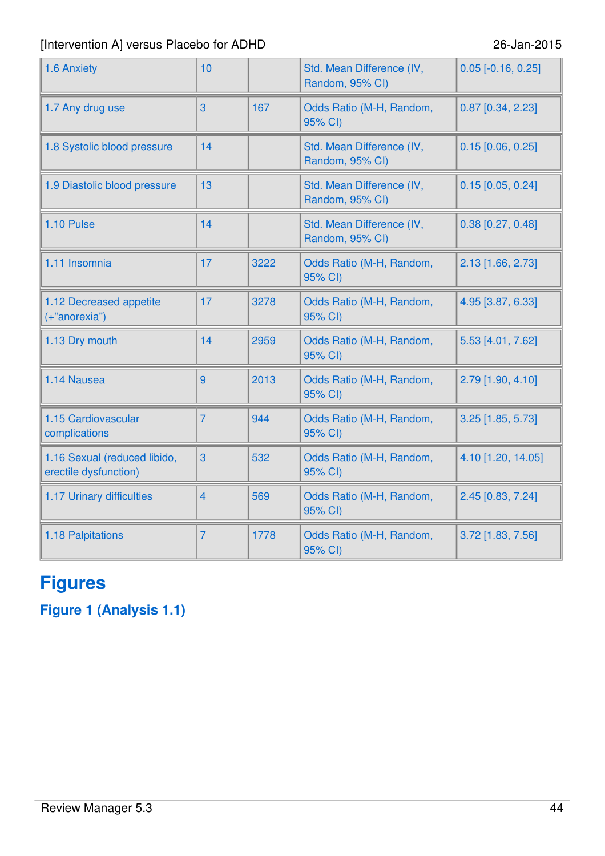| 1.6 Anxiety                                           | 10             |      | Std. Mean Difference (IV,<br>Random, 95% CI) | $0.05$ [-0.16, 0.25] |
|-------------------------------------------------------|----------------|------|----------------------------------------------|----------------------|
| 1.7 Any drug use                                      | 3              | 167  | Odds Ratio (M-H, Random,<br>95% CI)          | $0.87$ [0.34, 2.23]  |
| 1.8 Systolic blood pressure                           | 14             |      | Std. Mean Difference (IV,<br>Random, 95% CI) | $0.15$ [0.06, 0.25]  |
| 1.9 Diastolic blood pressure                          | 13             |      | Std. Mean Difference (IV,<br>Random, 95% CI) | $0.15$ [0.05, 0.24]  |
| 1.10 Pulse                                            | 14             |      | Std. Mean Difference (IV,<br>Random, 95% CI) | $0.38$ [0.27, 0.48]  |
| 1.11 Insomnia                                         | 17             | 3222 | Odds Ratio (M-H, Random,<br>95% CI)          | 2.13 [1.66, 2.73]    |
| 1.12 Decreased appetite<br>(+"anorexia")              | 17             | 3278 | Odds Ratio (M-H, Random,<br>95% CI)          | 4.95 [3.87, 6.33]    |
| 1.13 Dry mouth                                        | 14             | 2959 | Odds Ratio (M-H, Random,<br>95% CI)          | 5.53 [4.01, 7.62]    |
| 1.14 Nausea                                           | 9              | 2013 | Odds Ratio (M-H, Random,<br>95% CI)          | 2.79 [1.90, 4.10]    |
| 1.15 Cardiovascular<br>complications                  | $\overline{7}$ | 944  | Odds Ratio (M-H, Random,<br>95% CI)          | 3.25 [1.85, 5.73]    |
| 1.16 Sexual (reduced libido,<br>erectile dysfunction) | 3              | 532  | Odds Ratio (M-H, Random,<br>95% CI)          | 4.10 [1.20, 14.05]   |
| 1.17 Urinary difficulties                             | $\overline{4}$ | 569  | Odds Ratio (M-H, Random,<br>95% CI)          | 2.45 [0.83, 7.24]    |
| 1.18 Palpitations                                     | $\overline{7}$ | 1778 | Odds Ratio (M-H, Random,<br>95% CI)          | 3.72 [1.83, 7.56]    |

# **Figures**

**Figure 1 (Analysis 1.1)**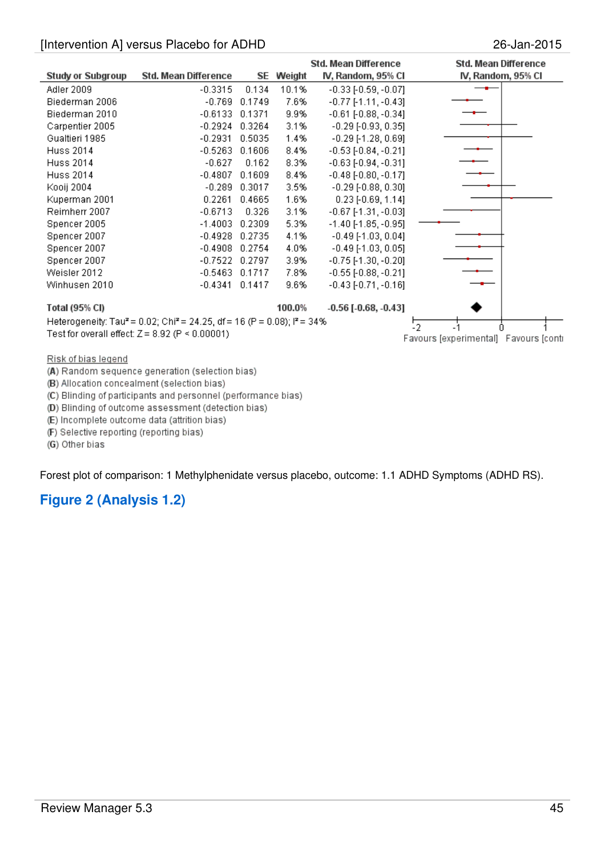|                          |                                                                                                  |        |        | Std. Mean Difference          | Std. Mean Difference                  |
|--------------------------|--------------------------------------------------------------------------------------------------|--------|--------|-------------------------------|---------------------------------------|
| <b>Study or Subgroup</b> | Std. Mean Difference                                                                             | SE     | Weight | IV, Random, 95% CI            | IV, Random, 95% CI                    |
| Adler 2009               | $-0.3315$                                                                                        | 0.134  | 10.1%  | $-0.33$ [ $-0.59, -0.07$ ]    |                                       |
| Biederman 2006           | $-0.769$                                                                                         | 0.1749 | 7.6%   | $-0.77$ [-1.11, -0.43]        |                                       |
| Biederman 2010           | $-0.6133$                                                                                        | 0.1371 | 9.9%   | $-0.61$ [ $-0.88, -0.34$ ]    |                                       |
| Carpentier 2005          | $-0.2924$                                                                                        | 0.3264 | 3.1%   | $-0.29$ [ $-0.93$ , $0.35$ ]  |                                       |
| Gualtieri 1985           | $-0.2931$                                                                                        | 0.5035 | 1.4%   | $-0.29$ [-1.28, 0.69]         |                                       |
| <b>Huss 2014</b>         | $-0.5263$                                                                                        | 0.1606 | 8.4%   | $-0.53$ [ $-0.84$ , $-0.21$ ] |                                       |
| Huss 2014                | $-0.627$                                                                                         | 0.162  | 8.3%   | $-0.63$ [ $-0.94$ , $-0.31$ ] |                                       |
| Huss 2014                | $-0.4807$                                                                                        | 0.1609 | 8.4%   | $-0.48$ [ $-0.80, -0.17$ ]    |                                       |
| Kooij 2004               | $-0.289$                                                                                         | 0.3017 | 3.5%   | $-0.29$ [ $-0.88$ , $0.30$ ]  |                                       |
| Kuperman 2001            | 0.2261                                                                                           | 0.4665 | 1.6%   | $0.23$ [-0.69, 1.14]          |                                       |
| Reimherr 2007            | $-0.6713$                                                                                        | 0.326  | 3.1%   | $-0.67$ [-1.31, $-0.03$ ]     |                                       |
| Spencer 2005             | $-1.4003$                                                                                        | 0.2309 | 5.3%   | $-1.40$ [-1.85, $-0.95$ ]     |                                       |
| Spencer 2007             | $-0.4928$                                                                                        | 0.2735 | 4.1%   | $-0.49$ [-1.03, 0.04]         |                                       |
| Spencer 2007             | $-0.4908$                                                                                        | 0.2754 | 4.0%   | $-0.49$ [-1.03, 0.05]         |                                       |
| Spencer 2007             | $-0.7522$                                                                                        | 0.2797 | 3.9%   | $-0.75$ [-1.30, $-0.20$ ]     |                                       |
| Weisler 2012             | $-0.5463$                                                                                        | 0.1717 | 7.8%   | $-0.55$ [ $-0.88, -0.21$ ]    |                                       |
| Winhusen 2010            | $-0.4341$                                                                                        | 0.1417 | 9.6%   | $-0.43[-0.71, -0.16]$         |                                       |
| Total (95% CI)           |                                                                                                  |        | 100.0% | $-0.56$ [ $-0.68, -0.43$ ]    |                                       |
|                          | Heterogeneity: Tau <sup>2</sup> = 0.02; Chi <sup>2</sup> = 24.25, df = 16 (P = 0.08); $P = 34\%$ |        |        |                               | 5                                     |
|                          | Test for overall effect: $Z = 8.92$ (P < 0.00001)                                                |        |        |                               |                                       |
|                          |                                                                                                  |        |        |                               | Favours [experimental] Favours [conti |
| Risk of bias legend      |                                                                                                  |        |        |                               |                                       |

(A) Random sequence generation (selection bias)

(B) Allocation concealment (selection bias)

(C) Blinding of participants and personnel (performance bias)

(D) Blinding of outcome assessment (detection bias)

(E) Incomplete outcome data (attrition bias)

(F) Selective reporting (reporting bias)

(G) Other bias

Forest plot of comparison: 1 Methylphenidate versus placebo, outcome: 1.1 ADHD Symptoms (ADHD RS).

### **Figure 2 (Analysis 1.2)**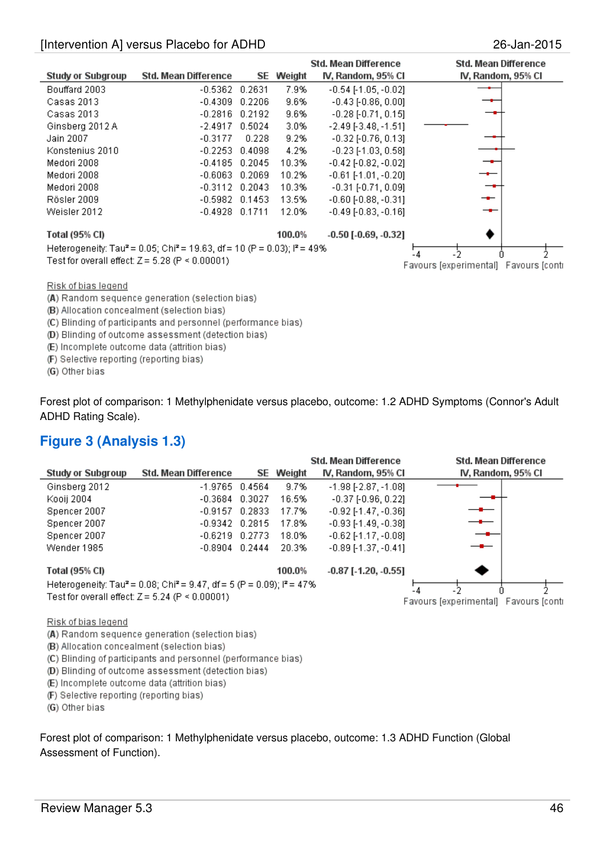|                          |                                                                                                            |        |           | Std. Mean Difference          | <b>Std. Mean Difference</b>           |
|--------------------------|------------------------------------------------------------------------------------------------------------|--------|-----------|-------------------------------|---------------------------------------|
| <b>Study or Subgroup</b> | Std. Mean Difference                                                                                       |        | SE Weight | IV, Random, 95% CI            | IV, Random, 95% CI                    |
| Bouffard 2003            | $-0.5362$ 0.2631                                                                                           |        | 7.9%      | $-0.54$ [-1.05, $-0.02$ ]     |                                       |
| Casas 2013               | -0.4309                                                                                                    | 0.2206 | 9.6%      | $-0.43$ [ $-0.86, 0.00$ ]     |                                       |
| Casas 2013               | $-0.2816$ $0.2192$                                                                                         |        | 9.6%      | $-0.28[-0.71, 0.15]$          |                                       |
| Ginsberg 2012 A          | $-2.4917$                                                                                                  | 0.5024 | 3.0%      | $-2.49[-3.48, -1.51]$         |                                       |
| Jain 2007                | $-0.3177$                                                                                                  | 0.228  | 9.2%      | $-0.32$ [ $-0.76$ , $0.13$ ]  |                                       |
| Konstenius 2010          | $-0.2253$ $0.4098$                                                                                         |        | 4.2%      | $-0.23$ [-1.03, 0.58]         |                                       |
| Medori 2008              | $-0.4185$ 0.2045                                                                                           |        | 10.3%     | $-0.42$ [ $-0.82$ , $-0.02$ ] |                                       |
| Medori 2008              | $-0.6063$                                                                                                  | 0.2069 | 10.2%     | $-0.61$ [-1.01, $-0.20$ ]     |                                       |
| Medori 2008              | $-0.3112$ $0.2043$                                                                                         |        | 10.3%     | $-0.31$ [ $-0.71$ , $0.09$ ]  |                                       |
| Rösler 2009              | $-0.5982$ $0.1453$                                                                                         |        | 13.5%     | $-0.60$ [ $-0.88, -0.31$ ]    |                                       |
| Weisler 2012             | $-0.4928$ 0.1711                                                                                           |        | 12.0%     | $-0.49$ [ $-0.83$ , $-0.16$ ] |                                       |
| <b>Total (95% CI)</b>    |                                                                                                            |        | 100.0%    | $-0.50$ [ $-0.69, -0.32$ ]    |                                       |
|                          | Heterogeneity: Tau <sup>2</sup> = 0.05; Chi <sup>2</sup> = 19.63, df = 10 (P = 0.03); l <sup>2</sup> = 49% |        |           |                               | $-2^{\circ}$                          |
|                          | Test for overall effect: $Z = 5.28$ (P < 0.00001)                                                          |        |           |                               | Favours [experimental] Favours [conti |

#### Risk of bias legend

(A) Random sequence generation (selection bias)

(B) Allocation concealment (selection bias)

(C) Blinding of participants and personnel (performance bias)

(D) Blinding of outcome assessment (detection bias)

(E) Incomplete outcome data (attrition bias)

(F) Selective reporting (reporting bias)

(G) Other bias

Forest plot of comparison: 1 Methylphenidate versus placebo, outcome: 1.2 ADHD Symptoms (Connor's Adult ADHD Rating Scale).

### **Figure 3 (Analysis 1.3)**

|                          |                                                                                                          |                  | Std. Mean Difference          | <b>Std. Mean Difference</b>                  |  |
|--------------------------|----------------------------------------------------------------------------------------------------------|------------------|-------------------------------|----------------------------------------------|--|
| <b>Study or Subgroup</b> | Std. Mean Difference                                                                                     | <b>SE</b> Weight | IV, Random, 95% CI            | IV, Random, 95% CI                           |  |
| Ginsberg 2012            | $-1.9765$ 0.4564                                                                                         | 9.7%             | $-1.98$ [ $-2.87$ , $-1.08$ ] |                                              |  |
| Kooij 2004               | $-0.3684$ $0.3027$                                                                                       | 16.5%            | $-0.37$ [ $-0.96$ , $0.22$ ]  |                                              |  |
| Spencer 2007             | $-0.9157$ 0.2833                                                                                         | 17.7%            | $-0.92$ [-1.47, $-0.36$ ]     |                                              |  |
| Spencer 2007             | $-0.9342$ 0.2815                                                                                         | 17.8%            | $-0.93$ [-1.49, -0.38]        |                                              |  |
| Spencer 2007             | $-0.6219$ $0.2773$                                                                                       | 18.0%            | $-0.62$ [-1.17, $-0.08$ ]     |                                              |  |
| Wender 1985              | $-0.8904$ $0.2444$                                                                                       | 20.3%            | $-0.89$ [-1.37, -0.41]        |                                              |  |
| Total (95% CI)           |                                                                                                          | 100.0%           | $-0.87$ [ $-1.20, -0.55$ ]    |                                              |  |
|                          | Heterogeneity: Tau <sup>2</sup> = 0.08; Chi <sup>2</sup> = 9.47, df = 5 (P = 0.09); l <sup>2</sup> = 47% |                  |                               |                                              |  |
|                          | Test for overall effect: $Z = 5.24$ (P < 0.00001)                                                        |                  |                               | - 4<br>Favours [experimental] Favours [conti |  |

Risk of bias legend

(A) Random sequence generation (selection bias)

(B) Allocation concealment (selection bias)

(C) Blinding of participants and personnel (performance bias)

(D) Blinding of outcome assessment (detection bias)

(E) Incomplete outcome data (attrition bias)

(F) Selective reporting (reporting bias)

(G) Other bias

Forest plot of comparison: 1 Methylphenidate versus placebo, outcome: 1.3 ADHD Function (Global Assessment of Function).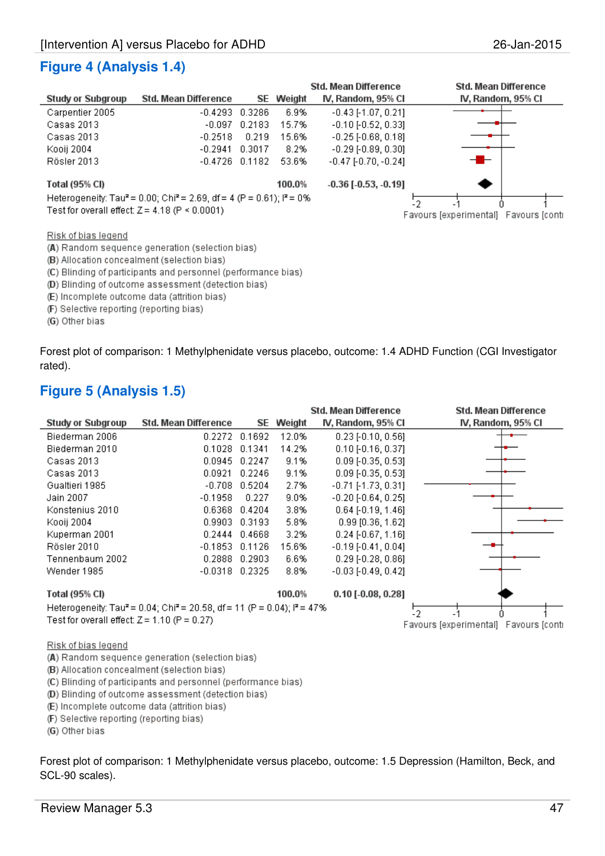### **Figure 4 (Analysis 1.4)**

|                                                        |                                                                                               |        |        | Std. Mean Difference          | <b>Std. Mean Difference</b>           |
|--------------------------------------------------------|-----------------------------------------------------------------------------------------------|--------|--------|-------------------------------|---------------------------------------|
| <b>Study or Subgroup</b>                               | Std. Mean Difference                                                                          | SE.    | Weight | IV, Random, 95% CI            | IV, Random, 95% Cl                    |
| Carpentier 2005                                        | $-0.4293$                                                                                     | 0.3286 | 6.9%   | $-0.43$ [-1.07, 0.21]         |                                       |
| Casas 2013                                             | $-0.097$                                                                                      | 0.2183 | 15.7%  | $-0.10$ [ $-0.52$ , $0.33$ ]  |                                       |
| Casas 2013                                             | $-0.2518$                                                                                     | 0.219  | 15.6%  | $-0.25$ [ $-0.68$ , $0.18$ ]  |                                       |
| Kooii 2004                                             | $-0.2941$                                                                                     | 0.3017 | 8.2%   | $-0.29$ [ $-0.89$ , $0.30$ ]  |                                       |
| Rösler 2013                                            | $-0.4726$ 0.1182                                                                              |        | 53.6%  | $-0.47$ [ $-0.70$ , $-0.24$ ] | --                                    |
| Total (95% CI)                                         |                                                                                               |        | 100.0% | $-0.36$ [ $-0.53$ , $-0.19$ ] |                                       |
|                                                        | Heterogeneity: Tau <sup>2</sup> = 0.00; Chi <sup>2</sup> = 2.69, df = 4 (P = 0.61); $P = 0\%$ |        |        |                               | $-2$                                  |
| Test for overall effect: $Z = 4.18$ (P $\leq 0.0001$ ) |                                                                                               |        |        |                               | Favours [experimental] Favours [conti |

Risk of bias legend

(A) Random sequence generation (selection bias)

(B) Allocation concealment (selection bias)

(C) Blinding of participants and personnel (performance bias)

(D) Blinding of outcome assessment (detection bias)

(E) Incomplete outcome data (attrition bias)

(F) Selective reporting (reporting bias)

(G) Other bias

Forest plot of comparison: 1 Methylphenidate versus placebo, outcome: 1.4 ADHD Function (CGI Investigator rated).

### **Figure 5 (Analysis 1.5)**

|                                                |                                                                                                  |               |        | <b>Std. Mean Difference</b>  | Std. Mean Difference                  |
|------------------------------------------------|--------------------------------------------------------------------------------------------------|---------------|--------|------------------------------|---------------------------------------|
| <b>Study or Subgroup</b>                       | <b>Std. Mean Difference</b>                                                                      | SE            | Weight | IV, Random, 95% CI           | IV, Random, 95% CI                    |
| Biederman 2006                                 |                                                                                                  | 0.2272 0.1692 | 12.0%  | $0.23$ [-0.10, 0.56]         |                                       |
| Biederman 2010                                 | 0.1028                                                                                           | 0.1341        | 14.2%  | $0.10$ [ $-0.16$ , $0.37$ ]  |                                       |
| Casas 2013                                     | 0.0945                                                                                           | 0.2247        | 9.1%   | $0.09$ [-0.35, 0.53]         |                                       |
| Casas 2013                                     | 0.0921                                                                                           | 0.2246        | 9.1%   | $0.09$ [-0.35, 0.53]         |                                       |
| Gualtieri 1985                                 | $-0.708$                                                                                         | 0.5204        | 2.7%   | $-0.71$ [-1.73, 0.31]        |                                       |
| Jain 2007                                      | $-0.1958$                                                                                        | 0.227         | 9.0%   | $-0.20$ [ $-0.64$ , $0.25$ ] |                                       |
| Konstenius 2010                                | 0.6368                                                                                           | 0.4204        | 3.8%   | $0.64$ [-0.19, 1.46]         |                                       |
| Kooij 2004                                     | 0.9903                                                                                           | 0.3193        | 5.8%   | $0.99$ [0.36, 1.62]          |                                       |
| Kuperman 2001                                  | 0.2444                                                                                           | 0.4668        | 3.2%   | $0.24$ [-0.67, 1.16]         |                                       |
| Rösler 2010                                    | $-0.1853$                                                                                        | 0.1126        | 15.6%  | $-0.19[-0.41, 0.04]$         |                                       |
| Tennenbaum 2002                                | 0.2888                                                                                           | 0.2903        | 6.6%   | $0.29$ [-0.28, 0.86]         |                                       |
| Wender 1985                                    | $-0.0318$                                                                                        | 0.2325        | 8.8%   | $-0.03$ [ $-0.49, 0.42$ ]    |                                       |
| Total (95% CI)                                 |                                                                                                  |               | 100.0% | $0.10$ [ $-0.08$ , $0.28$ ]  |                                       |
|                                                | Heterogeneity: Tau <sup>2</sup> = 0.04; Chi <sup>2</sup> = 20.58, df = 11 (P = 0.04); $P = 47\%$ |               |        |                              | 12.                                   |
| Test for overall effect: $Z = 1.10$ (P = 0.27) |                                                                                                  |               |        |                              | Favours lexperimental) Favours lconti |

#### Risk of bias legend

(A) Random sequence generation (selection bias)

(B) Allocation concealment (selection bias)

(C) Blinding of participants and personnel (performance bias)

(D) Blinding of outcome assessment (detection bias)

(E) Incomplete outcome data (attrition bias)

(F) Selective reporting (reporting bias)

(G) Other bias

Forest plot of comparison: 1 Methylphenidate versus placebo, outcome: 1.5 Depression (Hamilton, Beck, and SCL-90 scales).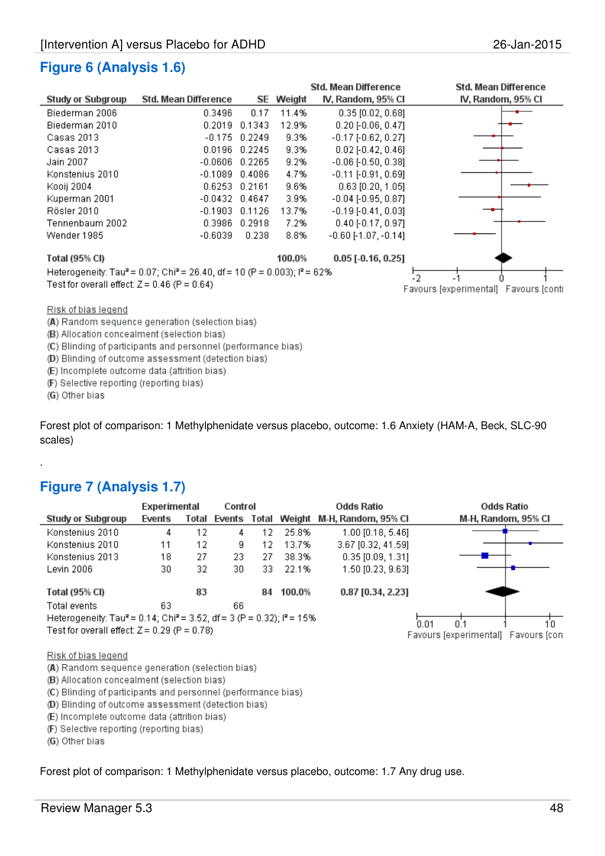# **Figure 6 (Analysis 1.6)**

|                                                                                                   |                      |               |        | Std. Mean Difference         | <b>Std. Mean Difference</b>           |
|---------------------------------------------------------------------------------------------------|----------------------|---------------|--------|------------------------------|---------------------------------------|
| <b>Study or Subgroup</b>                                                                          | Std. Mean Difference | SE.           | Weight | IV, Random, 95% CI           | IV, Random, 95% CI                    |
| Biederman 2006                                                                                    | 0.3496               | 0.17          | 11.4%  | $0.35$ [0.02, 0.68]          |                                       |
| Biederman 2010                                                                                    | 0.2019               | 0.1343        | 12.9%  | $0.20$ [-0.06, 0.47]         |                                       |
| Casas 2013                                                                                        | $-0.175$             | 0.2249        | 9.3%   | $-0.17[-0.62, 0.27]$         |                                       |
| Casas 2013                                                                                        | 0.0196               | 0.2245        | 9.3%   | $0.02$ [-0.42, 0.46]         |                                       |
| Jain 2007                                                                                         | $-0.0606$            | 0.2265        | 9.2%   | $-0.06$ [ $-0.50$ , $0.38$ ] |                                       |
| Konstenius 2010                                                                                   | $-0.1089$            | 0.4086        | 4.7%   | $-0.11$ [ $-0.91$ , $0.69$ ] |                                       |
| Kooij 2004                                                                                        |                      | 0.6253 0.2161 | 9.6%   | $0.63$ [0.20, 1.05]          |                                       |
| Kuperman 2001                                                                                     | $-0.0432$            | 0.4647        | 3.9%   | $-0.04$ [ $-0.95, 0.87$ ]    |                                       |
| Rösler 2010                                                                                       | $-0.1903$            | 0.1126        | 13.7%  | $-0.19[-0.41, 0.03]$         |                                       |
| Tennenbaum 2002.                                                                                  | 0.3986               | 0.2918        | 7.2%   | $0.40$ [-0.17, 0.97]         |                                       |
| Wender 1985                                                                                       | $-0.6039$            | 0.238         | 8.8%   | $-0.60$ [-1.07, $-0.14$ ]    |                                       |
| <b>Total (95% CI)</b>                                                                             |                      |               | 100.0% | $0.05$ [-0.16, 0.25]         |                                       |
| Heterogeneity: Tau <sup>2</sup> = 0.07; Chi <sup>2</sup> = 26.40, df = 10 (P = 0.003); $P = 62\%$ | 12                   |               |        |                              |                                       |
| Test for overall effect: $Z = 0.46$ (P = 0.64)                                                    |                      |               |        |                              | Favours lexperimental) Favours lconti |

Risk of bias legend

(A) Random sequence generation (selection bias)

(B) Allocation concealment (selection bias)

(C) Blinding of participants and personnel (performance bias)

(D) Blinding of outcome assessment (detection bias)

(E) Incomplete outcome data (attrition bias)

(F) Selective reporting (reporting bias)

(G) Other bias

.

Forest plot of comparison: 1 Methylphenidate versus placebo, outcome: 1.6 Anxiety (HAM-A, Beck, SLC-90 scales)

### **Figure 7 (Analysis 1.7)**

|                                                                                                          | Experimental |       | Control |       |                    | <b>Odds Ratio</b>   | Odds Ratio                          |
|----------------------------------------------------------------------------------------------------------|--------------|-------|---------|-------|--------------------|---------------------|-------------------------------------|
| <b>Study or Subgroup</b>                                                                                 | Events       | Total | Events  | Total | Weight             | M-H, Random, 95% CI | M-H, Random, 95% CI                 |
| Konstenius 2010                                                                                          | 4            | 12    | 4       | 12    | 25.8%              | $1.00$ [0.18, 5.46] |                                     |
| Konstenius 2010                                                                                          | 11           | 12    | 9       | 12    | 13.7%              | 3.67 [0.32, 41.59]  |                                     |
| Konstenius 2013                                                                                          | 18           | 27    | 23      | 27    | 38.3%              | $0.35$ [0.09, 1.31] |                                     |
| Levin 2006                                                                                               | 30           | 32    | 30      | 33.   | 22.1%              | 1.50 [0.23, 9.63]   |                                     |
| Total (95% CI)                                                                                           |              | 83    |         | 84    | 100.0%             | $0.87$ [0.34, 2.23] |                                     |
| Total events                                                                                             | 63           |       | 66      |       |                    |                     |                                     |
| Heterogeneity: Tau <sup>2</sup> = 0.14; Chi <sup>2</sup> = 3.52, df = 3 (P = 0.32); l <sup>2</sup> = 15% |              |       |         |       | în n1<br>n 1<br>10 |                     |                                     |
| Test for overall effect: $Z = 0.29$ (P = 0.78)                                                           |              |       |         |       |                    |                     | Favours [experimental] Favours [con |

#### Risk of bias legend

- (A) Random sequence generation (selection bias)
- (B) Allocation concealment (selection bias)
- (C) Blinding of participants and personnel (performance bias)
- (D) Blinding of outcome assessment (detection bias)
- (E) Incomplete outcome data (attrition bias)
- (F) Selective reporting (reporting bias)

(G) Other bias

Forest plot of comparison: 1 Methylphenidate versus placebo, outcome: 1.7 Any drug use.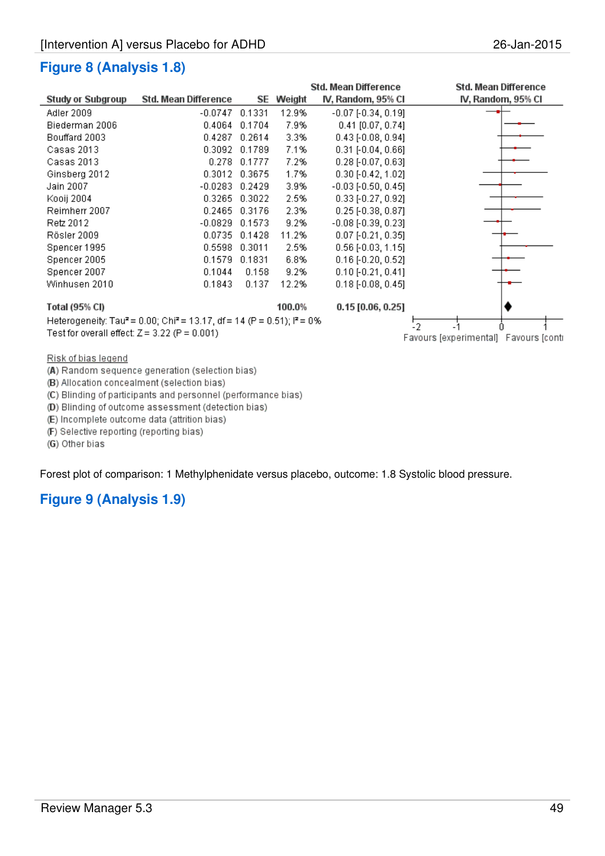|                                                 |                                                                                                 |               |        | Std. Mean Difference         | Std. Mean Difference                  |
|-------------------------------------------------|-------------------------------------------------------------------------------------------------|---------------|--------|------------------------------|---------------------------------------|
| <b>Study or Subgroup</b>                        | Std. Mean Difference                                                                            | SE            | Weight | IV, Random, 95% CI           | IV, Random, 95% CI                    |
| Adler 2009                                      | $-0.0747$ 0.1331                                                                                |               | 12.9%  | $-0.07[-0.34, 0.19]$         |                                       |
| Biederman 2006                                  | 0.4064                                                                                          | 0.1704        | 7.9%   | $0.41$ [0.07, 0.74]          |                                       |
| Bouffard 2003                                   | 0.4287                                                                                          | 0.2614        | 3.3%   | $0.43$ [-0.08, 0.94]         |                                       |
| Casas 2013                                      | 0.3092                                                                                          | 0.1789        | 7.1%   | $0.31$ [ $-0.04$ , $0.66$ ]  |                                       |
| Casas 2013                                      |                                                                                                 | 0.278 0.1777  | 7.2%   | $0.28$ [-0.07, 0.63]         |                                       |
| Ginsberg 2012                                   |                                                                                                 | 0.3012 0.3675 | 1.7%   | $0.30$ [-0.42, 1.02]         |                                       |
| Jain 2007                                       | $-0.0283$                                                                                       | 0.2429        | 3.9%   | $-0.03$ [ $-0.50, 0.45$ ]    |                                       |
| Kooij 2004                                      | 0.3265                                                                                          | 0.3022        | 2.5%   | $0.33$ [-0.27, 0.92]         |                                       |
| Reimherr 2007                                   |                                                                                                 | 0.2465 0.3176 | 2.3%   | $0.25$ [-0.38, 0.87]         |                                       |
| Retz 2012                                       | $-0.0829$                                                                                       | 0.1573        | 9.2%   | $-0.08$ [ $-0.39$ , $0.23$ ] |                                       |
| Rösler 2009                                     | 0.0735                                                                                          | 0.1428        | 11.2%  | $0.07$ [-0.21, 0.35]         |                                       |
| Spencer 1995                                    | 0.5598                                                                                          | 0.3011        | 2.5%   | $0.56$ [-0.03, 1.15]         |                                       |
| Spencer 2005                                    | 0.1579                                                                                          | 0.1831        | 6.8%   | $0.16$ [-0.20, 0.52]         |                                       |
| Spencer 2007                                    | 0.1044                                                                                          | 0.158         | 9.2%   | $0.10$ [-0.21, 0.41]         |                                       |
| Winhusen 2010                                   | 0.1843                                                                                          | 0.137         | 12.2%  | $0.18$ [-0.08, 0.45]         |                                       |
| Total (95% CI)                                  |                                                                                                 |               | 100.0% | $0.15$ [0.06, 0.25]          |                                       |
|                                                 | Heterogeneity: Tau <sup>2</sup> = 0.00; Chi <sup>2</sup> = 13.17, df = 14 (P = 0.51); $P = 0\%$ |               | 12.    |                              |                                       |
| Test for overall effect: $Z = 3.22$ (P = 0.001) |                                                                                                 |               |        |                              | Favours [experimental] Favours [conti |
| Risk of bias legend                             |                                                                                                 |               |        |                              |                                       |

(A) Random sequence generation (selection bias)

(B) Allocation concealment (selection bias)

(C) Blinding of participants and personnel (performance bias)

(D) Blinding of outcome assessment (detection bias)

(E) Incomplete outcome data (attrition bias)

(F) Selective reporting (reporting bias)

(G) Other bias

Forest plot of comparison: 1 Methylphenidate versus placebo, outcome: 1.8 Systolic blood pressure.

### **Figure 9 (Analysis 1.9)**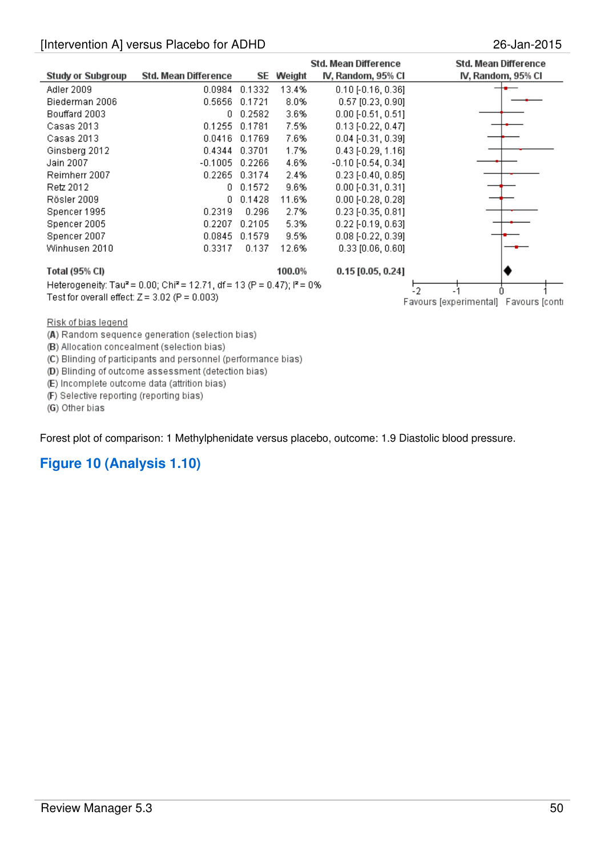| Study or Subgroup                               | Std. Mean Difference                                                                                      | SE.    | Weight | Std. Mean Difference<br>IV, Random, 95% CI | Std. Mean Difference<br>IV, Random, 95% CI |
|-------------------------------------------------|-----------------------------------------------------------------------------------------------------------|--------|--------|--------------------------------------------|--------------------------------------------|
| Adler 2009                                      | 0.0984                                                                                                    | 0.1332 | 13.4%  | $0.10$ [-0.16, 0.36]                       |                                            |
| Biederman 2006                                  | 0.5656                                                                                                    | 0.1721 | 8.0%   | $0.57$ [0.23, 0.90]                        |                                            |
|                                                 | θ.                                                                                                        |        |        |                                            |                                            |
| Bouffard 2003                                   |                                                                                                           | 0.2582 | 3.6%   | $0.00$ [ $-0.51$ , $0.51$ ]                |                                            |
| Casas 2013                                      | 0.1255                                                                                                    | 0.1781 | 7.5%   | $0.13$ [-0.22, 0.47]                       |                                            |
| Casas 2013                                      | 0.0416                                                                                                    | 0.1769 | 7.6%   | $0.04$ [-0.31, 0.39]                       |                                            |
| Ginsberg 2012                                   | 0.4344                                                                                                    | 0.3701 | 1.7%   | $0.43$ [-0.29, 1.16]                       |                                            |
| Jain 2007                                       | $-0.1005$                                                                                                 | 0.2266 | 4.6%   | $-0.10[-0.54, 0.34]$                       |                                            |
| Reimherr 2007                                   | 0.2265                                                                                                    | 0.3174 | 2.4%   | $0.23$ [-0.40, 0.85]                       |                                            |
| Retz 2012                                       | 0.                                                                                                        | 0.1572 | 9.6%   | $0.00$ [ $-0.31$ , $0.31$ ]                |                                            |
| Rösler 2009                                     | 0.                                                                                                        | 0.1428 | 11.6%  | $0.00$ [ $-0.28$ , $0.28$ ]                |                                            |
| Spencer 1995                                    | 0.2319                                                                                                    | 0.296  | 2.7%   | $0.23$ [-0.35, 0.81]                       |                                            |
| Spencer 2005                                    | 0.2207                                                                                                    | 0.2105 | 5.3%   | $0.22$ [-0.19, 0.63]                       |                                            |
| Spencer 2007                                    | 0.0845                                                                                                    | 0.1579 | 9.5%   | $0.08$ [-0.22, 0.39]                       |                                            |
| Winhusen 2010                                   | 0.3317                                                                                                    | 0.137  | 12.6%  | $0.33$ $[0.06, 0.60]$                      |                                            |
| Total (95% CI)                                  |                                                                                                           |        | 100.0% | $0.15$ [0.05, 0.24]                        |                                            |
|                                                 | Heterogeneity: Tau <sup>2</sup> = 0.00; Chi <sup>2</sup> = 12.71, df = 13 (P = 0.47); i <sup>2</sup> = 0% |        |        |                                            |                                            |
| Test for overall effect: $Z = 3.02$ (P = 0.003) |                                                                                                           | 12     |        |                                            |                                            |
|                                                 |                                                                                                           |        |        |                                            | Favours [experimental] Favours [conti      |

Risk of bias legend

(A) Random sequence generation (selection bias)

(B) Allocation concealment (selection bias)

(C) Blinding of participants and personnel (performance bias)

(D) Blinding of outcome assessment (detection bias)

(E) Incomplete outcome data (attrition bias)

(F) Selective reporting (reporting bias)

(G) Other bias

Forest plot of comparison: 1 Methylphenidate versus placebo, outcome: 1.9 Diastolic blood pressure.

### **Figure 10 (Analysis 1.10)**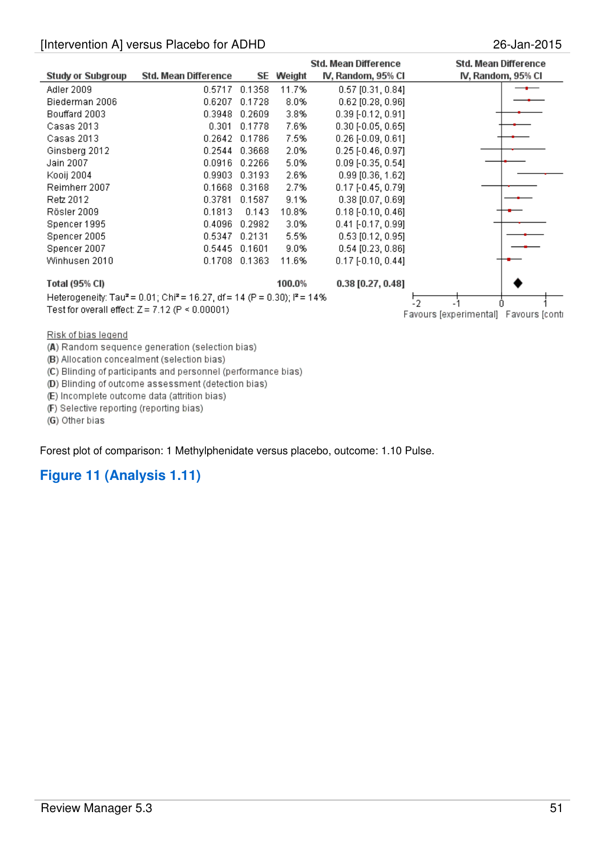|                          |                                                                                                            |        |        | Std. Mean Difference | Std. Mean Difference                               |
|--------------------------|------------------------------------------------------------------------------------------------------------|--------|--------|----------------------|----------------------------------------------------|
| <b>Study or Subgroup</b> | Std. Mean Difference                                                                                       | SE.    | Weight | IV, Random, 95% CI   | IV, Random, 95% CI                                 |
| Adler 2009               | 0.5717                                                                                                     | 0.1358 | 11.7%  | $0.57$ [0.31, 0.84]  |                                                    |
| Biederman 2006           | 0.6207                                                                                                     | 0.1728 | 8.0%   | $0.62$ [0.28, 0.96]  |                                                    |
| Bouffard 2003            | 0.3948                                                                                                     | 0.2609 | 3.8%   | $0.39$ [-0.12, 0.91] |                                                    |
| Casas 2013               | 0.301                                                                                                      | 0.1778 | 7.6%   | $0.30$ [-0.05, 0.65] |                                                    |
| Casas 2013               | 0.2642                                                                                                     | 0.1786 | 7.5%   | $0.26$ [-0.09, 0.61] |                                                    |
| Ginsberg 2012            | 0.2544                                                                                                     | 0.3668 | 2.0%   | $0.25$ [-0.46, 0.97] |                                                    |
| Jain 2007                | 0.0916                                                                                                     | 0.2266 | 5.0%   | $0.09$ [-0.35, 0.54] |                                                    |
| Kooij 2004               | 0.9903                                                                                                     | 0.3193 | 2.6%   | $0.99$ [0.36, 1.62]  |                                                    |
| Reimherr 2007            | 0.1668                                                                                                     | 0.3168 | 2.7%   | $0.17$ [-0.45, 0.79] |                                                    |
| Retz 2012                | 0.3781                                                                                                     | 0.1587 | 9.1%   | $0.38$ [0.07, 0.69]  |                                                    |
| Rösler 2009              | 0.1813                                                                                                     | 0.143  | 10.8%  | $0.18$ [-0.10, 0.46] |                                                    |
| Spencer 1995             | 0.4096                                                                                                     | 0.2982 | 3.0%   | $0.41$ [-0.17, 0.99] |                                                    |
| Spencer 2005             | 0.5347                                                                                                     | 0.2131 | 5.5%   | $0.53$ [0.12, 0.95]  |                                                    |
| Spencer 2007             | 0.5445                                                                                                     | 0.1601 | 9.0%   | $0.54$ [0.23, 0.86]  |                                                    |
| Winhusen 2010            | 0.1708                                                                                                     | 0.1363 | 11.6%  | $0.17$ [-0.10, 0.44] |                                                    |
| Total (95% CI)           |                                                                                                            |        | 100.0% | $0.38$ [0.27, 0.48]  |                                                    |
|                          | Heterogeneity: Tau <sup>2</sup> = 0.01; Chi <sup>2</sup> = 16.27, df = 14 (P = 0.30); l <sup>2</sup> = 14% |        |        |                      |                                                    |
|                          | Test for overall effect: $Z = 7.12$ (P $\leq 0.00001$ )                                                    |        |        |                      | $\cdot$ 2<br>Favours [experimental] Favours [conti |

Risk of bias legend

(A) Random sequence generation (selection bias)

(B) Allocation concealment (selection bias)

(C) Blinding of participants and personnel (performance bias)

(D) Blinding of outcome assessment (detection bias)

(E) Incomplete outcome data (attrition bias)

(F) Selective reporting (reporting bias)

(G) Other bias

Forest plot of comparison: 1 Methylphenidate versus placebo, outcome: 1.10 Pulse.

### **Figure 11 (Analysis 1.11)**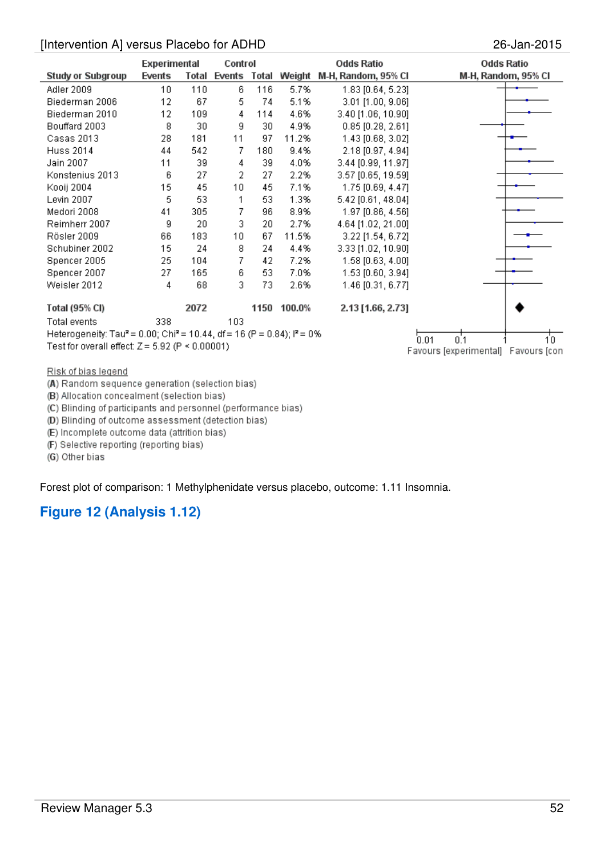|                                                                                                 | Experimental<br>Control |       |              | <b>Odds Ratio</b> | <b>Odds Ratio</b>                                  |                        |                     |
|-------------------------------------------------------------------------------------------------|-------------------------|-------|--------------|-------------------|----------------------------------------------------|------------------------|---------------------|
| <b>Study or Subgroup</b>                                                                        | Events                  | Total | Events Total |                   | Weight                                             | M-H, Random, 95% CI    | M-H, Random, 95% CI |
| Adler 2009                                                                                      | 10                      | 110   | 6            | 116               | 5.7%                                               | 1.83 [0.64, 5.23]      |                     |
| Biederman 2006                                                                                  | 12                      | 67    | 5            | 74                | 5.1%                                               | $3.01$ [1.00, $9.06$ ] |                     |
| Biederman 2010                                                                                  | 12                      | 109   | 4            | 114               | 4.6%                                               | 3.40 [1.06, 10.90]     |                     |
| Bouffard 2003                                                                                   | 8                       | 30    | 9            | 30                | 4.9%                                               | $0.85$ [0.28, 2.61]    |                     |
| Casas 2013                                                                                      | 28                      | 181   | 11           | 97                | 11.2%                                              | 1.43 [0.68, 3.02]      |                     |
| Huss 2014                                                                                       | 44                      | 542   | 7            | 180               | 9.4%                                               | 2.18 [0.97, 4.94]      |                     |
| Jain 2007                                                                                       | 11                      | 39    | 4            | 39                | 4.0%                                               | 3.44 [0.99, 11.97]     |                     |
| Konstenius 2013                                                                                 | 6                       | 27    | 2            | 27                | 2.2%                                               | 3.57 [0.65, 19.59]     |                     |
| Kooij 2004                                                                                      | 15                      | 45    | 10           | 45                | 7.1%                                               | 1.75 [0.69, 4.47]      |                     |
| Levin 2007                                                                                      | 5                       | 53    | 1            | 53                | 1.3%                                               | 5.42 [0.61, 48.04]     |                     |
| Medori 2008                                                                                     | 41                      | 305   | 7            | 96                | 8.9%                                               | 1.97 [0.86, 4.56]      |                     |
| Reimherr 2007                                                                                   | 9                       | 20    | 3            | 20                | 2.7%                                               | 4.64 [1.02, 21.00]     |                     |
| Rösler 2009                                                                                     | 66                      | 183   | 10           | 67                | 11.5%                                              | 3.22 [1.54, 6.72]      |                     |
| Schubiner 2002                                                                                  | 15                      | 24    | 8            | 24                | 4.4%                                               | 3.33 [1.02, 10.90]     |                     |
| Spencer 2005                                                                                    | 25                      | 104   | 7            | 42                | 7.2%                                               | 1.58 [0.63, 4.00]      |                     |
| Spencer 2007                                                                                    | 27                      | 165   | 6            | 53                | 7.0%                                               | 1.53 [0.60, 3.94]      |                     |
| Weisler 2012                                                                                    | 4                       | 68    | 3            | 73                | 2.6%                                               | 1.46 [0.31, 6.77]      |                     |
| Total (95% CI)                                                                                  |                         | 2072  |              |                   | 1150 100.0%                                        | 2.13 [1.66, 2.73]      |                     |
| <b>Total events</b>                                                                             | 338                     |       | 103          |                   |                                                    |                        |                     |
| Heterogeneity: Tau <sup>2</sup> = 0.00; Chi <sup>2</sup> = 10.44, df = 16 (P = 0.84); $P = 0\%$ |                         |       |              | 10.               |                                                    |                        |                     |
| Test for overall effect: $Z = 5.92$ (P < 0.00001)                                               |                         |       |              |                   | 0.1<br>0.01<br>Favours [experimental] Favours [con |                        |                     |
|                                                                                                 |                         |       |              |                   |                                                    |                        |                     |
| Risk of hiss lenend                                                                             |                         |       |              |                   |                                                    |                        |                     |

<u>Risk of blas legend</u>

(A) Random sequence generation (selection bias)

(B) Allocation concealment (selection bias)

(C) Blinding of participants and personnel (performance bias)

(D) Blinding of outcome assessment (detection bias)

(E) Incomplete outcome data (attrition bias)

(F) Selective reporting (reporting bias)

(G) Other bias

Forest plot of comparison: 1 Methylphenidate versus placebo, outcome: 1.11 Insomnia.

## **Figure 12 (Analysis 1.12)**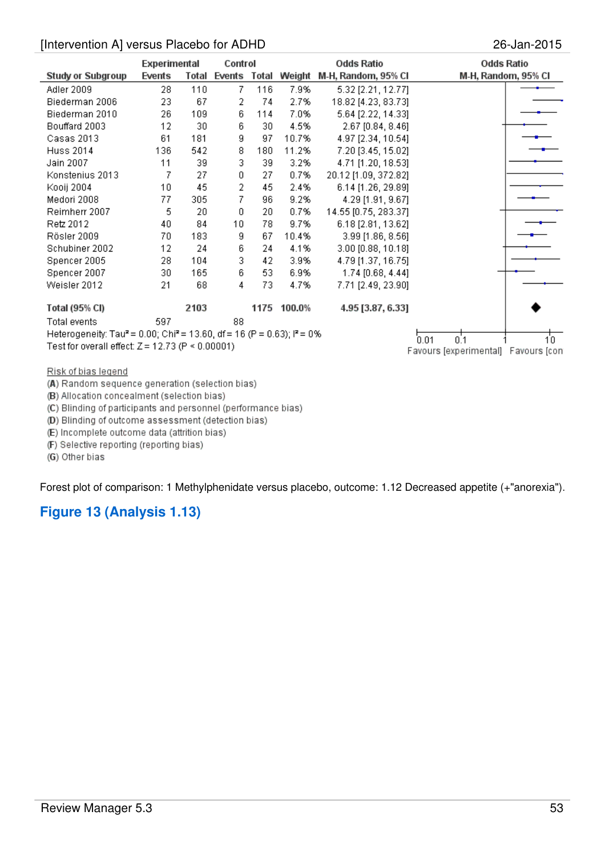|                                                                                                           | <b>Experimental</b> |       | Control |     |                     | <b>Odds Ratio</b>    | <b>Odds Ratio</b>                   |     |
|-----------------------------------------------------------------------------------------------------------|---------------------|-------|---------|-----|---------------------|----------------------|-------------------------------------|-----|
| <b>Study or Subgroup</b>                                                                                  | Events              | Total |         |     | Events Total Weight | M-H, Random, 95% CI  | M-H, Random, 95% CI                 |     |
| Adler 2009                                                                                                | 28                  | 110   | 7       | 116 | 7.9%                | 5.32 [2.21, 12.77]   |                                     |     |
| Biederman 2006                                                                                            | 23                  | 67    | 2       | 74  | 2.7%                | 18.82 [4.23, 83.73]  |                                     |     |
| Biederman 2010                                                                                            | 26                  | 109   | 6       | 114 | 7.0%                | 5.64 [2.22, 14.33]   |                                     |     |
| Bouffard 2003                                                                                             | 12                  | 30    | 6       | 30  | 4.5%                | 2.67 [0.84, 8.46]    |                                     |     |
| Casas 2013                                                                                                | 61                  | 181   | 9       | 97  | 10.7%               | 4.97 [2.34, 10.54]   |                                     |     |
| <b>Huss 2014</b>                                                                                          | 136                 | 542   | 8       | 180 | 11.2%               | 7.20 [3.45, 15.02]   |                                     |     |
| Jain 2007                                                                                                 | 11                  | 39    | 3       | 39  | 3.2%                | 4.71 [1.20, 18.53]   |                                     |     |
| Konstenius 2013                                                                                           | 7                   | 27    | 0       | 27  | 0.7%                | 20.12 [1.09, 372.82] |                                     |     |
| Kooij 2004                                                                                                | 10                  | 45    | 2       | 45  | 2.4%                | 6.14 [1.26, 29.89]   |                                     |     |
| Medori 2008                                                                                               | 77                  | 305   | 7       | 96  | 9.2%                | 4.29 [1.91, 9.67]    |                                     |     |
| Reimherr 2007                                                                                             | 5                   | 20    | 0       | 20  | 0.7%                | 14.55 [0.75, 283.37] |                                     |     |
| Retz 2012                                                                                                 | 40                  | 84    | 10      | 78  | 9.7%                | 6.18 [2.81, 13.62]   |                                     |     |
| Rösler 2009                                                                                               | 70                  | 183   | 9       | 67  | 10.4%               | 3.99 [1.86, 8.56]    |                                     |     |
| Schubiner 2002                                                                                            | 12                  | 24    | 6       | 24  | 4.1%                | 3.00 [0.88, 10.18]   |                                     |     |
| Spencer 2005                                                                                              | 28                  | 104   | 3       | 42  | 3.9%                | 4.79 [1.37, 16.75]   |                                     |     |
| Spencer 2007                                                                                              | 30                  | 165   | 6       | 53  | 6.9%                | 1.74 [0.68, 4.44]    |                                     |     |
| Weisler 2012                                                                                              | 21                  | 68    | 4       | 73  | 4.7%                | 7.71 [2.49, 23.90]   |                                     |     |
| <b>Total (95% CI)</b>                                                                                     |                     | 2103  |         |     | 1175 100.0%         | 4.95 [3.87, 6.33]    |                                     |     |
| Total events                                                                                              | 597                 |       | 88      |     |                     |                      |                                     |     |
| Heterogeneity: Tau <sup>2</sup> = 0.00; Chi <sup>2</sup> = 13.60, df = 16 (P = 0.63); l <sup>2</sup> = 0% |                     |       |         |     |                     |                      |                                     |     |
| Test for overall effect: $Z = 12.73$ (P < 0.00001)                                                        |                     |       |         |     |                     |                      | 0.1<br>0.01                         | 10. |
|                                                                                                           |                     |       |         |     |                     |                      | Favours [experimental] Favours [con |     |
| Risk of bias legend                                                                                       |                     |       |         |     |                     |                      |                                     |     |
| (A) Random sequence generation (selection bias).                                                          |                     |       |         |     |                     |                      |                                     |     |

(A) Random sequence generation (selection bias)

(B) Allocation concealment (selection bias)

(C) Blinding of participants and personnel (performance bias)

(D) Blinding of outcome assessment (detection bias)

(E) Incomplete outcome data (attrition bias)

(F) Selective reporting (reporting bias)

(G) Other bias

Forest plot of comparison: 1 Methylphenidate versus placebo, outcome: 1.12 Decreased appetite (+"anorexia").

# **Figure 13 (Analysis 1.13)**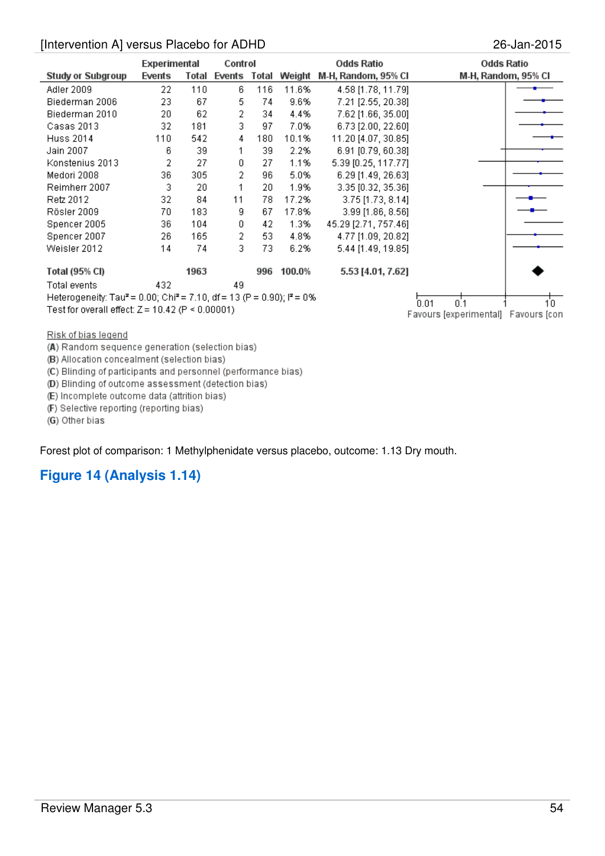| <b>Experimental</b> |       | Control      |                                                    |        | Odds Ratio           |                                                                                                 | Odds Ratio                                                                                      |
|---------------------|-------|--------------|----------------------------------------------------|--------|----------------------|-------------------------------------------------------------------------------------------------|-------------------------------------------------------------------------------------------------|
| Events              | Total | Events       |                                                    | Weight | M-H, Random, 95% CI  |                                                                                                 |                                                                                                 |
| 22                  | 110   | 6            | 116                                                | 11.6%  | 4.58 [1.78, 11.79]   |                                                                                                 |                                                                                                 |
| 23.                 | 67    | 5.           | 74                                                 | 9.6%   | 7.21 [2.55, 20.38]   |                                                                                                 |                                                                                                 |
| 20                  | 62    | 2            | 34                                                 | 4.4%   | 7.62 [1.66, 35.00]   |                                                                                                 |                                                                                                 |
| 32                  | 181   | 3            | 97                                                 | 7.0%   | 6.73 [2.00, 22.60]   |                                                                                                 |                                                                                                 |
| 110                 | 542   | 4            | 180                                                | 10.1%  | 11.20 [4.07, 30.85]  |                                                                                                 |                                                                                                 |
| 6                   | 39    | 1            | 39                                                 | 2.2%   | 6.91 [0.79, 60.38]   |                                                                                                 |                                                                                                 |
| 2                   | 27    | 0            | 27                                                 | 1.1%   | 5.39 [0.25, 117.77]  |                                                                                                 |                                                                                                 |
| 36                  | 305   | 2            | 96                                                 | 5.0%   | 6.29 [1.49, 26.63]   |                                                                                                 |                                                                                                 |
| 3                   | 20    | 1            | 20                                                 | 1.9%   | 3.35 [0.32, 35.36]   |                                                                                                 |                                                                                                 |
| 32                  | 84    | 11           | 78                                                 | 17.2%  | 3.75 [1.73, 8.14]    |                                                                                                 |                                                                                                 |
| 70.                 | 183   | 9            | 67                                                 | 17.8%  | 3.99 [1.86, 8.56]    |                                                                                                 |                                                                                                 |
| 36.                 | 104   | $\mathbf{0}$ | 42                                                 | 1.3%   | 45.29 [2.71, 757.46] |                                                                                                 |                                                                                                 |
| 26.                 | 165   | 2            | 53.                                                | 4.8%   | 4.77 [1.09, 20.82]   |                                                                                                 |                                                                                                 |
| 14                  | 74    | 3            | 73                                                 | 6.2%   |                      |                                                                                                 |                                                                                                 |
|                     | 1963  |              | 996                                                | 100.0% | 5.53 [4.01, 7.62]    |                                                                                                 |                                                                                                 |
| 432                 |       | 49           |                                                    |        |                      |                                                                                                 |                                                                                                 |
|                     |       |              |                                                    |        |                      |                                                                                                 |                                                                                                 |
|                     |       |              |                                                    |        |                      |                                                                                                 | 10.                                                                                             |
|                     |       |              | Test for overall effect: $Z = 10.42$ (P < 0.00001) |        | Total                | Heterogeneity: Tau <sup>2</sup> = 0.00; Chi <sup>2</sup> = 7.10, df = 13 (P = 0.90); $I^2$ = 0% | M-H, Random, 95% CI<br>5.44 [1.49, 19.85]<br>0.1<br>0.01<br>Favours [experimental] Favours [con |

Risk of bias legend

(A) Random sequence generation (selection bias)

(B) Allocation concealment (selection bias)

(C) Blinding of participants and personnel (performance bias)

(D) Blinding of outcome assessment (detection bias)

(E) Incomplete outcome data (attrition bias)

(F) Selective reporting (reporting bias)

(G) Other bias

Forest plot of comparison: 1 Methylphenidate versus placebo, outcome: 1.13 Dry mouth.

### **Figure 14 (Analysis 1.14)**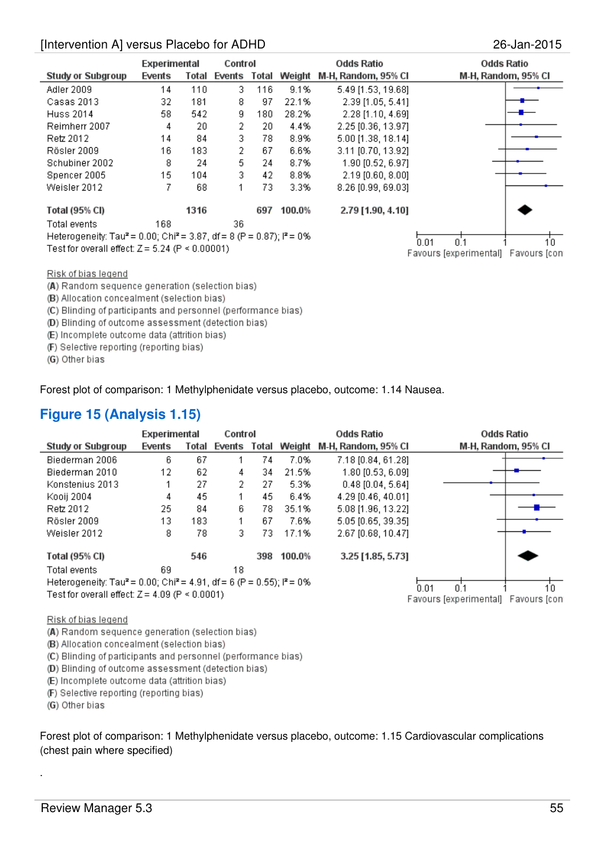|                                                                                               |        | Experimental<br>Control |              |     |                                     | <b>Odds Ratio</b>   | <b>Odds Ratio</b>   |
|-----------------------------------------------------------------------------------------------|--------|-------------------------|--------------|-----|-------------------------------------|---------------------|---------------------|
| <b>Study or Subgroup</b>                                                                      | Events | Total                   | Events Total |     | Weight                              | M-H, Random, 95% Cl | M-H, Random, 95% CI |
| Adler 2009                                                                                    | 14     | 110                     | 3.           | 116 | 9.1%                                | 5.49 [1.53, 19.68]  |                     |
| Casas 2013                                                                                    | 32     | 181                     | 8            | 97  | 22.1%                               | 2.39 [1.05, 5.41]   |                     |
| <b>Huss 2014</b>                                                                              | 58     | 542                     | g            | 180 | 28.2%                               | 2.28 [1.10, 4.69]   |                     |
| Reimherr 2007                                                                                 | 4      | 20                      | 2            | 20. | 4.4%                                | 2.25 [0.36, 13.97]  |                     |
| Retz 2012                                                                                     | 14     | 84                      | 3            | 78  | 8.9%                                | 5.00 [1.38, 18.14]  |                     |
| Rösler 2009                                                                                   | 16     | 183                     | 2            | 67  | 6.6%                                | 3.11 [0.70, 13.92]  |                     |
| Schubiner 2002                                                                                | 8      | 24                      | 5            | 24  | 8.7%                                | 1.90 [0.52, 6.97]   |                     |
| Spencer 2005                                                                                  | 15     | 104                     | 3            | 42  | 8.8%                                | $2.19$ [0.60, 8.00] |                     |
| Weisler 2012                                                                                  |        | 68                      | 1            | 73. | 3.3%                                | 8.26 [0.99, 69.03]  |                     |
| <b>Total (95% CI)</b>                                                                         |        | 1316                    |              | 697 | 100.0%                              | 2.79 [1.90, 4.10]   |                     |
| Total events                                                                                  | 168    |                         | 36.          |     |                                     |                     |                     |
| Heterogeneity: Tau <sup>2</sup> = 0.00; Chi <sup>2</sup> = 3.87, df = 8 (P = 0.87); $P = 0\%$ |        |                         |              |     | 10.<br>0.01<br>0.1                  |                     |                     |
| Test for overall effect: $Z = 5.24$ (P < 0.00001)                                             |        |                         |              |     | Favours [experimental] Favours [con |                     |                     |

Risk of bias legend

 $\overline{\phantom{a}}$ 

(A) Random sequence generation (selection bias)

(B) Allocation concealment (selection bias)

(C) Blinding of participants and personnel (performance bias)

(D) Blinding of outcome assessment (detection bias)

(E) Incomplete outcome data (attrition bias)

(F) Selective reporting (reporting bias)

(G) Other bias

Forest plot of comparison: 1 Methylphenidate versus placebo, outcome: 1.14 Nausea.

### **Figure 15 (Analysis 1.15)**

|                                                                                               | Experimental |       | Control |       | Odds Ratio                               |                     | Odds Ratio                          |  |
|-----------------------------------------------------------------------------------------------|--------------|-------|---------|-------|------------------------------------------|---------------------|-------------------------------------|--|
| <b>Study or Subgroup</b>                                                                      | Events       | Total | Events  | Total | Weight                                   | M-H, Random, 95% CI | M-H, Random, 95% CI                 |  |
| Biederman 2006                                                                                | 6            | 67    |         | 74    | 7.0%                                     | 7.18 [0.84, 61.28]  |                                     |  |
| Biederman 2010                                                                                | 12           | 62    | 4       | 34    | 21.5%                                    | 1.80 [0.53, 6.09]   |                                     |  |
| Konstenius 2013                                                                               |              | 27    | 2.      | 27    | 5.3%                                     | $0.48$ [0.04, 5.64] |                                     |  |
| Kooij 2004                                                                                    | 4            | 45    | 1       | 45    | 6.4%                                     | 4.29 [0.46, 40.01]  |                                     |  |
| Retz 2012                                                                                     | 25           | 84    | 6.      | 78    | 35.1%                                    | 5.08 [1.96, 13.22]  |                                     |  |
| Rösler 2009                                                                                   | 13           | 183   | 1       | 67    | 7.6%                                     | 5.05 [0.65, 39.35]  |                                     |  |
| Weisler 2012                                                                                  | 8            | 78    | 3.      | 73    | 17.1%                                    | 2.67 [0.68, 10.47]  |                                     |  |
| Total (95% CI)                                                                                |              | 546   |         | 398   | 100.0%                                   | 3.25 [1.85, 5.73]   |                                     |  |
| Total events                                                                                  | 69           |       | 18      |       |                                          |                     |                                     |  |
| Heterogeneity: Tau <sup>2</sup> = 0.00; Chi <sup>2</sup> = 4.91, df = 6 (P = 0.55); $P = 0\%$ |              |       |         |       | 0 <sup>1</sup><br>n <sub>01</sub><br>10. |                     |                                     |  |
| Test for overall effect: $Z = 4.09$ (P $\leq 0.0001$ )                                        |              |       |         |       |                                          |                     | Favours [experimental] Favours [con |  |

Risk of bias legend

(A) Random sequence generation (selection bias)

(B) Allocation concealment (selection bias)

(C) Blinding of participants and personnel (performance bias)

(D) Blinding of outcome assessment (detection bias)

(E) Incomplete outcome data (attrition bias)

(F) Selective reporting (reporting bias)

(G) Other bias

.

Forest plot of comparison: 1 Methylphenidate versus placebo, outcome: 1.15 Cardiovascular complications (chest pain where specified)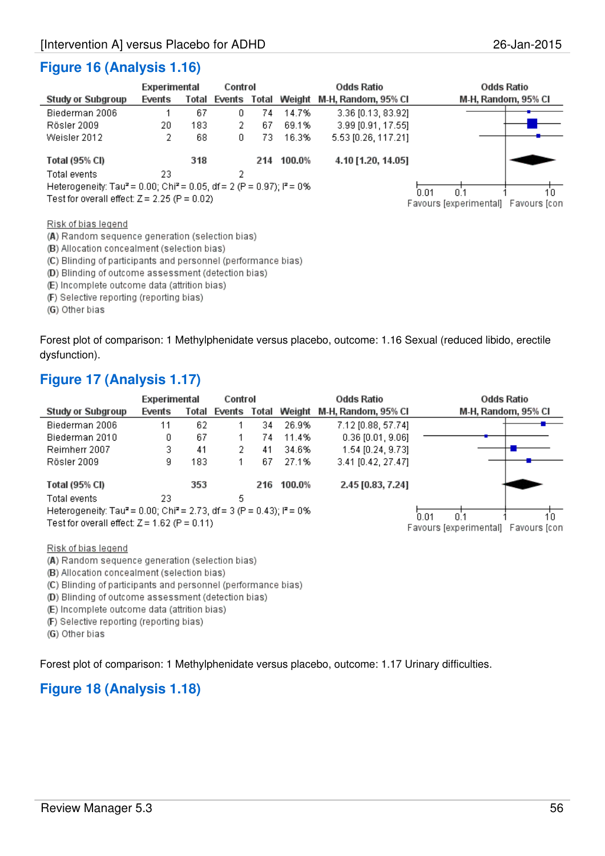### **Figure 16 (Analysis 1.16)**

|                                                                                                         | Experimental |       |    | Control |                     | Odds Ratio          | Odds Ratio                          |  |
|---------------------------------------------------------------------------------------------------------|--------------|-------|----|---------|---------------------|---------------------|-------------------------------------|--|
| <b>Study or Subgroup</b>                                                                                | Events       | Total |    |         | Events Total Weight | M-H, Random, 95% CI | M-H, Random, 95% CI                 |  |
| Biederman 2006                                                                                          |              | 67    | 0. | 74      | 14.7%               | 3.36 [0.13, 83.92]  |                                     |  |
| Rösler 2009                                                                                             | 20           | 183   | 2  | 67      | 69.1%               | 3.99 [0.91, 17.55]  |                                     |  |
| Weisler 2012                                                                                            | 2            | 68    | 0. | 73      | 16.3%               | 5.53 [0.26, 117.21] |                                     |  |
| Total (95% CI)                                                                                          |              | 318   |    | 214     | 100.0%              | 4.10 [1.20, 14.05]  |                                     |  |
| Total events                                                                                            | 23           |       | 2  |         |                     |                     |                                     |  |
| Heterogeneity: Tau <sup>2</sup> = 0.00; Chi <sup>2</sup> = 0.05, df = 2 (P = 0.97); l <sup>2</sup> = 0% |              |       |    |         |                     |                     | 0 <sup>1</sup><br>0.01<br>10        |  |
| Test for overall effect: $Z = 2.25$ (P = 0.02)                                                          |              |       |    |         |                     |                     | Favours [experimental] Favours [con |  |
| Risk of bias legend                                                                                     |              |       |    |         |                     |                     |                                     |  |

(A) Random sequence generation (selection bias)

(B) Allocation concealment (selection bias)

(C) Blinding of participants and personnel (performance bias)

(D) Blinding of outcome assessment (detection bias)

(E) Incomplete outcome data (attrition bias)

(F) Selective reporting (reporting bias)

(G) Other bias

Forest plot of comparison: 1 Methylphenidate versus placebo, outcome: 1.16 Sexual (reduced libido, erectile dysfunction).

### **Figure 17 (Analysis 1.17)**

|                                                                                                         | Experimental |       | Control      |    | <b>Odds Ratio</b> |                     | <b>Odds Ratio</b>                   |
|---------------------------------------------------------------------------------------------------------|--------------|-------|--------------|----|-------------------|---------------------|-------------------------------------|
| <b>Study or Subgroup</b>                                                                                | Events       | Total | Events Total |    | Weight            | M-H, Random, 95% Cl | M-H, Random, 95% CI                 |
| Biederman 2006                                                                                          | 11           | 62    |              | 34 | 26.9%             | 7.12 [0.88, 57.74]  |                                     |
| Biederman 2010                                                                                          | 0            | 67    |              | 74 | 11.4%             | $0.36$ [0.01, 9.06] |                                     |
| Reimherr 2007                                                                                           | 3            | 41    | 2            | 41 | 34.6%             | 1.54 [0.24, 9.73]   |                                     |
| Rösler 2009                                                                                             | g            | 183   |              | 67 | 27.1%             | 3.41 [0.42, 27.47]  |                                     |
| Total (95% CI)                                                                                          |              | 353   |              |    | 216 100.0%        | 2.45 [0.83, 7.24]   |                                     |
| Total events                                                                                            | 23           |       | 5            |    |                   |                     |                                     |
| Heterogeneity: Tau <sup>2</sup> = 0.00; Chi <sup>2</sup> = 2.73, df = 3 (P = 0.43); l <sup>2</sup> = 0% |              |       |              |    | 0.01<br>n 1<br>10 |                     |                                     |
| Test for overall effect: $Z = 1.62$ (P = 0.11)                                                          |              |       |              |    |                   |                     | Favours lexperimental) Favours lcon |

Risk of bias legend

(A) Random sequence generation (selection bias)

(B) Allocation concealment (selection bias)

(C) Blinding of participants and personnel (performance bias)

(D) Blinding of outcome assessment (detection bias)

(E) Incomplete outcome data (attrition bias)

(F) Selective reporting (reporting bias)

(G) Other bias

Forest plot of comparison: 1 Methylphenidate versus placebo, outcome: 1.17 Urinary difficulties.

### **Figure 18 (Analysis 1.18)**